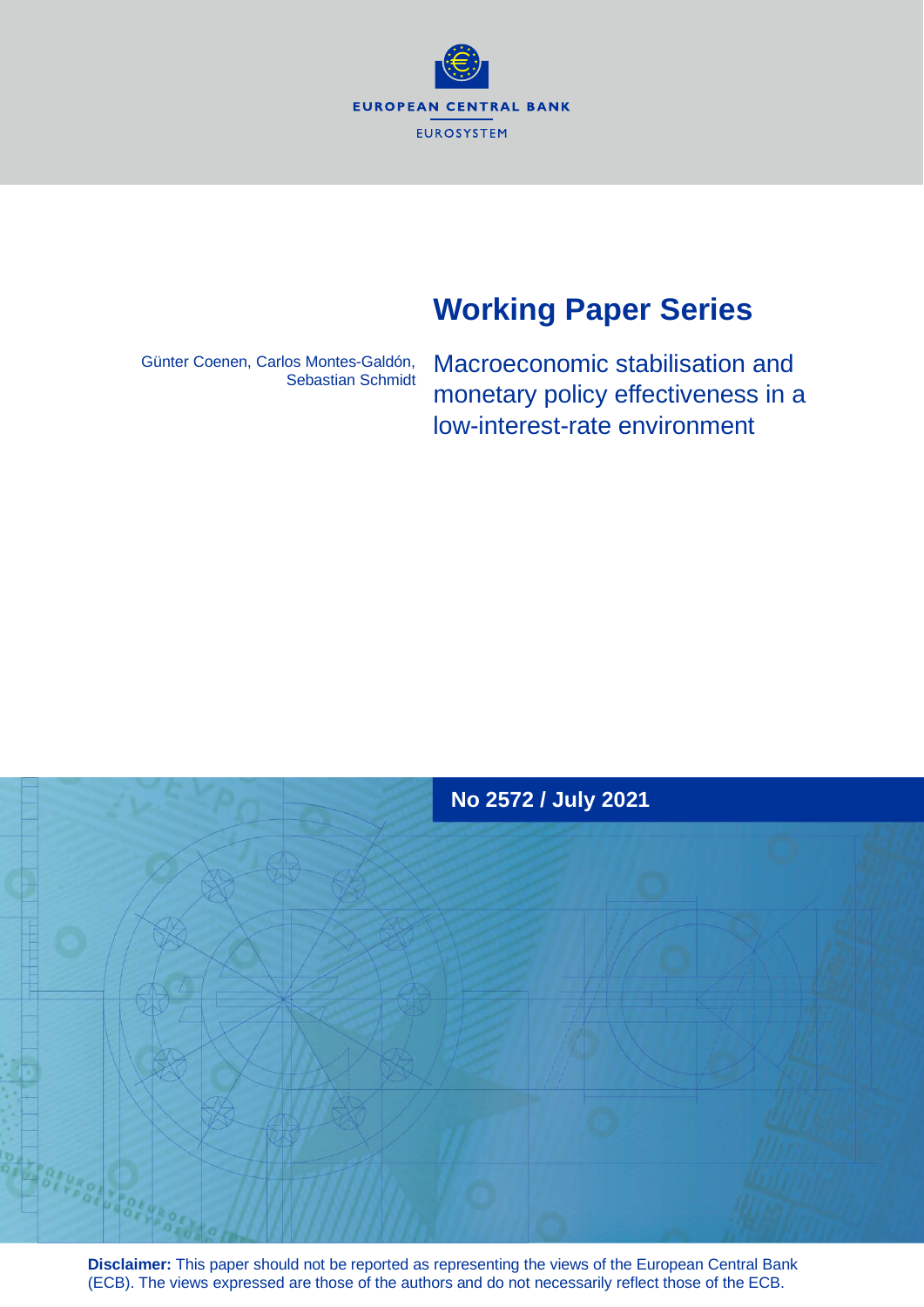**EUROPEAN CENTRAL BANK** EUROSYSTEM

# **Working Paper Series**

Günter Coenen, Carlos Montes-Galdón, Sebastian Schmidt Macroeconomic stabilisation and monetary policy effectiveness in a low-interest-rate environment



**Disclaimer:** This paper should not be reported as representing the views of the European Central Bank (ECB). The views expressed are those of the authors and do not necessarily reflect those of the ECB.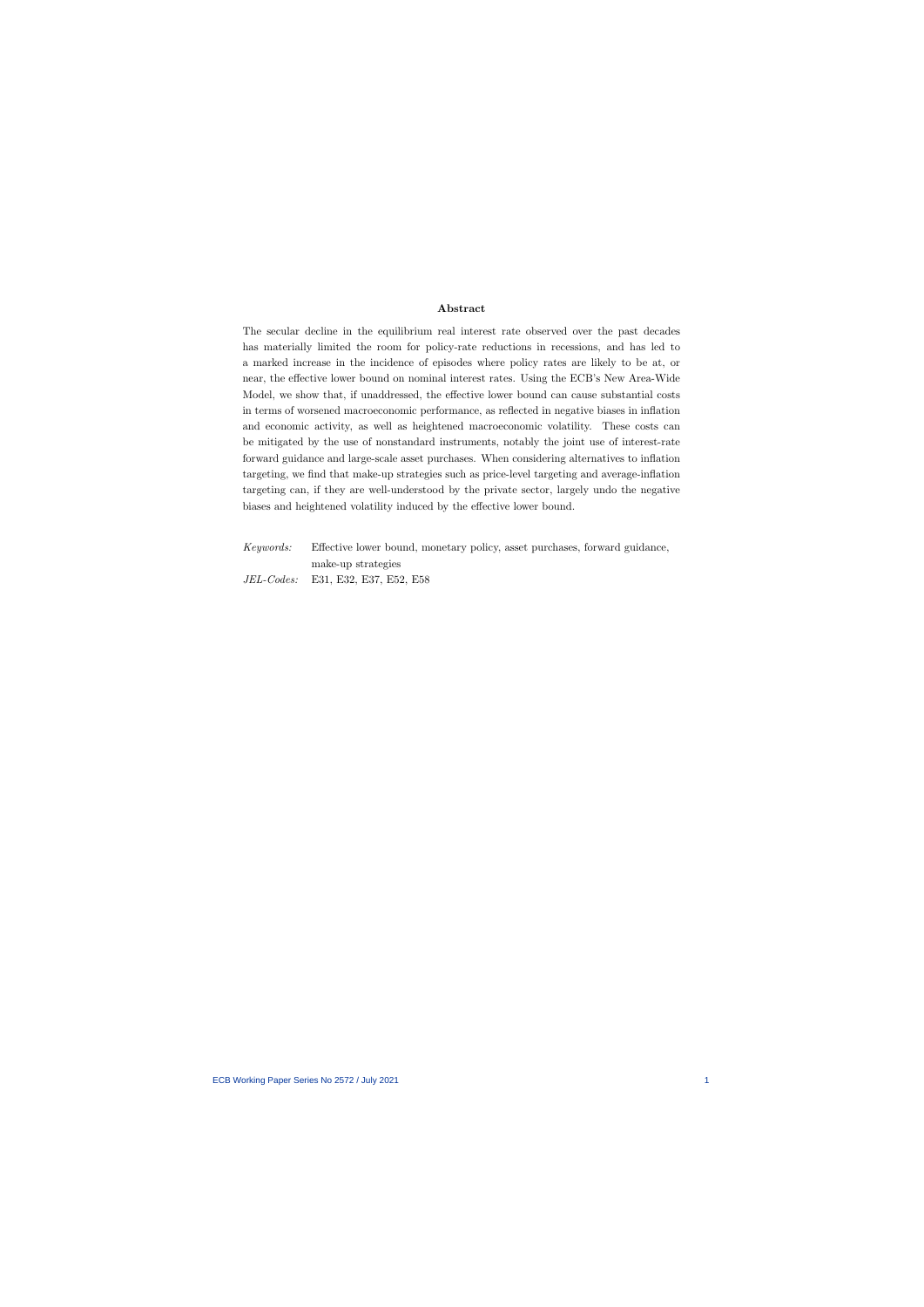#### Abstract

The secular decline in the equilibrium real interest rate observed over the past decades has materially limited the room for policy-rate reductions in recessions, and has led to a marked increase in the incidence of episodes where policy rates are likely to be at, or near, the effective lower bound on nominal interest rates. Using the ECB's New Area-Wide Model, we show that, if unaddressed, the effective lower bound can cause substantial costs in terms of worsened macroeconomic performance, as reflected in negative biases in inflation and economic activity, as well as heightened macroeconomic volatility. These costs can be mitigated by the use of nonstandard instruments, notably the joint use of interest-rate forward guidance and large-scale asset purchases. When considering alternatives to inflation targeting, we find that make-up strategies such as price-level targeting and average-inflation targeting can, if they are well-understood by the private sector, largely undo the negative biases and heightened volatility induced by the effective lower bound.

Keywords: Effective lower bound, monetary policy, asset purchases, forward guidance, make-up strategies JEL-Codes: E31, E32, E37, E52, E58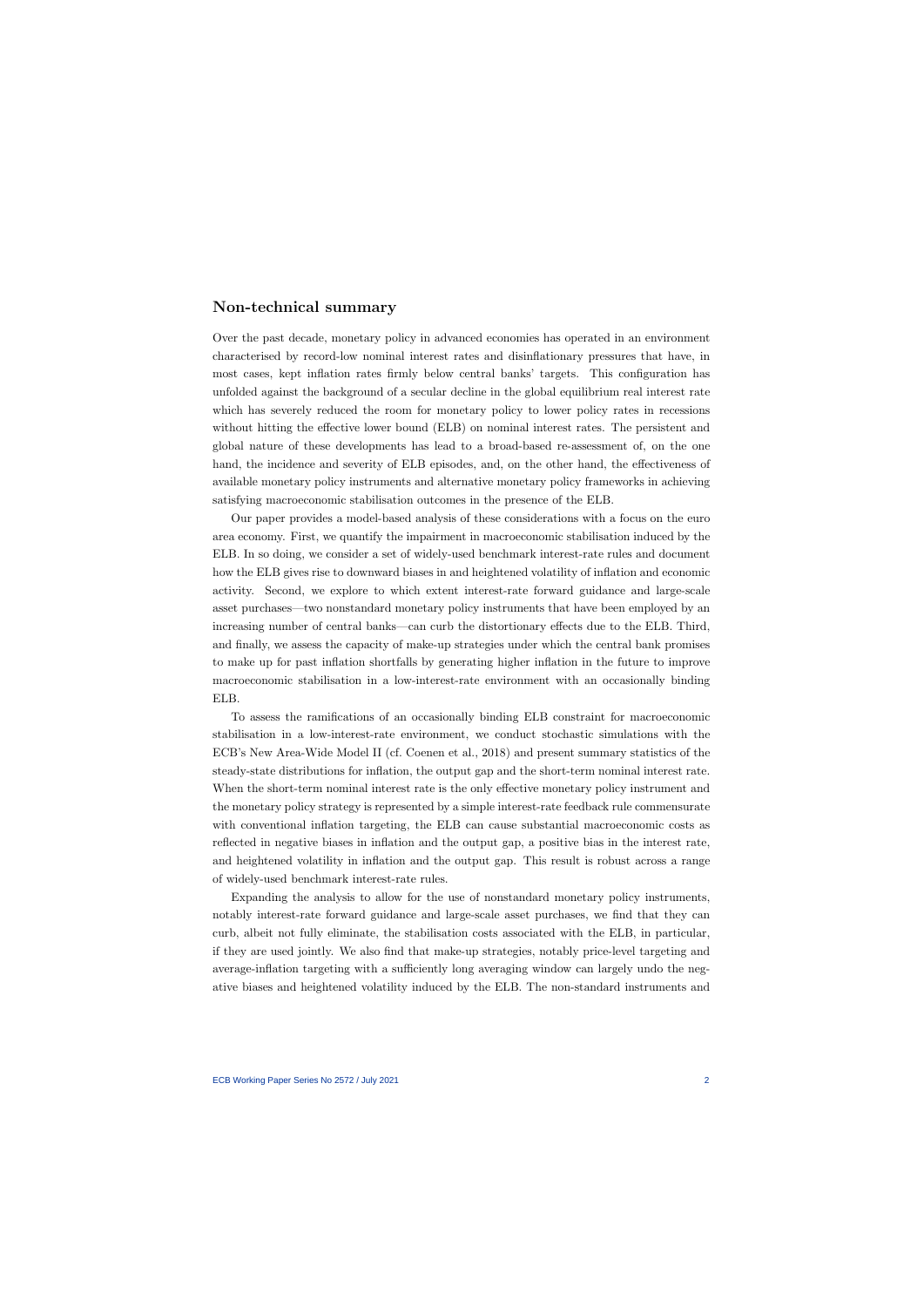## Non-technical summary

Over the past decade, monetary policy in advanced economies has operated in an environment characterised by record-low nominal interest rates and disinflationary pressures that have, in most cases, kept inflation rates firmly below central banks' targets. This configuration has unfolded against the background of a secular decline in the global equilibrium real interest rate which has severely reduced the room for monetary policy to lower policy rates in recessions without hitting the effective lower bound (ELB) on nominal interest rates. The persistent and global nature of these developments has lead to a broad-based re-assessment of, on the one hand, the incidence and severity of ELB episodes, and, on the other hand, the effectiveness of available monetary policy instruments and alternative monetary policy frameworks in achieving satisfying macroeconomic stabilisation outcomes in the presence of the ELB.

Our paper provides a model-based analysis of these considerations with a focus on the euro area economy. First, we quantify the impairment in macroeconomic stabilisation induced by the ELB. In so doing, we consider a set of widely-used benchmark interest-rate rules and document how the ELB gives rise to downward biases in and heightened volatility of inflation and economic activity. Second, we explore to which extent interest-rate forward guidance and large-scale asset purchases—two nonstandard monetary policy instruments that have been employed by an increasing number of central banks—can curb the distortionary effects due to the ELB. Third, and finally, we assess the capacity of make-up strategies under which the central bank promises to make up for past inflation shortfalls by generating higher inflation in the future to improve macroeconomic stabilisation in a low-interest-rate environment with an occasionally binding ELB.

To assess the ramifications of an occasionally binding ELB constraint for macroeconomic stabilisation in a low-interest-rate environment, we conduct stochastic simulations with the ECB's New Area-Wide Model II (cf. Coenen et al., 2018) and present summary statistics of the steady-state distributions for inflation, the output gap and the short-term nominal interest rate. When the short-term nominal interest rate is the only effective monetary policy instrument and the monetary policy strategy is represented by a simple interest-rate feedback rule commensurate with conventional inflation targeting, the ELB can cause substantial macroeconomic costs as reflected in negative biases in inflation and the output gap, a positive bias in the interest rate, and heightened volatility in inflation and the output gap. This result is robust across a range of widely-used benchmark interest-rate rules.

Expanding the analysis to allow for the use of nonstandard monetary policy instruments, notably interest-rate forward guidance and large-scale asset purchases, we find that they can curb, albeit not fully eliminate, the stabilisation costs associated with the ELB, in particular, if they are used jointly. We also find that make-up strategies, notably price-level targeting and average-inflation targeting with a sufficiently long averaging window can largely undo the negative biases and heightened volatility induced by the ELB. The non-standard instruments and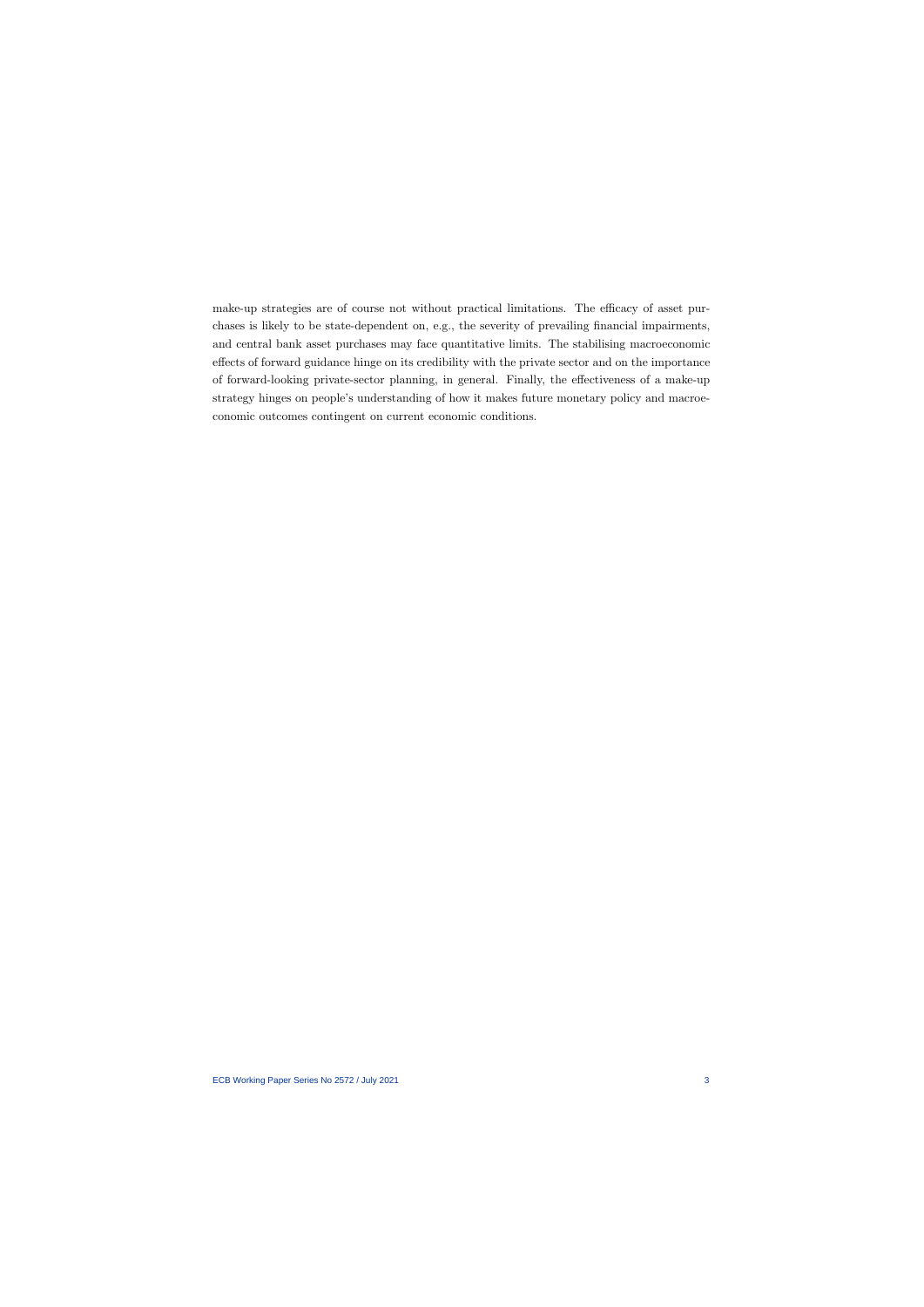make-up strategies are of course not without practical limitations. The efficacy of asset purchases is likely to be state-dependent on, e.g., the severity of prevailing financial impairments, and central bank asset purchases may face quantitative limits. The stabilising macroeconomic effects of forward guidance hinge on its credibility with the private sector and on the importance of forward-looking private-sector planning, in general. Finally, the effectiveness of a make-up strategy hinges on people's understanding of how it makes future monetary policy and macroeconomic outcomes contingent on current economic conditions.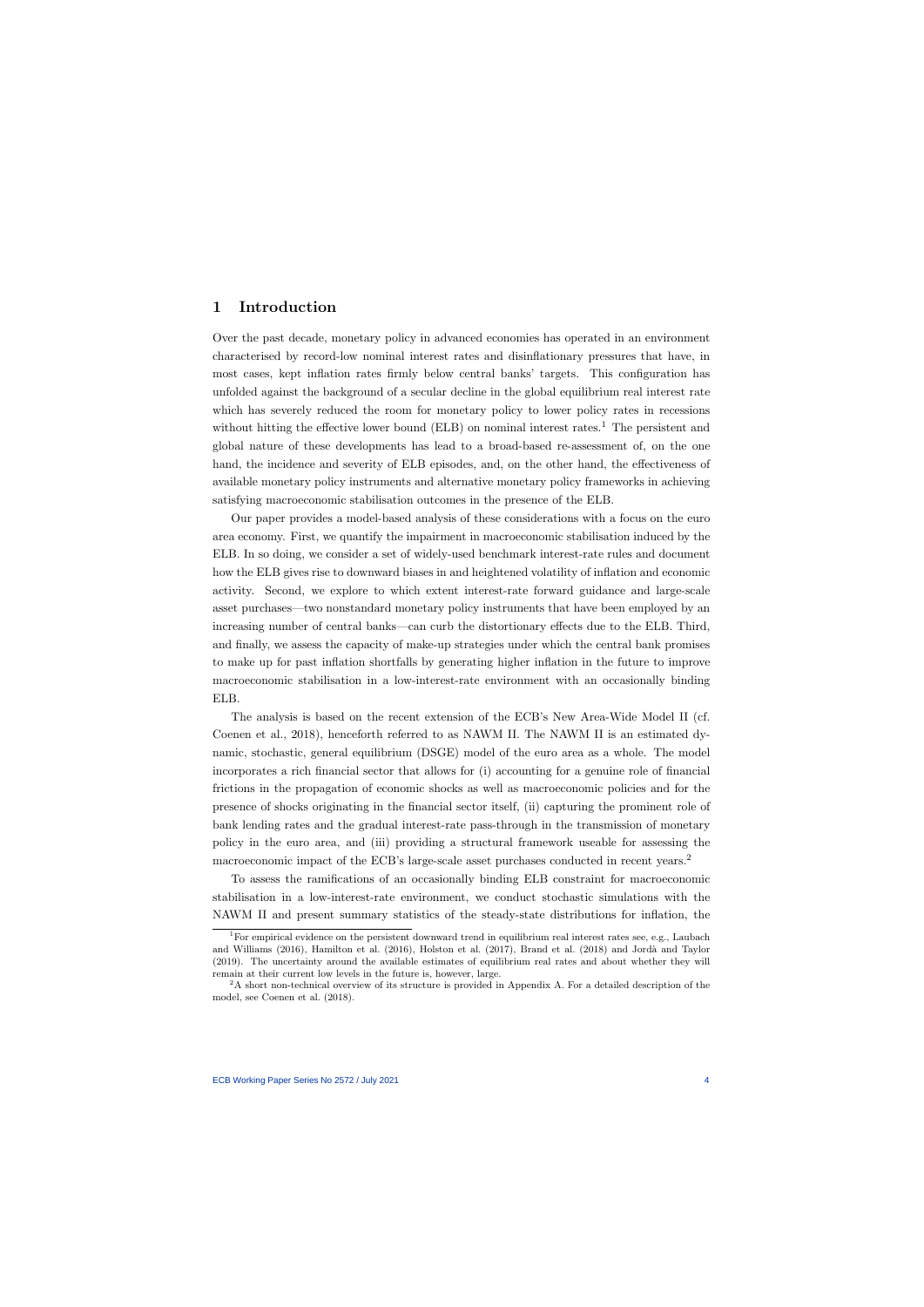## 1 Introduction

Over the past decade, monetary policy in advanced economies has operated in an environment characterised by record-low nominal interest rates and disinflationary pressures that have, in most cases, kept inflation rates firmly below central banks' targets. This configuration has unfolded against the background of a secular decline in the global equilibrium real interest rate which has severely reduced the room for monetary policy to lower policy rates in recessions without hitting the effective lower bound (ELB) on nominal interest rates.<sup>1</sup> The persistent and global nature of these developments has lead to a broad-based re-assessment of, on the one hand, the incidence and severity of ELB episodes, and, on the other hand, the effectiveness of available monetary policy instruments and alternative monetary policy frameworks in achieving satisfying macroeconomic stabilisation outcomes in the presence of the ELB.

Our paper provides a model-based analysis of these considerations with a focus on the euro area economy. First, we quantify the impairment in macroeconomic stabilisation induced by the ELB. In so doing, we consider a set of widely-used benchmark interest-rate rules and document how the ELB gives rise to downward biases in and heightened volatility of inflation and economic activity. Second, we explore to which extent interest-rate forward guidance and large-scale asset purchases—two nonstandard monetary policy instruments that have been employed by an increasing number of central banks—can curb the distortionary effects due to the ELB. Third, and finally, we assess the capacity of make-up strategies under which the central bank promises to make up for past inflation shortfalls by generating higher inflation in the future to improve macroeconomic stabilisation in a low-interest-rate environment with an occasionally binding ELB.

The analysis is based on the recent extension of the ECB's New Area-Wide Model II (cf. Coenen et al., 2018), henceforth referred to as NAWM II. The NAWM II is an estimated dynamic, stochastic, general equilibrium (DSGE) model of the euro area as a whole. The model incorporates a rich financial sector that allows for (i) accounting for a genuine role of financial frictions in the propagation of economic shocks as well as macroeconomic policies and for the presence of shocks originating in the financial sector itself, (ii) capturing the prominent role of bank lending rates and the gradual interest-rate pass-through in the transmission of monetary policy in the euro area, and (iii) providing a structural framework useable for assessing the macroeconomic impact of the ECB's large-scale asset purchases conducted in recent years.<sup>2</sup>

To assess the ramifications of an occasionally binding ELB constraint for macroeconomic stabilisation in a low-interest-rate environment, we conduct stochastic simulations with the NAWM II and present summary statistics of the steady-state distributions for inflation, the

<sup>&</sup>lt;sup>1</sup>For empirical evidence on the persistent downward trend in equilibrium real interest rates see, e.g., Laubach and Williams (2016), Hamilton et al. (2016), Holston et al. (2017), Brand et al. (2018) and Jordà and Taylor (2019). The uncertainty around the available estimates of equilibrium real rates and about whether they will remain at their current low levels in the future is, however, large.

<sup>2</sup>A short non-technical overview of its structure is provided in Appendix A. For a detailed description of the model, see Coenen et al. (2018).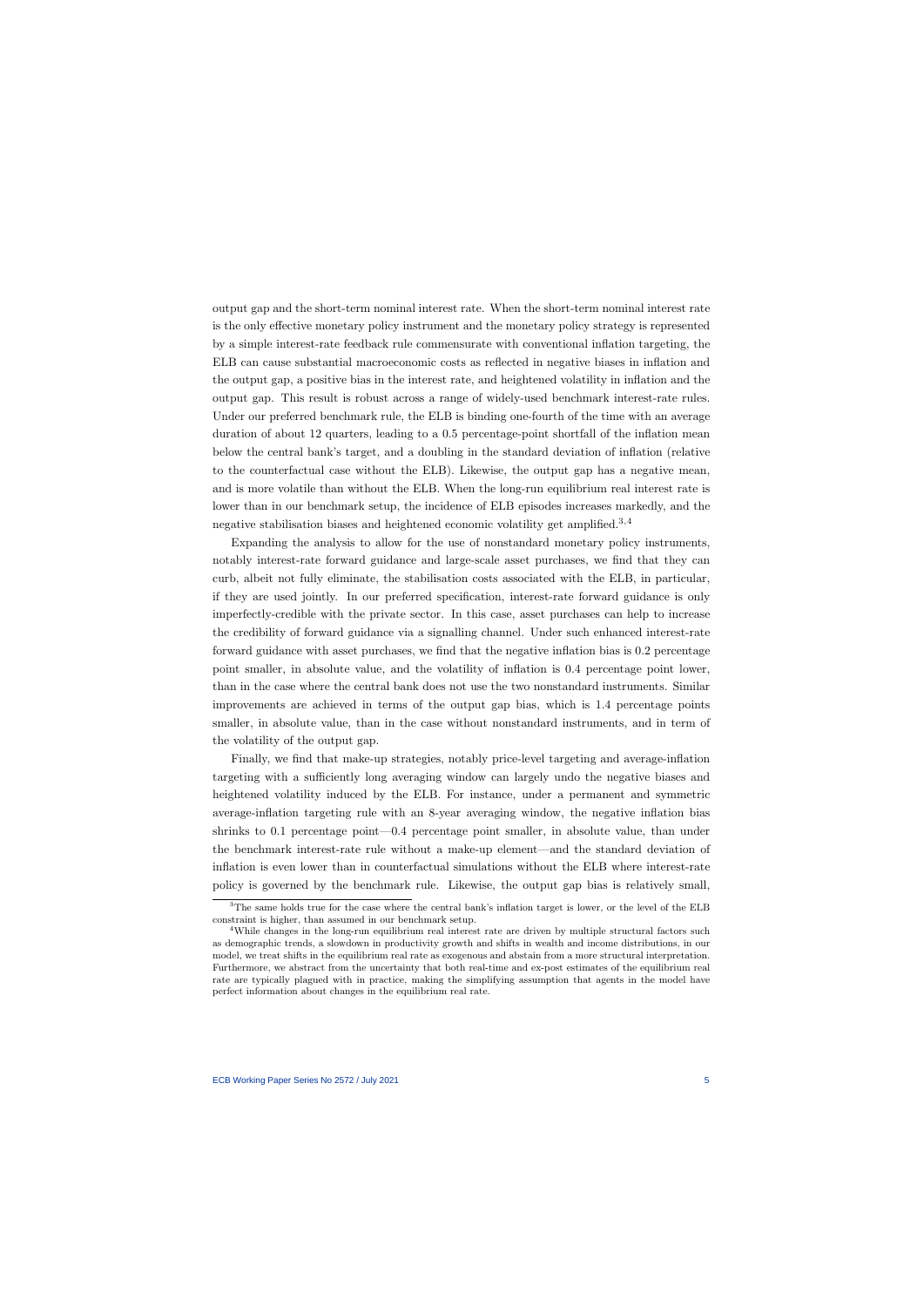output gap and the short-term nominal interest rate. When the short-term nominal interest rate is the only effective monetary policy instrument and the monetary policy strategy is represented by a simple interest-rate feedback rule commensurate with conventional inflation targeting, the ELB can cause substantial macroeconomic costs as reflected in negative biases in inflation and the output gap, a positive bias in the interest rate, and heightened volatility in inflation and the output gap. This result is robust across a range of widely-used benchmark interest-rate rules. Under our preferred benchmark rule, the ELB is binding one-fourth of the time with an average duration of about 12 quarters, leading to a 0.5 percentage-point shortfall of the inflation mean below the central bank's target, and a doubling in the standard deviation of inflation (relative to the counterfactual case without the ELB). Likewise, the output gap has a negative mean, and is more volatile than without the ELB. When the long-run equilibrium real interest rate is lower than in our benchmark setup, the incidence of ELB episodes increases markedly, and the negative stabilisation biases and heightened economic volatility get amplified.3,4

Expanding the analysis to allow for the use of nonstandard monetary policy instruments, notably interest-rate forward guidance and large-scale asset purchases, we find that they can curb, albeit not fully eliminate, the stabilisation costs associated with the ELB, in particular, if they are used jointly. In our preferred specification, interest-rate forward guidance is only imperfectly-credible with the private sector. In this case, asset purchases can help to increase the credibility of forward guidance via a signalling channel. Under such enhanced interest-rate forward guidance with asset purchases, we find that the negative inflation bias is 0.2 percentage point smaller, in absolute value, and the volatility of inflation is 0.4 percentage point lower, than in the case where the central bank does not use the two nonstandard instruments. Similar improvements are achieved in terms of the output gap bias, which is 1.4 percentage points smaller, in absolute value, than in the case without nonstandard instruments, and in term of the volatility of the output gap.

Finally, we find that make-up strategies, notably price-level targeting and average-inflation targeting with a sufficiently long averaging window can largely undo the negative biases and heightened volatility induced by the ELB. For instance, under a permanent and symmetric average-inflation targeting rule with an 8-year averaging window, the negative inflation bias shrinks to 0.1 percentage point—0.4 percentage point smaller, in absolute value, than under the benchmark interest-rate rule without a make-up element—and the standard deviation of inflation is even lower than in counterfactual simulations without the ELB where interest-rate policy is governed by the benchmark rule. Likewise, the output gap bias is relatively small,

<sup>&</sup>lt;sup>3</sup>The same holds true for the case where the central bank's inflation target is lower, or the level of the ELB constraint is higher, than assumed in our benchmark setup.

<sup>&</sup>lt;sup>4</sup>While changes in the long-run equilibrium real interest rate are driven by multiple structural factors such as demographic trends, a slowdown in productivity growth and shifts in wealth and income distributions, in our model, we treat shifts in the equilibrium real rate as exogenous and abstain from a more structural interpretation. Furthermore, we abstract from the uncertainty that both real-time and ex-post estimates of the equilibrium real rate are typically plagued with in practice, making the simplifying assumption that agents in the model have perfect information about changes in the equilibrium real rate.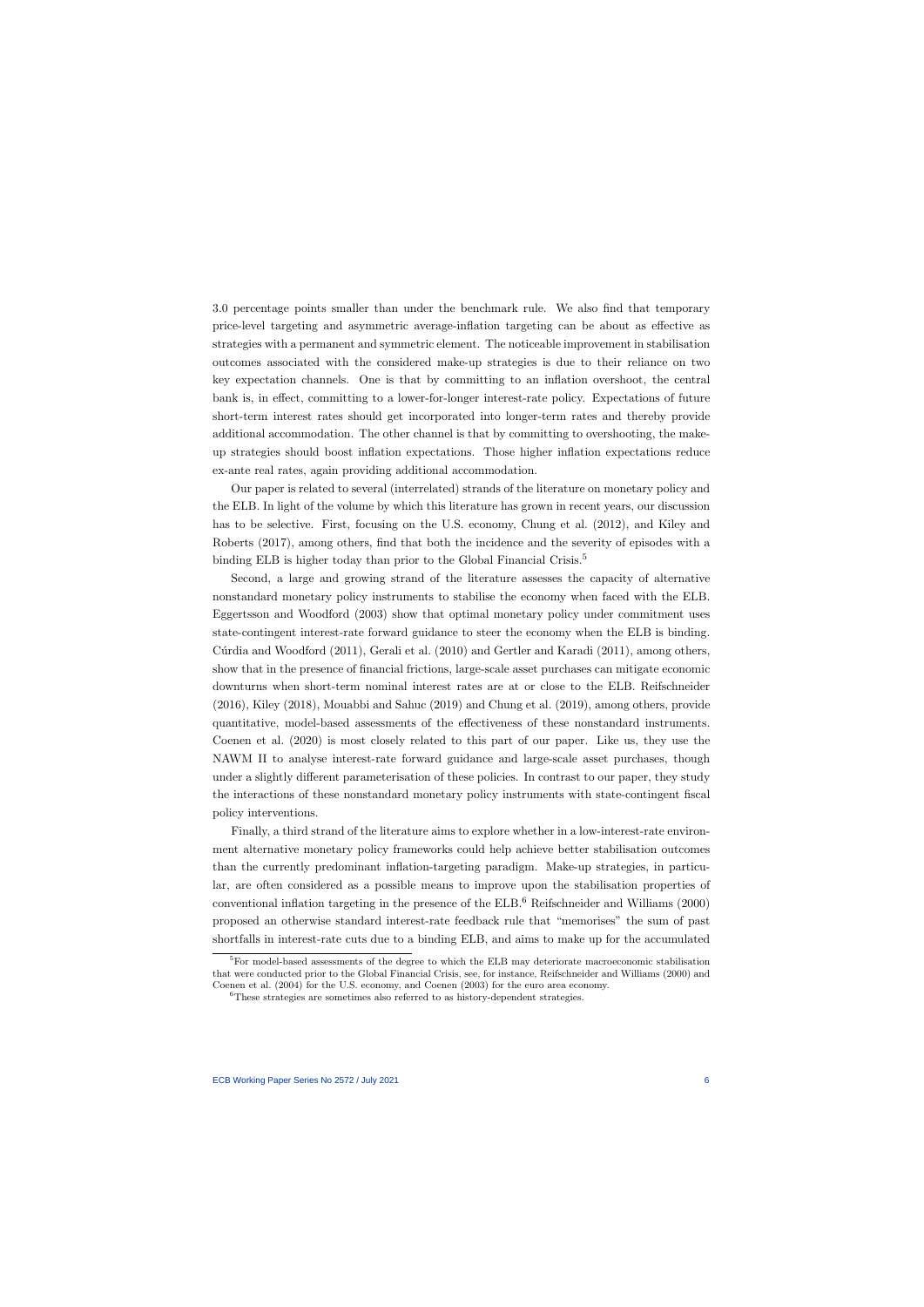3.0 percentage points smaller than under the benchmark rule. We also find that temporary price-level targeting and asymmetric average-inflation targeting can be about as effective as strategies with a permanent and symmetric element. The noticeable improvement in stabilisation outcomes associated with the considered make-up strategies is due to their reliance on two key expectation channels. One is that by committing to an inflation overshoot, the central bank is, in effect, committing to a lower-for-longer interest-rate policy. Expectations of future short-term interest rates should get incorporated into longer-term rates and thereby provide additional accommodation. The other channel is that by committing to overshooting, the makeup strategies should boost inflation expectations. Those higher inflation expectations reduce ex-ante real rates, again providing additional accommodation.

Our paper is related to several (interrelated) strands of the literature on monetary policy and the ELB. In light of the volume by which this literature has grown in recent years, our discussion has to be selective. First, focusing on the U.S. economy, Chung et al. (2012), and Kiley and Roberts (2017), among others, find that both the incidence and the severity of episodes with a binding ELB is higher today than prior to the Global Financial Crisis.<sup>5</sup>

Second, a large and growing strand of the literature assesses the capacity of alternative nonstandard monetary policy instruments to stabilise the economy when faced with the ELB. Eggertsson and Woodford (2003) show that optimal monetary policy under commitment uses state-contingent interest-rate forward guidance to steer the economy when the ELB is binding. Cúrdia and Woodford (2011), Gerali et al. (2010) and Gertler and Karadi (2011), among others, show that in the presence of financial frictions, large-scale asset purchases can mitigate economic downturns when short-term nominal interest rates are at or close to the ELB. Reifschneider (2016), Kiley (2018), Mouabbi and Sahuc (2019) and Chung et al. (2019), among others, provide quantitative, model-based assessments of the effectiveness of these nonstandard instruments. Coenen et al. (2020) is most closely related to this part of our paper. Like us, they use the NAWM II to analyse interest-rate forward guidance and large-scale asset purchases, though under a slightly different parameterisation of these policies. In contrast to our paper, they study the interactions of these nonstandard monetary policy instruments with state-contingent fiscal policy interventions.

Finally, a third strand of the literature aims to explore whether in a low-interest-rate environment alternative monetary policy frameworks could help achieve better stabilisation outcomes than the currently predominant inflation-targeting paradigm. Make-up strategies, in particular, are often considered as a possible means to improve upon the stabilisation properties of conventional inflation targeting in the presence of the ELB.<sup>6</sup> Reifschneider and Williams (2000) proposed an otherwise standard interest-rate feedback rule that "memorises" the sum of past shortfalls in interest-rate cuts due to a binding ELB, and aims to make up for the accumulated

 ${}^{5}$ For model-based assessments of the degree to which the ELB may deteriorate macroeconomic stabilisation that were conducted prior to the Global Financial Crisis, see, for instance, Reifschneider and Williams (2000) and Coenen et al. (2004) for the U.S. economy, and Coenen (2003) for the euro area economy.

<sup>6</sup>These strategies are sometimes also referred to as history-dependent strategies.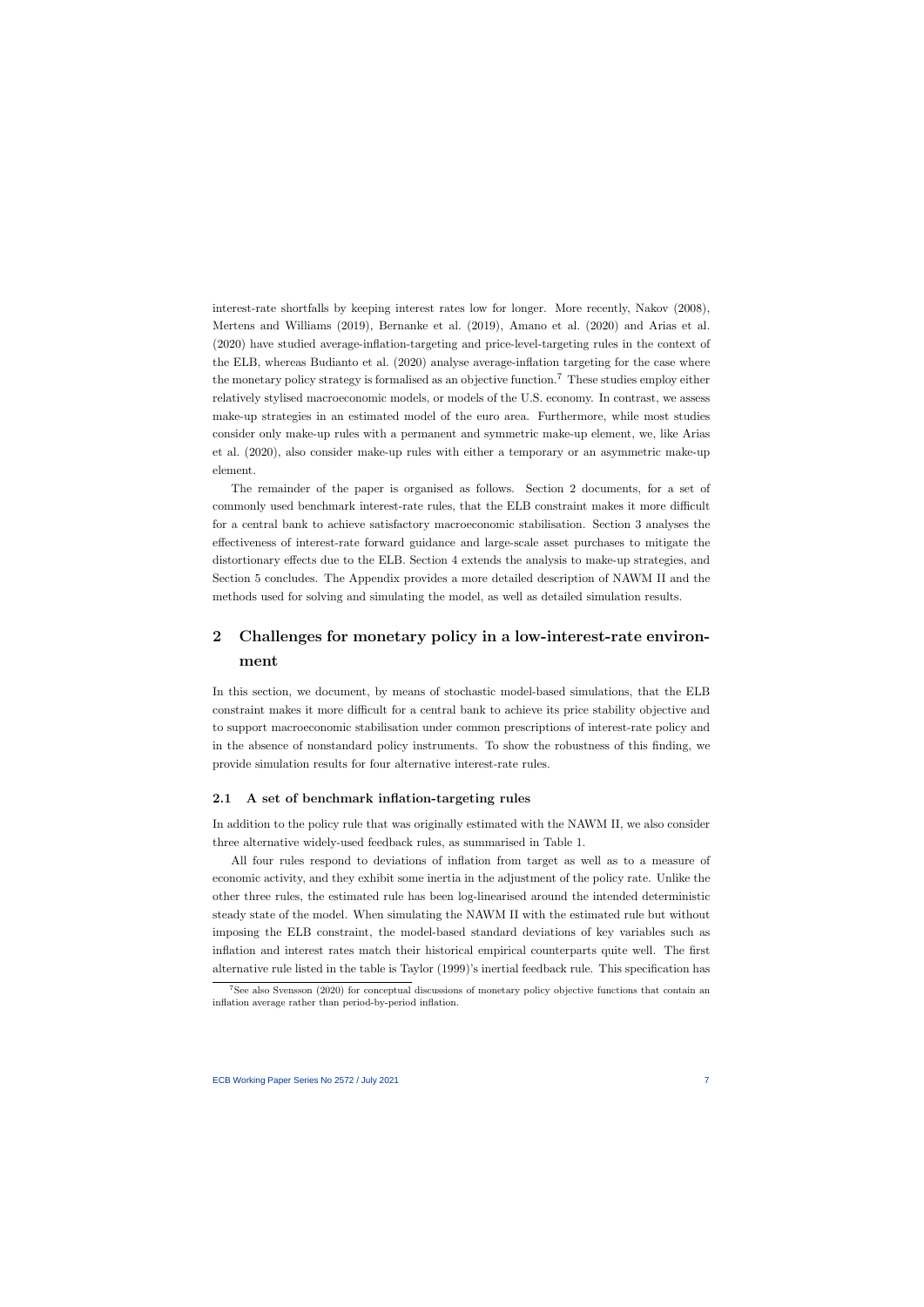interest-rate shortfalls by keeping interest rates low for longer. More recently, Nakov (2008), Mertens and Williams (2019), Bernanke et al. (2019), Amano et al. (2020) and Arias et al. (2020) have studied average-inflation-targeting and price-level-targeting rules in the context of the ELB, whereas Budianto et al. (2020) analyse average-inflation targeting for the case where the monetary policy strategy is formalised as an objective function.<sup>7</sup> These studies employ either relatively stylised macroeconomic models, or models of the U.S. economy. In contrast, we assess make-up strategies in an estimated model of the euro area. Furthermore, while most studies consider only make-up rules with a permanent and symmetric make-up element, we, like Arias et al. (2020), also consider make-up rules with either a temporary or an asymmetric make-up element.

The remainder of the paper is organised as follows. Section 2 documents, for a set of commonly used benchmark interest-rate rules, that the ELB constraint makes it more difficult for a central bank to achieve satisfactory macroeconomic stabilisation. Section 3 analyses the effectiveness of interest-rate forward guidance and large-scale asset purchases to mitigate the distortionary effects due to the ELB. Section 4 extends the analysis to make-up strategies, and Section 5 concludes. The Appendix provides a more detailed description of NAWM II and the methods used for solving and simulating the model, as well as detailed simulation results.

## 2 Challenges for monetary policy in a low-interest-rate environment

In this section, we document, by means of stochastic model-based simulations, that the ELB constraint makes it more difficult for a central bank to achieve its price stability objective and to support macroeconomic stabilisation under common prescriptions of interest-rate policy and in the absence of nonstandard policy instruments. To show the robustness of this finding, we provide simulation results for four alternative interest-rate rules.

#### 2.1 A set of benchmark inflation-targeting rules

In addition to the policy rule that was originally estimated with the NAWM II, we also consider three alternative widely-used feedback rules, as summarised in Table 1.

All four rules respond to deviations of inflation from target as well as to a measure of economic activity, and they exhibit some inertia in the adjustment of the policy rate. Unlike the other three rules, the estimated rule has been log-linearised around the intended deterministic steady state of the model. When simulating the NAWM II with the estimated rule but without imposing the ELB constraint, the model-based standard deviations of key variables such as inflation and interest rates match their historical empirical counterparts quite well. The first alternative rule listed in the table is Taylor (1999)'s inertial feedback rule. This specification has

<sup>7</sup>See also Svensson (2020) for conceptual discussions of monetary policy objective functions that contain an inflation average rather than period-by-period inflation.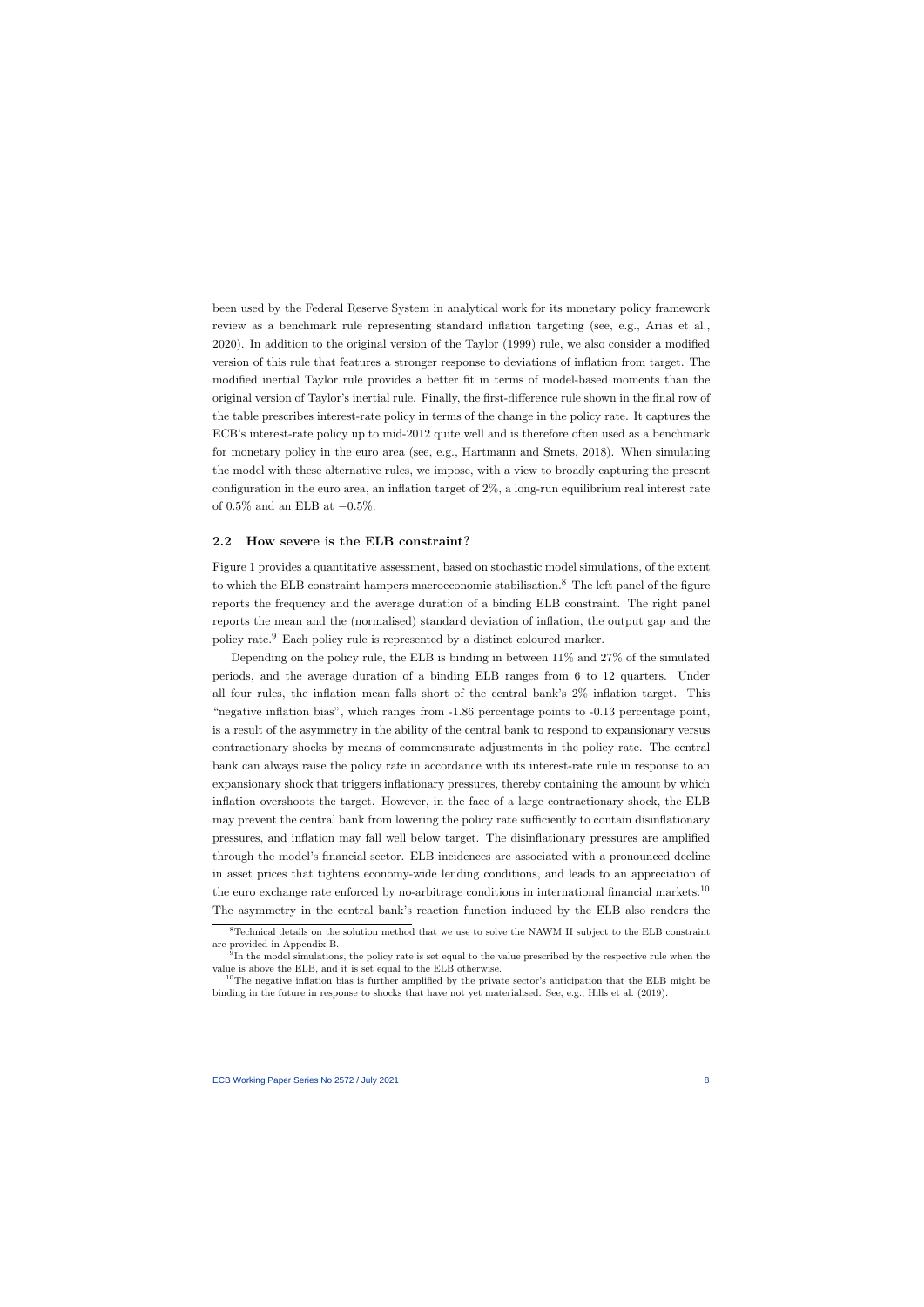been used by the Federal Reserve System in analytical work for its monetary policy framework review as a benchmark rule representing standard inflation targeting (see, e.g., Arias et al., 2020). In addition to the original version of the Taylor (1999) rule, we also consider a modified version of this rule that features a stronger response to deviations of inflation from target. The modified inertial Taylor rule provides a better fit in terms of model-based moments than the original version of Taylor's inertial rule. Finally, the first-difference rule shown in the final row of the table prescribes interest-rate policy in terms of the change in the policy rate. It captures the ECB's interest-rate policy up to mid-2012 quite well and is therefore often used as a benchmark for monetary policy in the euro area (see, e.g., Hartmann and Smets, 2018). When simulating the model with these alternative rules, we impose, with a view to broadly capturing the present configuration in the euro area, an inflation target of 2%, a long-run equilibrium real interest rate of 0.5% and an ELB at  $-0.5\%$ .

#### 2.2 How severe is the ELB constraint?

Figure 1 provides a quantitative assessment, based on stochastic model simulations, of the extent to which the ELB constraint hampers macroeconomic stabilisation.<sup>8</sup> The left panel of the figure reports the frequency and the average duration of a binding ELB constraint. The right panel reports the mean and the (normalised) standard deviation of inflation, the output gap and the policy rate.<sup>9</sup> Each policy rule is represented by a distinct coloured marker.

Depending on the policy rule, the ELB is binding in between 11% and 27% of the simulated periods, and the average duration of a binding ELB ranges from 6 to 12 quarters. Under all four rules, the inflation mean falls short of the central bank's 2% inflation target. This "negative inflation bias", which ranges from -1.86 percentage points to -0.13 percentage point, is a result of the asymmetry in the ability of the central bank to respond to expansionary versus contractionary shocks by means of commensurate adjustments in the policy rate. The central bank can always raise the policy rate in accordance with its interest-rate rule in response to an expansionary shock that triggers inflationary pressures, thereby containing the amount by which inflation overshoots the target. However, in the face of a large contractionary shock, the ELB may prevent the central bank from lowering the policy rate sufficiently to contain disinflationary pressures, and inflation may fall well below target. The disinflationary pressures are amplified through the model's financial sector. ELB incidences are associated with a pronounced decline in asset prices that tightens economy-wide lending conditions, and leads to an appreciation of the euro exchange rate enforced by no-arbitrage conditions in international financial markets.<sup>10</sup> The asymmetry in the central bank's reaction function induced by the ELB also renders the

<sup>8</sup>Technical details on the solution method that we use to solve the NAWM II subject to the ELB constraint are provided in Appendix B.

<sup>&</sup>lt;sup>9</sup>In the model simulations, the policy rate is set equal to the value prescribed by the respective rule when the value is above the ELB, and it is set equal to the ELB otherwise.

<sup>&</sup>lt;sup>10</sup>The negative inflation bias is further amplified by the private sector's anticipation that the ELB might be binding in the future in response to shocks that have not yet materialised. See, e.g., Hills et al. (2019).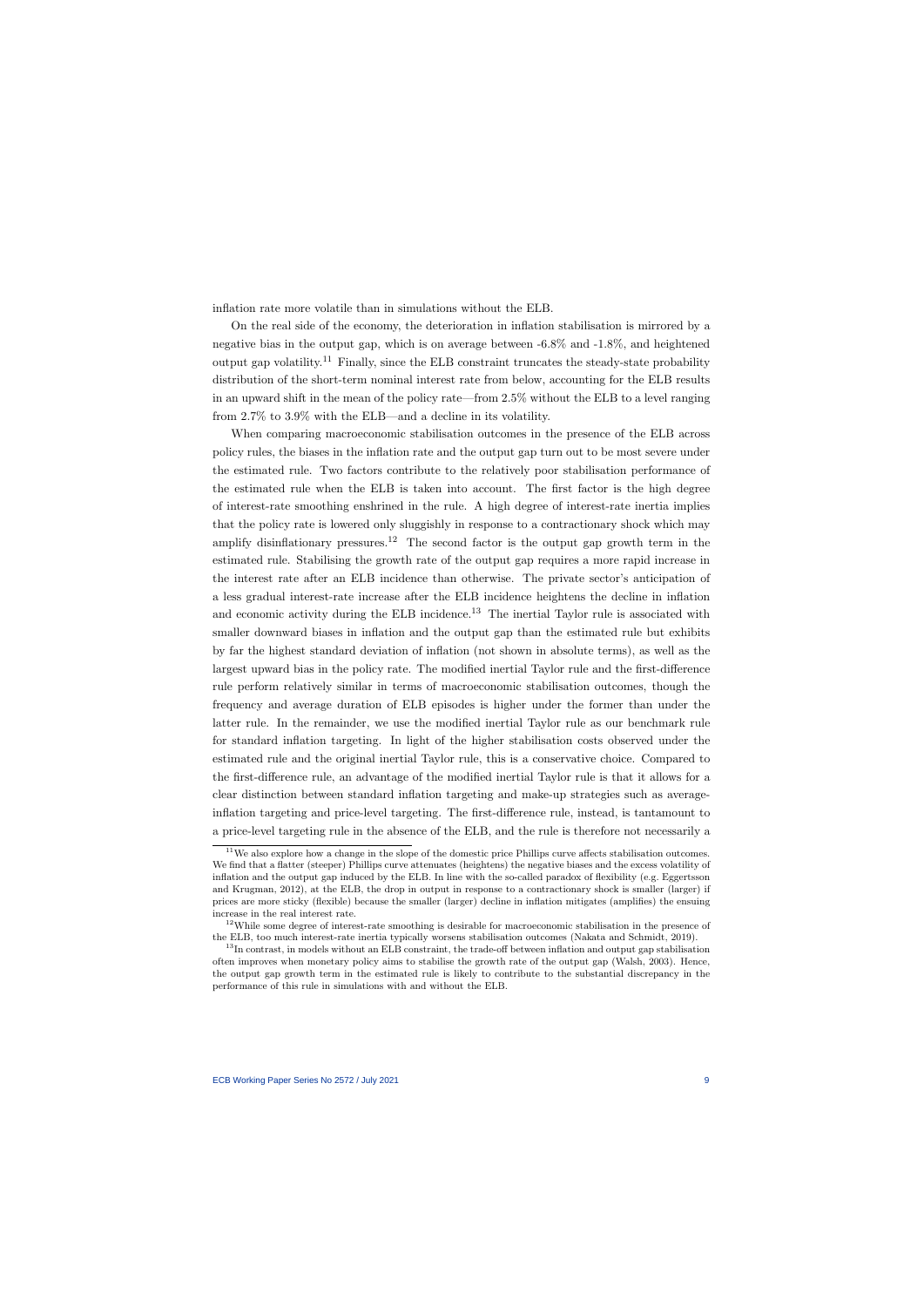inflation rate more volatile than in simulations without the ELB.

On the real side of the economy, the deterioration in inflation stabilisation is mirrored by a negative bias in the output gap, which is on average between -6.8% and -1.8%, and heightened output gap volatility.<sup>11</sup> Finally, since the ELB constraint truncates the steady-state probability distribution of the short-term nominal interest rate from below, accounting for the ELB results in an upward shift in the mean of the policy rate—from 2.5% without the ELB to a level ranging from 2.7% to 3.9% with the ELB—and a decline in its volatility.

When comparing macroeconomic stabilisation outcomes in the presence of the ELB across policy rules, the biases in the inflation rate and the output gap turn out to be most severe under the estimated rule. Two factors contribute to the relatively poor stabilisation performance of the estimated rule when the ELB is taken into account. The first factor is the high degree of interest-rate smoothing enshrined in the rule. A high degree of interest-rate inertia implies that the policy rate is lowered only sluggishly in response to a contractionary shock which may amplify disinflationary pressures.<sup>12</sup> The second factor is the output gap growth term in the estimated rule. Stabilising the growth rate of the output gap requires a more rapid increase in the interest rate after an ELB incidence than otherwise. The private sector's anticipation of a less gradual interest-rate increase after the ELB incidence heightens the decline in inflation and economic activity during the ELB incidence.<sup>13</sup> The inertial Taylor rule is associated with smaller downward biases in inflation and the output gap than the estimated rule but exhibits by far the highest standard deviation of inflation (not shown in absolute terms), as well as the largest upward bias in the policy rate. The modified inertial Taylor rule and the first-difference rule perform relatively similar in terms of macroeconomic stabilisation outcomes, though the frequency and average duration of ELB episodes is higher under the former than under the latter rule. In the remainder, we use the modified inertial Taylor rule as our benchmark rule for standard inflation targeting. In light of the higher stabilisation costs observed under the estimated rule and the original inertial Taylor rule, this is a conservative choice. Compared to the first-difference rule, an advantage of the modified inertial Taylor rule is that it allows for a clear distinction between standard inflation targeting and make-up strategies such as averageinflation targeting and price-level targeting. The first-difference rule, instead, is tantamount to a price-level targeting rule in the absence of the ELB, and the rule is therefore not necessarily a

 $11$ We also explore how a change in the slope of the domestic price Phillips curve affects stabilisation outcomes. We find that a flatter (steeper) Phillips curve attenuates (heightens) the negative biases and the excess volatility of inflation and the output gap induced by the ELB. In line with the so-called paradox of flexibility (e.g. Eggertsson and Krugman, 2012), at the ELB, the drop in output in response to a contractionary shock is smaller (larger) if prices are more sticky (flexible) because the smaller (larger) decline in inflation mitigates (amplifies) the ensuing increase in the real interest rate.

 $12$ While some degree of interest-rate smoothing is desirable for macroeconomic stabilisation in the presence of the ELB, too much interest-rate inertia typically worsens stabilisation outcomes (Nakata and Schmidt, 2019).

<sup>&</sup>lt;sup>13</sup>In contrast, in models without an ELB constraint, the trade-off between inflation and output gap stabilisation often improves when monetary policy aims to stabilise the growth rate of the output gap (Walsh, 2003). Hence, the output gap growth term in the estimated rule is likely to contribute to the substantial discrepancy in the performance of this rule in simulations with and without the ELB.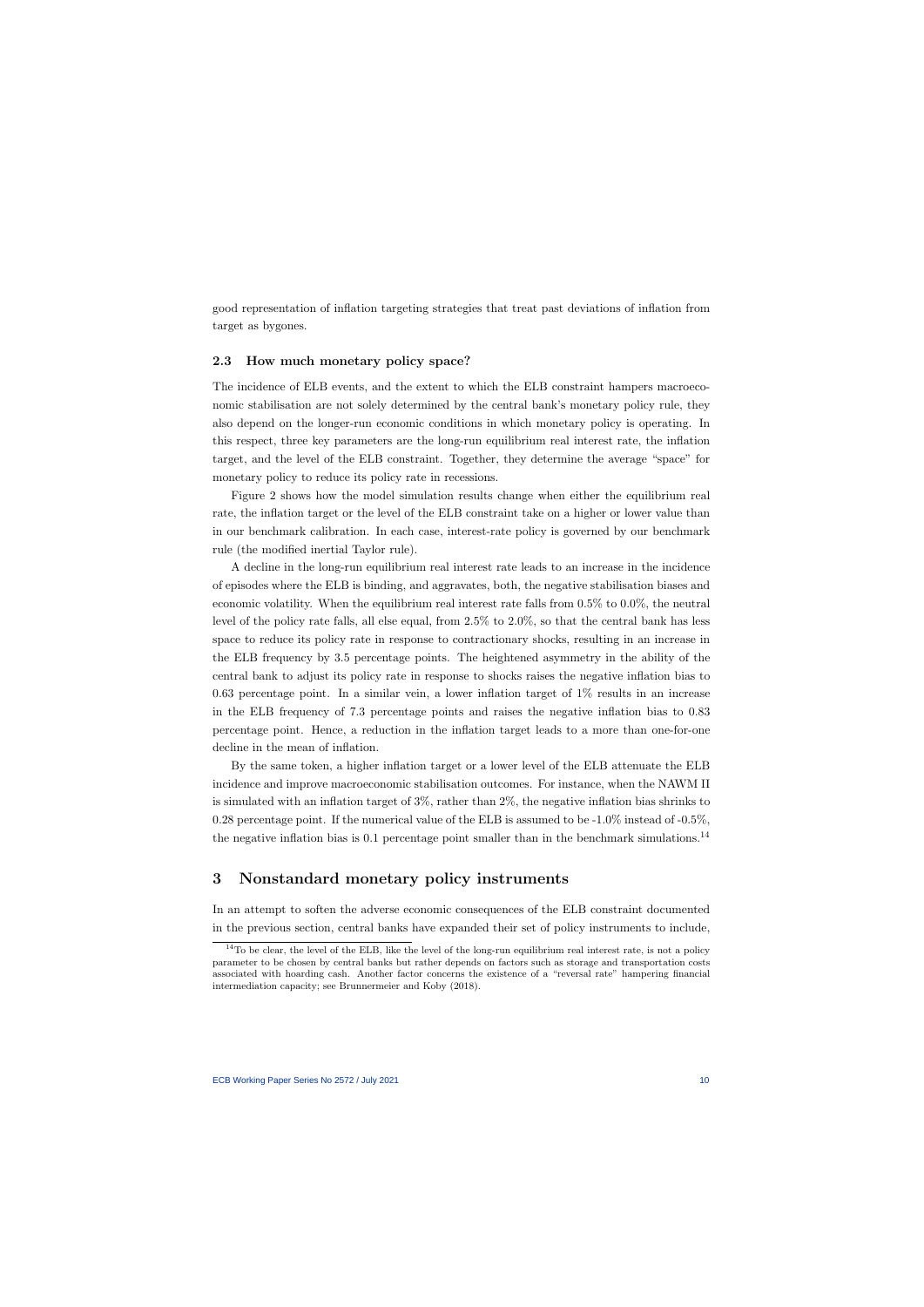good representation of inflation targeting strategies that treat past deviations of inflation from target as bygones.

#### 2.3 How much monetary policy space?

The incidence of ELB events, and the extent to which the ELB constraint hampers macroeconomic stabilisation are not solely determined by the central bank's monetary policy rule, they also depend on the longer-run economic conditions in which monetary policy is operating. In this respect, three key parameters are the long-run equilibrium real interest rate, the inflation target, and the level of the ELB constraint. Together, they determine the average "space" for monetary policy to reduce its policy rate in recessions.

Figure 2 shows how the model simulation results change when either the equilibrium real rate, the inflation target or the level of the ELB constraint take on a higher or lower value than in our benchmark calibration. In each case, interest-rate policy is governed by our benchmark rule (the modified inertial Taylor rule).

A decline in the long-run equilibrium real interest rate leads to an increase in the incidence of episodes where the ELB is binding, and aggravates, both, the negative stabilisation biases and economic volatility. When the equilibrium real interest rate falls from 0.5% to 0.0%, the neutral level of the policy rate falls, all else equal, from 2.5% to 2.0%, so that the central bank has less space to reduce its policy rate in response to contractionary shocks, resulting in an increase in the ELB frequency by 3.5 percentage points. The heightened asymmetry in the ability of the central bank to adjust its policy rate in response to shocks raises the negative inflation bias to 0.63 percentage point. In a similar vein, a lower inflation target of  $1\%$  results in an increase in the ELB frequency of 7.3 percentage points and raises the negative inflation bias to 0.83 percentage point. Hence, a reduction in the inflation target leads to a more than one-for-one decline in the mean of inflation.

By the same token, a higher inflation target or a lower level of the ELB attenuate the ELB incidence and improve macroeconomic stabilisation outcomes. For instance, when the NAWM II is simulated with an inflation target of 3%, rather than 2%, the negative inflation bias shrinks to 0.28 percentage point. If the numerical value of the ELB is assumed to be -1.0% instead of -0.5%, the negative inflation bias is  $0.1$  percentage point smaller than in the benchmark simulations.<sup>14</sup>

### 3 Nonstandard monetary policy instruments

In an attempt to soften the adverse economic consequences of the ELB constraint documented in the previous section, central banks have expanded their set of policy instruments to include,

 $14$ To be clear, the level of the ELB, like the level of the long-run equilibrium real interest rate, is not a policy parameter to be chosen by central banks but rather depends on factors such as storage and transportation costs associated with hoarding cash. Another factor concerns the existence of a "reversal rate" hampering financial intermediation capacity; see Brunnermeier and Koby (2018).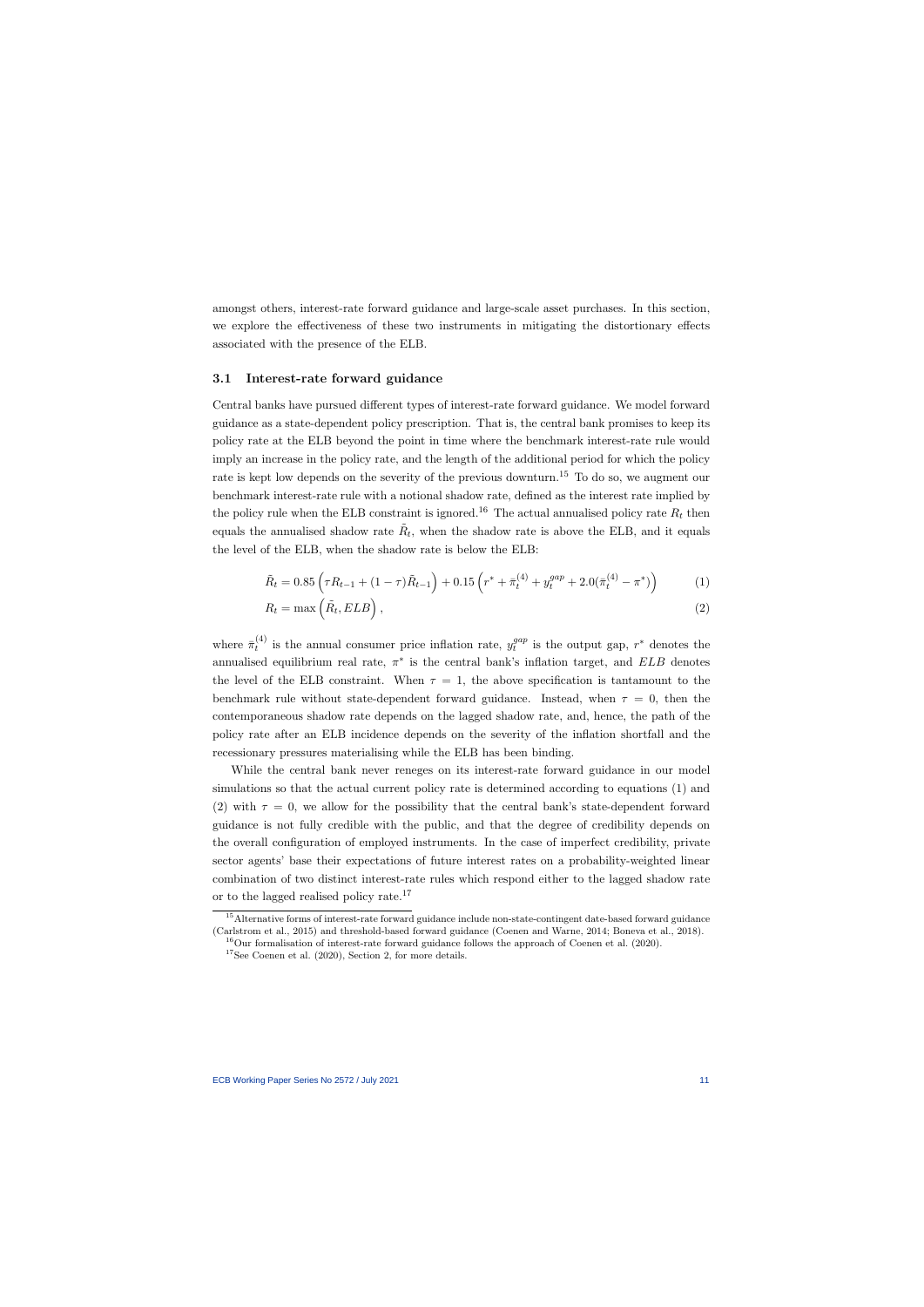amongst others, interest-rate forward guidance and large-scale asset purchases. In this section, we explore the effectiveness of these two instruments in mitigating the distortionary effects associated with the presence of the ELB.

#### 3.1 Interest-rate forward guidance

Central banks have pursued different types of interest-rate forward guidance. We model forward guidance as a state-dependent policy prescription. That is, the central bank promises to keep its policy rate at the ELB beyond the point in time where the benchmark interest-rate rule would imply an increase in the policy rate, and the length of the additional period for which the policy rate is kept low depends on the severity of the previous downturn.<sup>15</sup> To do so, we augment our benchmark interest-rate rule with a notional shadow rate, defined as the interest rate implied by the policy rule when the ELB constraint is ignored.<sup>16</sup> The actual annualised policy rate  $R_t$  then equals the annualised shadow rate  $\tilde{R}_t$ , when the shadow rate is above the ELB, and it equals the level of the ELB, when the shadow rate is below the ELB:

$$
\tilde{R}_t = 0.85 \left( \tau R_{t-1} + (1 - \tau) \tilde{R}_{t-1} \right) + 0.15 \left( r^* + \bar{\pi}_t^{(4)} + y_t^{gap} + 2.0(\bar{\pi}_t^{(4)} - \pi^*) \right) \tag{1}
$$

$$
R_t = \max\left(\tilde{R}_t, ELB\right),\tag{2}
$$

where  $\bar{\pi}_t^{(4)}$  $t_t^{(4)}$  is the annual consumer price inflation rate,  $y_t^{gap}$  $t_t^{gap}$  is the output gap,  $r^*$  denotes the annualised equilibrium real rate,  $\pi^*$  is the central bank's inflation target, and  $ELB$  denotes the level of the ELB constraint. When  $\tau = 1$ , the above specification is tantamount to the benchmark rule without state-dependent forward guidance. Instead, when  $\tau = 0$ , then the contemporaneous shadow rate depends on the lagged shadow rate, and, hence, the path of the policy rate after an ELB incidence depends on the severity of the inflation shortfall and the recessionary pressures materialising while the ELB has been binding.

While the central bank never reneges on its interest-rate forward guidance in our model simulations so that the actual current policy rate is determined according to equations (1) and (2) with  $\tau = 0$ , we allow for the possibility that the central bank's state-dependent forward guidance is not fully credible with the public, and that the degree of credibility depends on the overall configuration of employed instruments. In the case of imperfect credibility, private sector agents' base their expectations of future interest rates on a probability-weighted linear combination of two distinct interest-rate rules which respond either to the lagged shadow rate or to the lagged realised policy rate.<sup>17</sup>

<sup>&</sup>lt;sup>15</sup>Alternative forms of interest-rate forward guidance include non-state-contingent date-based forward guidance (Carlstrom et al., 2015) and threshold-based forward guidance (Coenen and Warne, 2014; Boneva et al., 2018).

 $^{16}$ Our formalisation of interest-rate forward guidance follows the approach of Coenen et al. (2020).

 $17$ See Coenen et al. (2020), Section 2, for more details.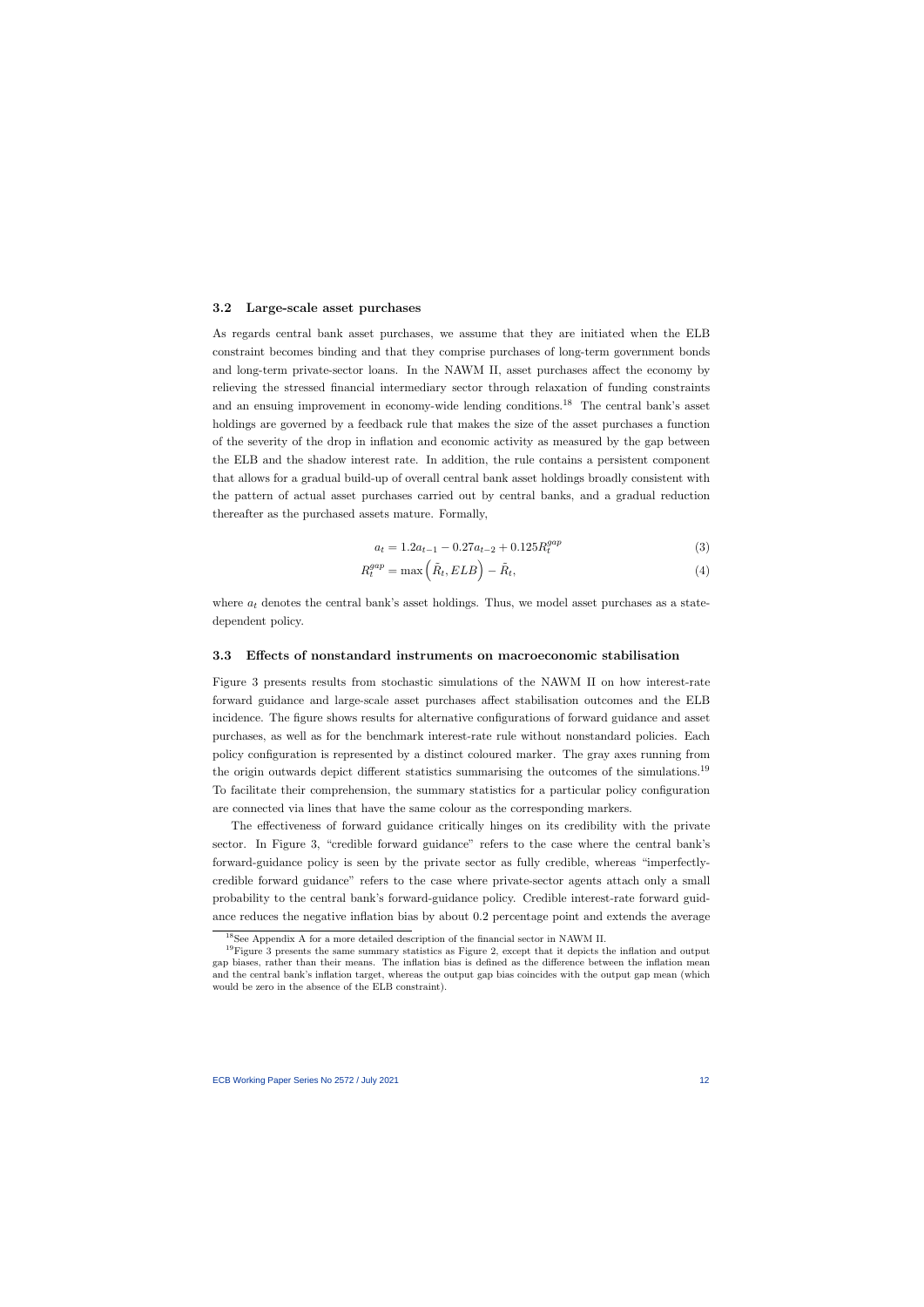#### 3.2 Large-scale asset purchases

As regards central bank asset purchases, we assume that they are initiated when the ELB constraint becomes binding and that they comprise purchases of long-term government bonds and long-term private-sector loans. In the NAWM II, asset purchases affect the economy by relieving the stressed financial intermediary sector through relaxation of funding constraints and an ensuing improvement in economy-wide lending conditions.<sup>18</sup> The central bank's asset holdings are governed by a feedback rule that makes the size of the asset purchases a function of the severity of the drop in inflation and economic activity as measured by the gap between the ELB and the shadow interest rate. In addition, the rule contains a persistent component that allows for a gradual build-up of overall central bank asset holdings broadly consistent with the pattern of actual asset purchases carried out by central banks, and a gradual reduction thereafter as the purchased assets mature. Formally,

$$
a_t = 1.2a_{t-1} - 0.27a_{t-2} + 0.125R_t^{gap}
$$
\n(3)

$$
R_t^{gap} = \max\left(\tilde{R}_t, ELB\right) - \tilde{R}_t,\tag{4}
$$

where  $a_t$  denotes the central bank's asset holdings. Thus, we model asset purchases as a statedependent policy.

#### 3.3 Effects of nonstandard instruments on macroeconomic stabilisation

Figure 3 presents results from stochastic simulations of the NAWM II on how interest-rate forward guidance and large-scale asset purchases affect stabilisation outcomes and the ELB incidence. The figure shows results for alternative configurations of forward guidance and asset purchases, as well as for the benchmark interest-rate rule without nonstandard policies. Each policy configuration is represented by a distinct coloured marker. The gray axes running from the origin outwards depict different statistics summarising the outcomes of the simulations.<sup>19</sup> To facilitate their comprehension, the summary statistics for a particular policy configuration are connected via lines that have the same colour as the corresponding markers.

The effectiveness of forward guidance critically hinges on its credibility with the private sector. In Figure 3, "credible forward guidance" refers to the case where the central bank's forward-guidance policy is seen by the private sector as fully credible, whereas "imperfectlycredible forward guidance" refers to the case where private-sector agents attach only a small probability to the central bank's forward-guidance policy. Credible interest-rate forward guidance reduces the negative inflation bias by about 0.2 percentage point and extends the average

<sup>18</sup>See Appendix A for a more detailed description of the financial sector in NAWM II.

 $19$ Figure 3 presents the same summary statistics as Figure 2, except that it depicts the inflation and output gap biases, rather than their means. The inflation bias is defined as the difference between the inflation mean and the central bank's inflation target, whereas the output gap bias coincides with the output gap mean (which would be zero in the absence of the ELB constraint).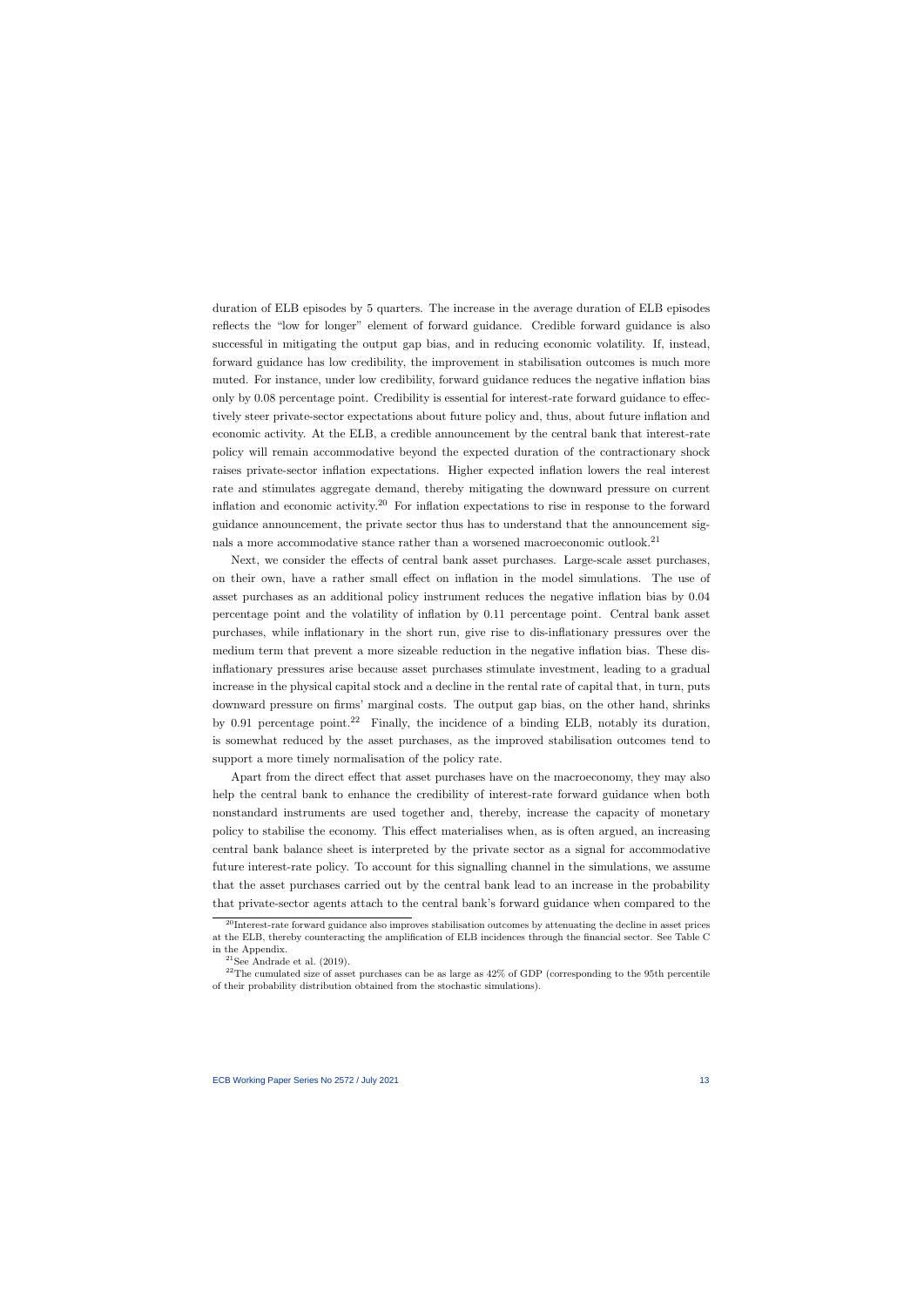duration of ELB episodes by 5 quarters. The increase in the average duration of ELB episodes reflects the "low for longer" element of forward guidance. Credible forward guidance is also successful in mitigating the output gap bias, and in reducing economic volatility. If, instead, forward guidance has low credibility, the improvement in stabilisation outcomes is much more muted. For instance, under low credibility, forward guidance reduces the negative inflation bias only by 0.08 percentage point. Credibility is essential for interest-rate forward guidance to effectively steer private-sector expectations about future policy and, thus, about future inflation and economic activity. At the ELB, a credible announcement by the central bank that interest-rate policy will remain accommodative beyond the expected duration of the contractionary shock raises private-sector inflation expectations. Higher expected inflation lowers the real interest rate and stimulates aggregate demand, thereby mitigating the downward pressure on current inflation and economic activity.<sup>20</sup> For inflation expectations to rise in response to the forward guidance announcement, the private sector thus has to understand that the announcement signals a more accommodative stance rather than a worsened macroeconomic outlook.<sup>21</sup>

Next, we consider the effects of central bank asset purchases. Large-scale asset purchases, on their own, have a rather small effect on inflation in the model simulations. The use of asset purchases as an additional policy instrument reduces the negative inflation bias by 0.04 percentage point and the volatility of inflation by 0.11 percentage point. Central bank asset purchases, while inflationary in the short run, give rise to dis-inflationary pressures over the medium term that prevent a more sizeable reduction in the negative inflation bias. These disinflationary pressures arise because asset purchases stimulate investment, leading to a gradual increase in the physical capital stock and a decline in the rental rate of capital that, in turn, puts downward pressure on firms' marginal costs. The output gap bias, on the other hand, shrinks by 0.91 percentage point.<sup>22</sup> Finally, the incidence of a binding ELB, notably its duration, is somewhat reduced by the asset purchases, as the improved stabilisation outcomes tend to support a more timely normalisation of the policy rate.

Apart from the direct effect that asset purchases have on the macroeconomy, they may also help the central bank to enhance the credibility of interest-rate forward guidance when both nonstandard instruments are used together and, thereby, increase the capacity of monetary policy to stabilise the economy. This effect materialises when, as is often argued, an increasing central bank balance sheet is interpreted by the private sector as a signal for accommodative future interest-rate policy. To account for this signalling channel in the simulations, we assume that the asset purchases carried out by the central bank lead to an increase in the probability that private-sector agents attach to the central bank's forward guidance when compared to the

 $^{20}$ Interest-rate forward guidance also improves stabilisation outcomes by attenuating the decline in asset prices at the ELB, thereby counteracting the amplification of ELB incidences through the financial sector. See Table C in the Appendix.

 $21$ See Andrade et al. (2019).

 $^{22}$ The cumulated size of asset purchases can be as large as  $42\%$  of GDP (corresponding to the 95th percentile of their probability distribution obtained from the stochastic simulations).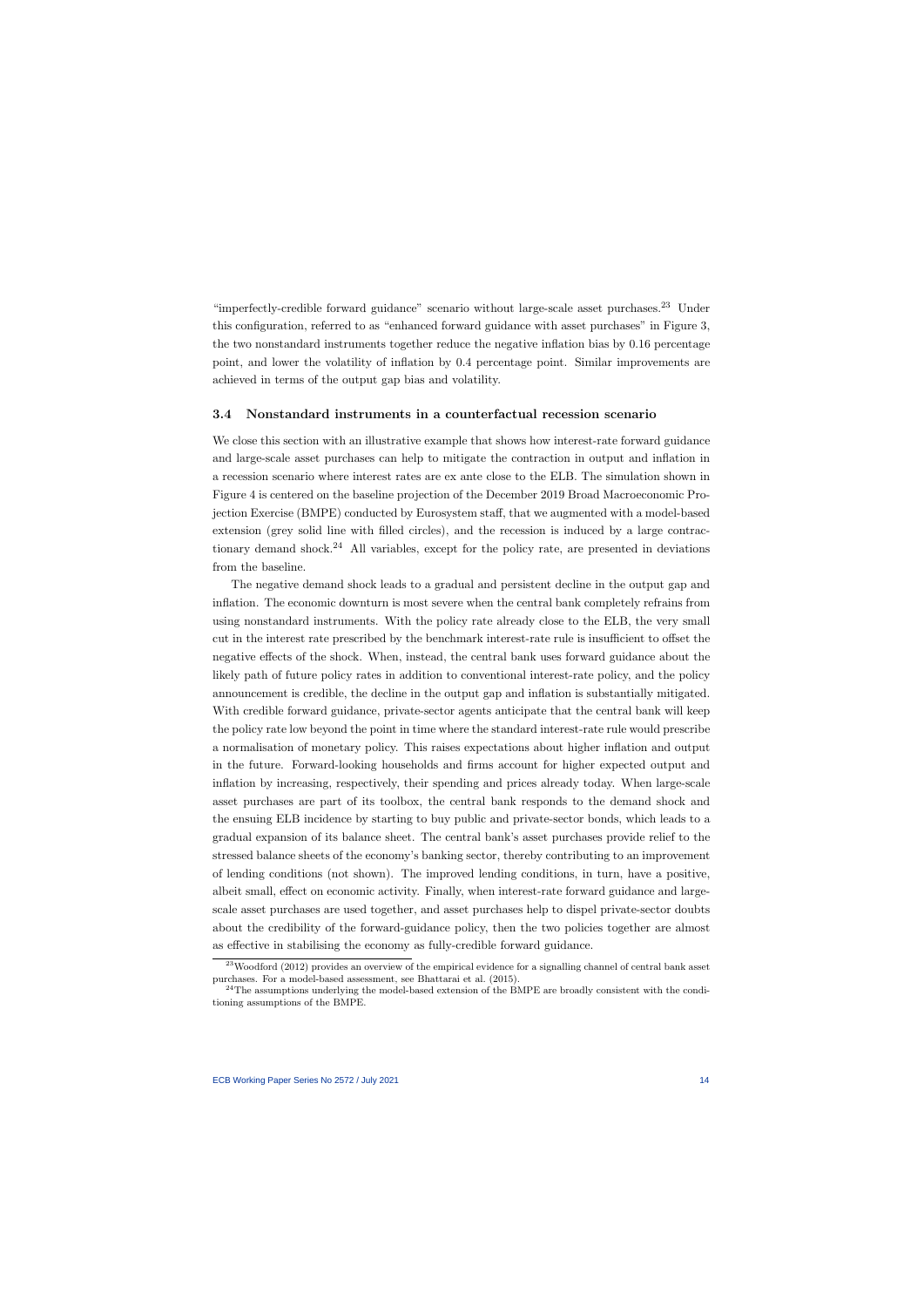"imperfectly-credible forward guidance" scenario without large-scale asset purchases.<sup>23</sup> Under this configuration, referred to as "enhanced forward guidance with asset purchases" in Figure 3, the two nonstandard instruments together reduce the negative inflation bias by 0.16 percentage point, and lower the volatility of inflation by 0.4 percentage point. Similar improvements are achieved in terms of the output gap bias and volatility.

#### 3.4 Nonstandard instruments in a counterfactual recession scenario

We close this section with an illustrative example that shows how interest-rate forward guidance and large-scale asset purchases can help to mitigate the contraction in output and inflation in a recession scenario where interest rates are ex ante close to the ELB. The simulation shown in Figure 4 is centered on the baseline projection of the December 2019 Broad Macroeconomic Projection Exercise (BMPE) conducted by Eurosystem staff, that we augmented with a model-based extension (grey solid line with filled circles), and the recession is induced by a large contractionary demand shock.<sup>24</sup> All variables, except for the policy rate, are presented in deviations from the baseline.

The negative demand shock leads to a gradual and persistent decline in the output gap and inflation. The economic downturn is most severe when the central bank completely refrains from using nonstandard instruments. With the policy rate already close to the ELB, the very small cut in the interest rate prescribed by the benchmark interest-rate rule is insufficient to offset the negative effects of the shock. When, instead, the central bank uses forward guidance about the likely path of future policy rates in addition to conventional interest-rate policy, and the policy announcement is credible, the decline in the output gap and inflation is substantially mitigated. With credible forward guidance, private-sector agents anticipate that the central bank will keep the policy rate low beyond the point in time where the standard interest-rate rule would prescribe a normalisation of monetary policy. This raises expectations about higher inflation and output in the future. Forward-looking households and firms account for higher expected output and inflation by increasing, respectively, their spending and prices already today. When large-scale asset purchases are part of its toolbox, the central bank responds to the demand shock and the ensuing ELB incidence by starting to buy public and private-sector bonds, which leads to a gradual expansion of its balance sheet. The central bank's asset purchases provide relief to the stressed balance sheets of the economy's banking sector, thereby contributing to an improvement of lending conditions (not shown). The improved lending conditions, in turn, have a positive, albeit small, effect on economic activity. Finally, when interest-rate forward guidance and largescale asset purchases are used together, and asset purchases help to dispel private-sector doubts about the credibility of the forward-guidance policy, then the two policies together are almost as effective in stabilising the economy as fully-credible forward guidance.

<sup>&</sup>lt;sup>23</sup>Woodford (2012) provides an overview of the empirical evidence for a signalling channel of central bank asset purchases. For a model-based assessment, see Bhattarai et al. (2015).

 $24$ The assumptions underlying the model-based extension of the BMPE are broadly consistent with the conditioning assumptions of the BMPE.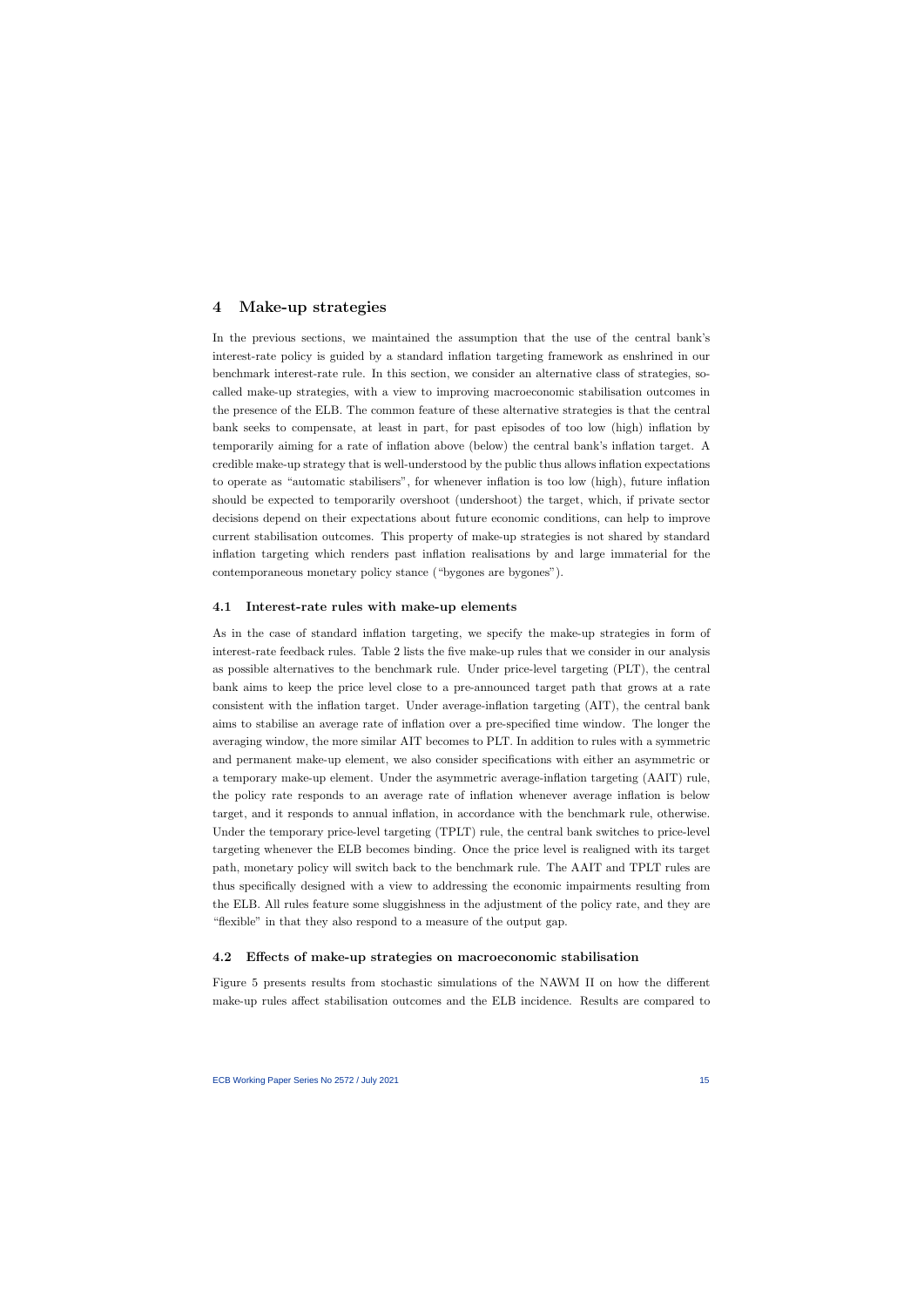## 4 Make-up strategies

In the previous sections, we maintained the assumption that the use of the central bank's interest-rate policy is guided by a standard inflation targeting framework as enshrined in our benchmark interest-rate rule. In this section, we consider an alternative class of strategies, socalled make-up strategies, with a view to improving macroeconomic stabilisation outcomes in the presence of the ELB. The common feature of these alternative strategies is that the central bank seeks to compensate, at least in part, for past episodes of too low (high) inflation by temporarily aiming for a rate of inflation above (below) the central bank's inflation target. A credible make-up strategy that is well-understood by the public thus allows inflation expectations to operate as "automatic stabilisers", for whenever inflation is too low (high), future inflation should be expected to temporarily overshoot (undershoot) the target, which, if private sector decisions depend on their expectations about future economic conditions, can help to improve current stabilisation outcomes. This property of make-up strategies is not shared by standard inflation targeting which renders past inflation realisations by and large immaterial for the contemporaneous monetary policy stance ("bygones are bygones").

#### 4.1 Interest-rate rules with make-up elements

As in the case of standard inflation targeting, we specify the make-up strategies in form of interest-rate feedback rules. Table 2 lists the five make-up rules that we consider in our analysis as possible alternatives to the benchmark rule. Under price-level targeting (PLT), the central bank aims to keep the price level close to a pre-announced target path that grows at a rate consistent with the inflation target. Under average-inflation targeting (AIT), the central bank aims to stabilise an average rate of inflation over a pre-specified time window. The longer the averaging window, the more similar AIT becomes to PLT. In addition to rules with a symmetric and permanent make-up element, we also consider specifications with either an asymmetric or a temporary make-up element. Under the asymmetric average-inflation targeting (AAIT) rule, the policy rate responds to an average rate of inflation whenever average inflation is below target, and it responds to annual inflation, in accordance with the benchmark rule, otherwise. Under the temporary price-level targeting (TPLT) rule, the central bank switches to price-level targeting whenever the ELB becomes binding. Once the price level is realigned with its target path, monetary policy will switch back to the benchmark rule. The AAIT and TPLT rules are thus specifically designed with a view to addressing the economic impairments resulting from the ELB. All rules feature some sluggishness in the adjustment of the policy rate, and they are "flexible" in that they also respond to a measure of the output gap.

#### 4.2 Effects of make-up strategies on macroeconomic stabilisation

Figure 5 presents results from stochastic simulations of the NAWM II on how the different make-up rules affect stabilisation outcomes and the ELB incidence. Results are compared to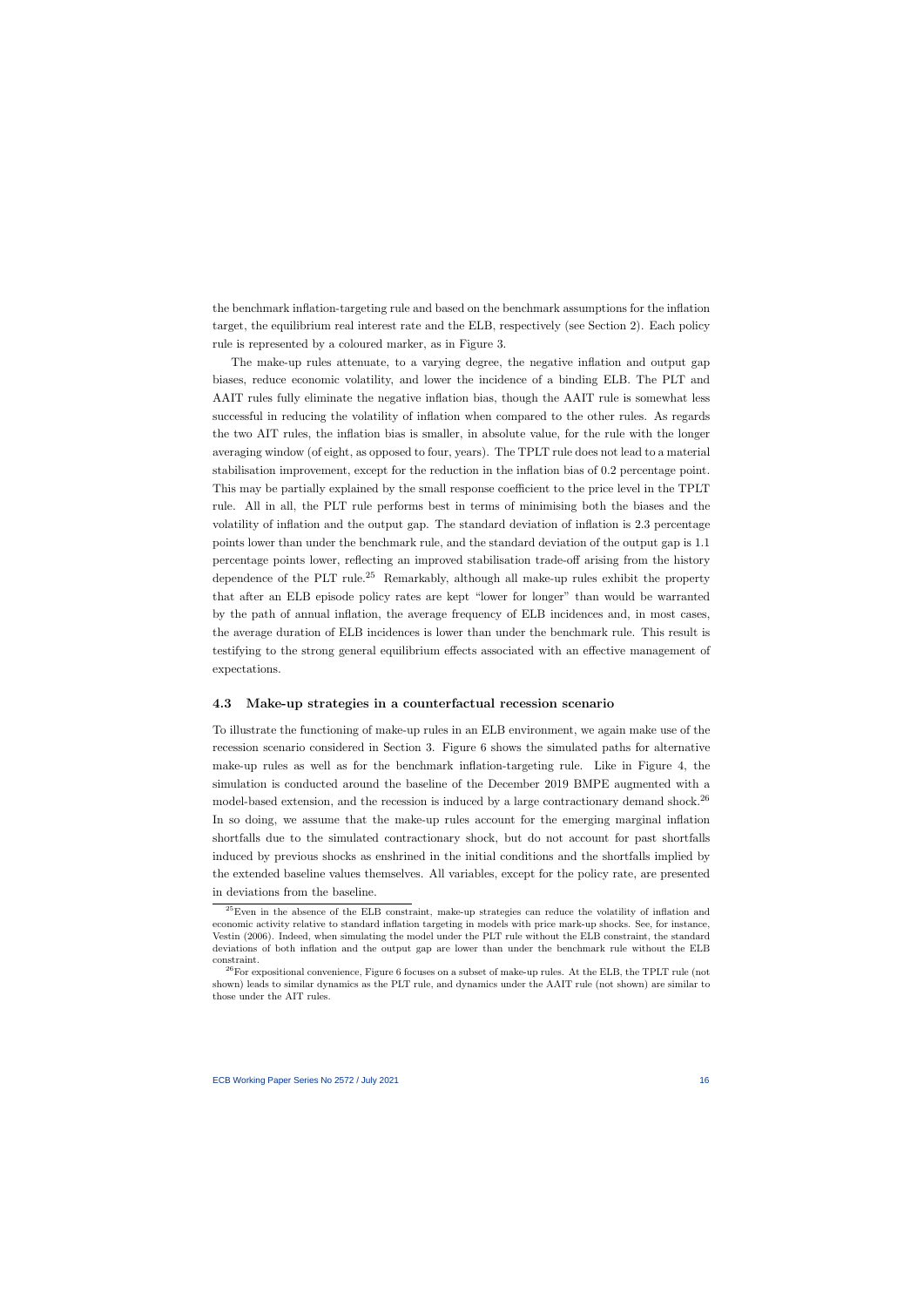the benchmark inflation-targeting rule and based on the benchmark assumptions for the inflation target, the equilibrium real interest rate and the ELB, respectively (see Section 2). Each policy rule is represented by a coloured marker, as in Figure 3.

The make-up rules attenuate, to a varying degree, the negative inflation and output gap biases, reduce economic volatility, and lower the incidence of a binding ELB. The PLT and AAIT rules fully eliminate the negative inflation bias, though the AAIT rule is somewhat less successful in reducing the volatility of inflation when compared to the other rules. As regards the two AIT rules, the inflation bias is smaller, in absolute value, for the rule with the longer averaging window (of eight, as opposed to four, years). The TPLT rule does not lead to a material stabilisation improvement, except for the reduction in the inflation bias of 0.2 percentage point. This may be partially explained by the small response coefficient to the price level in the TPLT rule. All in all, the PLT rule performs best in terms of minimising both the biases and the volatility of inflation and the output gap. The standard deviation of inflation is 2.3 percentage points lower than under the benchmark rule, and the standard deviation of the output gap is 1.1 percentage points lower, reflecting an improved stabilisation trade-off arising from the history dependence of the PLT rule.<sup>25</sup> Remarkably, although all make-up rules exhibit the property that after an ELB episode policy rates are kept "lower for longer" than would be warranted by the path of annual inflation, the average frequency of ELB incidences and, in most cases, the average duration of ELB incidences is lower than under the benchmark rule. This result is testifying to the strong general equilibrium effects associated with an effective management of expectations.

#### 4.3 Make-up strategies in a counterfactual recession scenario

To illustrate the functioning of make-up rules in an ELB environment, we again make use of the recession scenario considered in Section 3. Figure 6 shows the simulated paths for alternative make-up rules as well as for the benchmark inflation-targeting rule. Like in Figure 4, the simulation is conducted around the baseline of the December 2019 BMPE augmented with a model-based extension, and the recession is induced by a large contractionary demand shock.<sup>26</sup> In so doing, we assume that the make-up rules account for the emerging marginal inflation shortfalls due to the simulated contractionary shock, but do not account for past shortfalls induced by previous shocks as enshrined in the initial conditions and the shortfalls implied by the extended baseline values themselves. All variables, except for the policy rate, are presented in deviations from the baseline.

<sup>&</sup>lt;sup>25</sup>Even in the absence of the ELB constraint, make-up strategies can reduce the volatility of inflation and economic activity relative to standard inflation targeting in models with price mark-up shocks. See, for instance, Vestin (2006). Indeed, when simulating the model under the PLT rule without the ELB constraint, the standard deviations of both inflation and the output gap are lower than under the benchmark rule without the ELB constraint.

 $^{26}$ For expositional convenience, Figure 6 focuses on a subset of make-up rules. At the ELB, the TPLT rule (not shown) leads to similar dynamics as the PLT rule, and dynamics under the AAIT rule (not shown) are similar to those under the AIT rules.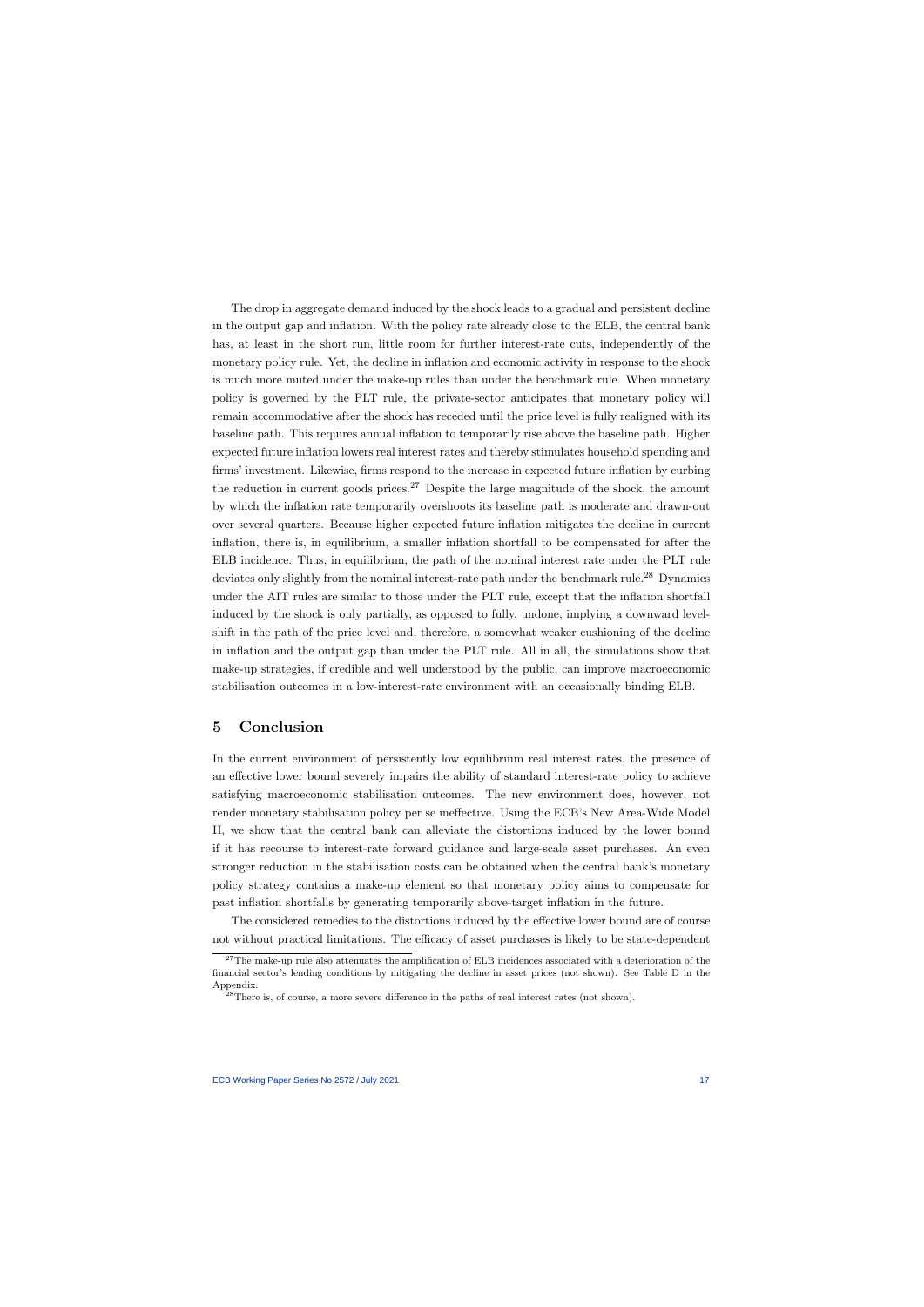The drop in aggregate demand induced by the shock leads to a gradual and persistent decline in the output gap and inflation. With the policy rate already close to the ELB, the central bank has, at least in the short run, little room for further interest-rate cuts, independently of the monetary policy rule. Yet, the decline in inflation and economic activity in response to the shock is much more muted under the make-up rules than under the benchmark rule. When monetary policy is governed by the PLT rule, the private-sector anticipates that monetary policy will remain accommodative after the shock has receded until the price level is fully realigned with its baseline path. This requires annual inflation to temporarily rise above the baseline path. Higher expected future inflation lowers real interest rates and thereby stimulates household spending and firms' investment. Likewise, firms respond to the increase in expected future inflation by curbing the reduction in current goods prices.<sup>27</sup> Despite the large magnitude of the shock, the amount by which the inflation rate temporarily overshoots its baseline path is moderate and drawn-out over several quarters. Because higher expected future inflation mitigates the decline in current inflation, there is, in equilibrium, a smaller inflation shortfall to be compensated for after the ELB incidence. Thus, in equilibrium, the path of the nominal interest rate under the PLT rule deviates only slightly from the nominal interest-rate path under the benchmark rule.<sup>28</sup> Dynamics under the AIT rules are similar to those under the PLT rule, except that the inflation shortfall induced by the shock is only partially, as opposed to fully, undone, implying a downward levelshift in the path of the price level and, therefore, a somewhat weaker cushioning of the decline in inflation and the output gap than under the PLT rule. All in all, the simulations show that make-up strategies, if credible and well understood by the public, can improve macroeconomic stabilisation outcomes in a low-interest-rate environment with an occasionally binding ELB.

## 5 Conclusion

In the current environment of persistently low equilibrium real interest rates, the presence of an effective lower bound severely impairs the ability of standard interest-rate policy to achieve satisfying macroeconomic stabilisation outcomes. The new environment does, however, not render monetary stabilisation policy per se ineffective. Using the ECB's New Area-Wide Model II, we show that the central bank can alleviate the distortions induced by the lower bound if it has recourse to interest-rate forward guidance and large-scale asset purchases. An even stronger reduction in the stabilisation costs can be obtained when the central bank's monetary policy strategy contains a make-up element so that monetary policy aims to compensate for past inflation shortfalls by generating temporarily above-target inflation in the future.

The considered remedies to the distortions induced by the effective lower bound are of course not without practical limitations. The efficacy of asset purchases is likely to be state-dependent

<sup>&</sup>lt;sup>27</sup>The make-up rule also attenuates the amplification of ELB incidences associated with a deterioration of the financial sector's lending conditions by mitigating the decline in asset prices (not shown). See Table D in the Appendix.

 $28$ There is, of course, a more severe difference in the paths of real interest rates (not shown).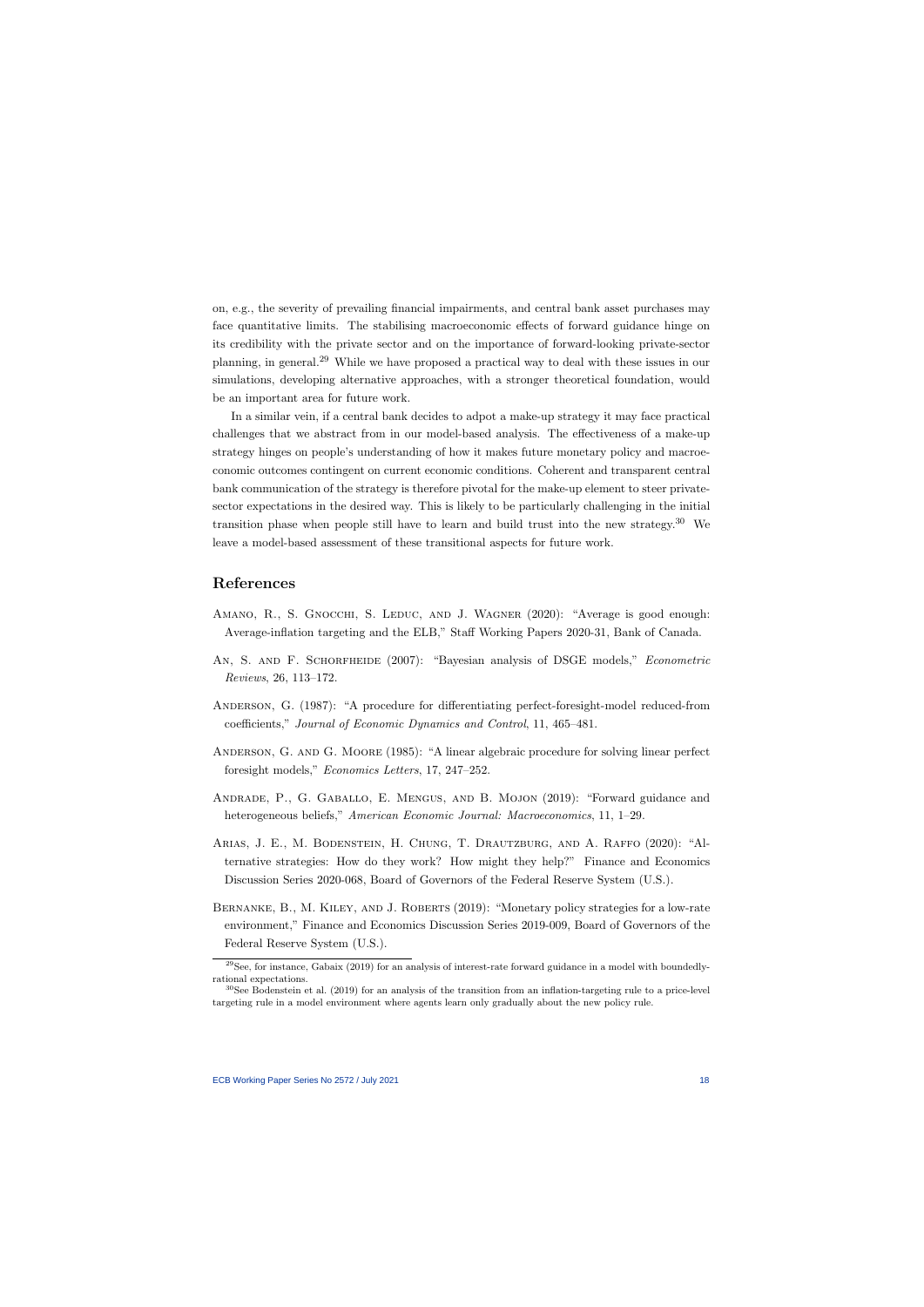on, e.g., the severity of prevailing financial impairments, and central bank asset purchases may face quantitative limits. The stabilising macroeconomic effects of forward guidance hinge on its credibility with the private sector and on the importance of forward-looking private-sector planning, in general.<sup>29</sup> While we have proposed a practical way to deal with these issues in our simulations, developing alternative approaches, with a stronger theoretical foundation, would be an important area for future work.

In a similar vein, if a central bank decides to adpot a make-up strategy it may face practical challenges that we abstract from in our model-based analysis. The effectiveness of a make-up strategy hinges on people's understanding of how it makes future monetary policy and macroeconomic outcomes contingent on current economic conditions. Coherent and transparent central bank communication of the strategy is therefore pivotal for the make-up element to steer privatesector expectations in the desired way. This is likely to be particularly challenging in the initial transition phase when people still have to learn and build trust into the new strategy.<sup>30</sup> We leave a model-based assessment of these transitional aspects for future work.

## References

- AMANO, R., S. GNOCCHI, S. LEDUC, AND J. WAGNER (2020): "Average is good enough: Average-inflation targeting and the ELB," Staff Working Papers 2020-31, Bank of Canada.
- AN, S. AND F. SCHORFHEIDE (2007): "Bayesian analysis of DSGE models," *Econometric* Reviews, 26, 113–172.
- ANDERSON, G. (1987): "A procedure for differentiating perfect-foresight-model reduced-from coefficients," Journal of Economic Dynamics and Control, 11, 465–481.
- Anderson, G. and G. Moore (1985): "A linear algebraic procedure for solving linear perfect foresight models," Economics Letters, 17, 247–252.
- Andrade, P., G. Gaballo, E. Mengus, and B. Mojon (2019): "Forward guidance and heterogeneous beliefs," American Economic Journal: Macroeconomics, 11, 1–29.
- Arias, J. E., M. Bodenstein, H. Chung, T. Drautzburg, and A. Raffo (2020): "Alternative strategies: How do they work? How might they help?" Finance and Economics Discussion Series 2020-068, Board of Governors of the Federal Reserve System (U.S.).
- BERNANKE, B., M. KILEY, AND J. ROBERTS (2019): "Monetary policy strategies for a low-rate environment," Finance and Economics Discussion Series 2019-009, Board of Governors of the Federal Reserve System (U.S.).

 $29$ See, for instance, Gabaix (2019) for an analysis of interest-rate forward guidance in a model with boundedlyrational expectations.

<sup>30</sup>See Bodenstein et al. (2019) for an analysis of the transition from an inflation-targeting rule to a price-level targeting rule in a model environment where agents learn only gradually about the new policy rule.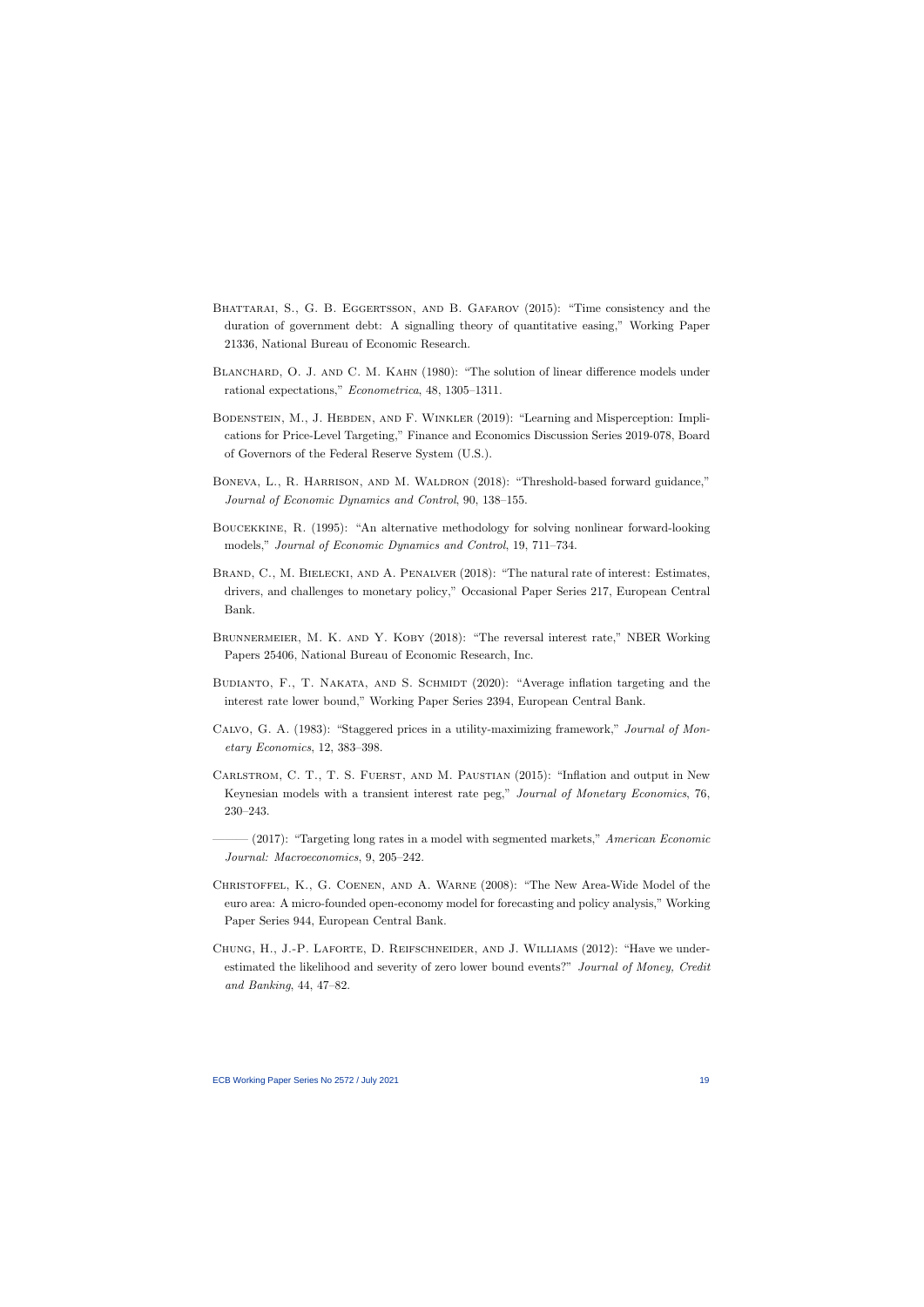- BHATTARAI, S., G. B. EGGERTSSON, AND B. GAFAROV (2015): "Time consistency and the duration of government debt: A signalling theory of quantitative easing," Working Paper 21336, National Bureau of Economic Research.
- BLANCHARD, O. J. AND C. M. KAHN (1980): "The solution of linear difference models under rational expectations," Econometrica, 48, 1305–1311.
- BODENSTEIN, M., J. HEBDEN, AND F. WINKLER (2019): "Learning and Misperception: Implications for Price-Level Targeting," Finance and Economics Discussion Series 2019-078, Board of Governors of the Federal Reserve System (U.S.).
- BONEVA, L., R. HARRISON, AND M. WALDRON (2018): "Threshold-based forward guidance," Journal of Economic Dynamics and Control, 90, 138–155.
- Boucekkine, R. (1995): "An alternative methodology for solving nonlinear forward-looking models," Journal of Economic Dynamics and Control, 19, 711–734.
- BRAND, C., M. BIELECKI, AND A. PENALVER (2018): "The natural rate of interest: Estimates, drivers, and challenges to monetary policy," Occasional Paper Series 217, European Central Bank.
- BRUNNERMEIER, M. K. AND Y. KOBY (2018): "The reversal interest rate," NBER Working Papers 25406, National Bureau of Economic Research, Inc.
- BUDIANTO, F., T. NAKATA, AND S. SCHMIDT (2020): "Average inflation targeting and the interest rate lower bound," Working Paper Series 2394, European Central Bank.
- Calvo, G. A. (1983): "Staggered prices in a utility-maximizing framework," Journal of Monetary Economics, 12, 383–398.
- Carlstrom, C. T., T. S. Fuerst, and M. Paustian (2015): "Inflation and output in New Keynesian models with a transient interest rate peg," Journal of Monetary Economics, 76, 230–243.
- $-(2017)$ : "Targeting long rates in a model with segmented markets," American Economic Journal: Macroeconomics, 9, 205–242.
- Christoffel, K., G. Coenen, and A. Warne (2008): "The New Area-Wide Model of the euro area: A micro-founded open-economy model for forecasting and policy analysis," Working Paper Series 944, European Central Bank.
- Chung, H., J.-P. Laforte, D. Reifschneider, and J. Williams (2012): "Have we underestimated the likelihood and severity of zero lower bound events?" Journal of Money, Credit and Banking, 44, 47–82.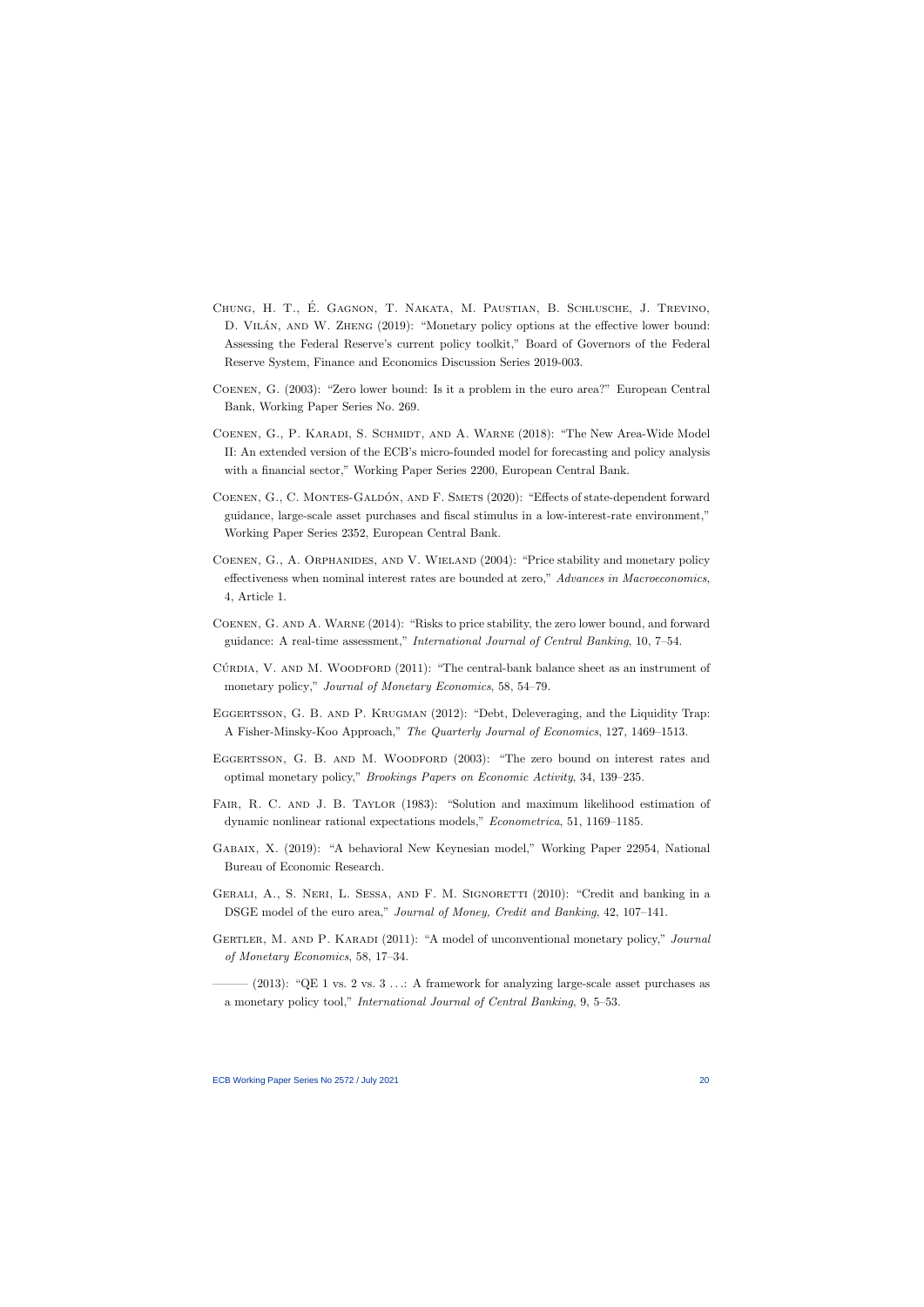- CHUNG, H. T., É. GAGNON, T. NAKATA, M. PAUSTIAN, B. SCHLUSCHE, J. TREVINO, D. VILÁN, AND W. ZHENG (2019): "Monetary policy options at the effective lower bound: Assessing the Federal Reserve's current policy toolkit," Board of Governors of the Federal Reserve System, Finance and Economics Discussion Series 2019-003.
- Coenen, G. (2003): "Zero lower bound: Is it a problem in the euro area?" European Central Bank, Working Paper Series No. 269.
- Coenen, G., P. Karadi, S. Schmidt, and A. Warne (2018): "The New Area-Wide Model II: An extended version of the ECB's micro-founded model for forecasting and policy analysis with a financial sector," Working Paper Series 2200, European Central Bank.
- COENEN, G., C. MONTES-GALDÓN, AND F. SMETS (2020): "Effects of state-dependent forward guidance, large-scale asset purchases and fiscal stimulus in a low-interest-rate environment," Working Paper Series 2352, European Central Bank.
- COENEN, G., A. ORPHANIDES, AND V. WIELAND (2004): "Price stability and monetary policy effectiveness when nominal interest rates are bounded at zero," Advances in Macroeconomics, 4, Article 1.
- Coenen, G. and A. Warne (2014): "Risks to price stability, the zero lower bound, and forward guidance: A real-time assessment," International Journal of Central Banking, 10, 7–54.
- CÚRDIA, V. AND M. WOODFORD  $(2011)$ : "The central-bank balance sheet as an instrument of monetary policy," *Journal of Monetary Economics*, 58, 54–79.
- EGGERTSSON, G. B. AND P. KRUGMAN (2012): "Debt, Deleveraging, and the Liquidity Trap: A Fisher-Minsky-Koo Approach," The Quarterly Journal of Economics, 127, 1469–1513.
- EGGERTSSON, G. B. AND M. WOODFORD (2003): "The zero bound on interest rates and optimal monetary policy," Brookings Papers on Economic Activity, 34, 139–235.
- FAIR, R. C. AND J. B. TAYLOR (1983): "Solution and maximum likelihood estimation of dynamic nonlinear rational expectations models," Econometrica, 51, 1169–1185.
- Gabaix, X. (2019): "A behavioral New Keynesian model," Working Paper 22954, National Bureau of Economic Research.
- GERALI, A., S. NERI, L. SESSA, AND F. M. SIGNORETTI (2010): "Credit and banking in a DSGE model of the euro area," Journal of Money, Credit and Banking, 42, 107–141.
- GERTLER, M. AND P. KARADI (2011): "A model of unconventional monetary policy," Journal of Monetary Economics, 58, 17–34.
- $(2013)$ : "QE 1 vs. 2 vs. 3 ...: A framework for analyzing large-scale asset purchases as a monetary policy tool," International Journal of Central Banking, 9, 5–53.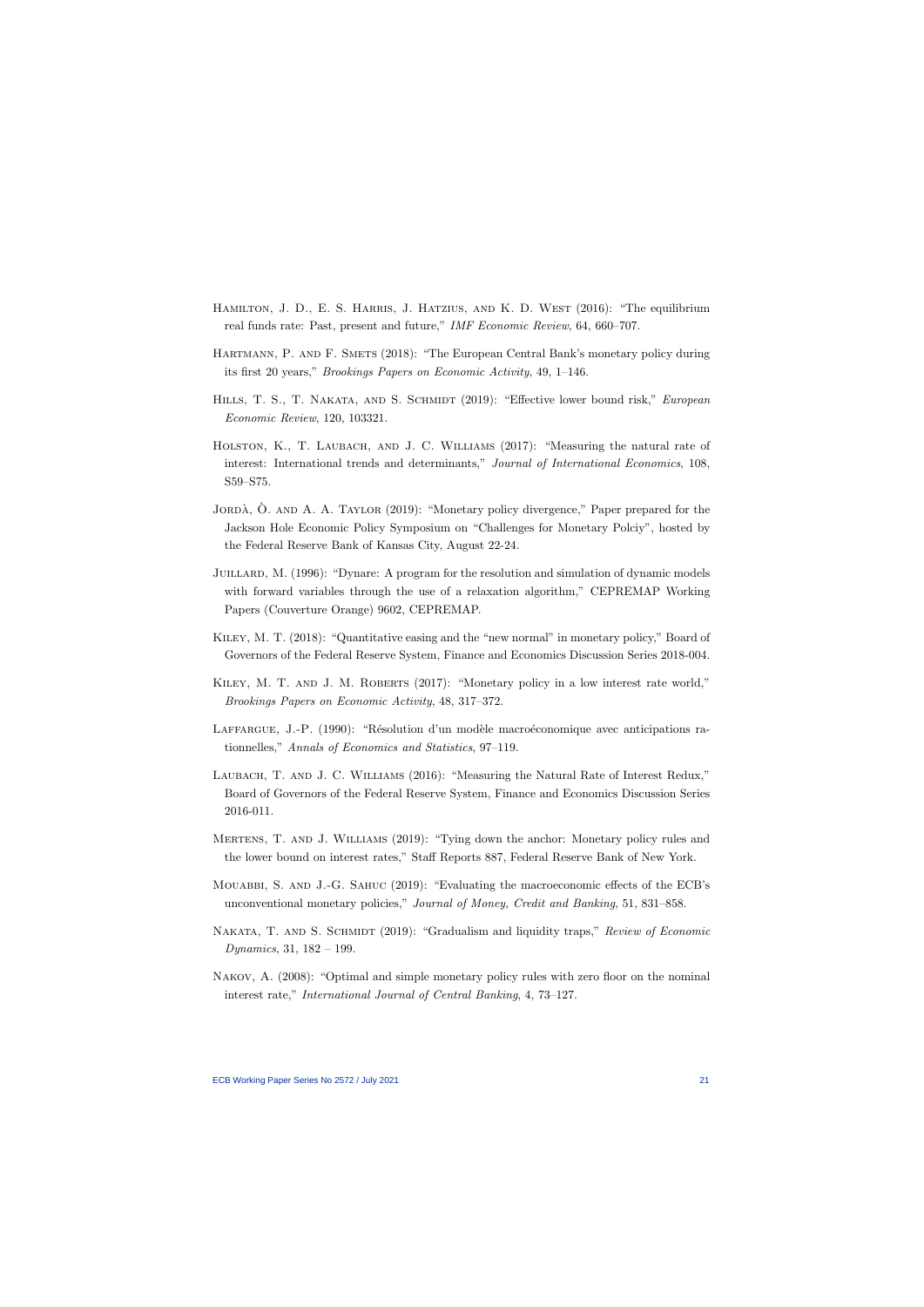- HAMILTON, J. D., E. S. HARRIS, J. HATZIUS, AND K. D. WEST (2016): "The equilibrium real funds rate: Past, present and future," IMF Economic Review, 64, 660–707.
- HARTMANN, P. AND F. SMETS (2018): "The European Central Bank's monetary policy during its first 20 years," Brookings Papers on Economic Activity, 49, 1–146.
- HILLS, T. S., T. NAKATA, AND S. SCHMIDT (2019): "Effective lower bound risk," *European* Economic Review, 120, 103321.
- HOLSTON, K., T. LAUBACH, AND J. C. WILLIAMS (2017): "Measuring the natural rate of interest: International trends and determinants," Journal of International Economics, 108, S59–S75.
- JORDÀ,  $\dot{O}$ . AND A. A. TAYLOR (2019): "Monetary policy divergence," Paper prepared for the Jackson Hole Economic Policy Symposium on "Challenges for Monetary Polciy", hosted by the Federal Reserve Bank of Kansas City, August 22-24.
- JUILLARD, M. (1996): "Dynare: A program for the resolution and simulation of dynamic models with forward variables through the use of a relaxation algorithm," CEPREMAP Working Papers (Couverture Orange) 9602, CEPREMAP.
- Kiley, M. T. (2018): "Quantitative easing and the "new normal" in monetary policy," Board of Governors of the Federal Reserve System, Finance and Economics Discussion Series 2018-004.
- KILEY, M. T. AND J. M. ROBERTS (2017): "Monetary policy in a low interest rate world," Brookings Papers on Economic Activity, 48, 317–372.
- LAFFARGUE, J.-P. (1990): "Résolution d'un modèle macroéconomique avec anticipations rationnelles," Annals of Economics and Statistics, 97–119.
- LAUBACH, T. AND J. C. WILLIAMS (2016): "Measuring the Natural Rate of Interest Redux." Board of Governors of the Federal Reserve System, Finance and Economics Discussion Series 2016-011.
- Mertens, T. and J. Williams (2019): "Tying down the anchor: Monetary policy rules and the lower bound on interest rates," Staff Reports 887, Federal Reserve Bank of New York.
- Mouabbi, S. and J.-G. Sahuc (2019): "Evaluating the macroeconomic effects of the ECB's unconventional monetary policies," Journal of Money, Credit and Banking, 51, 831–858.
- NAKATA, T. AND S. SCHMIDT (2019): "Gradualism and liquidity traps," Review of Economic Dynamics, 31, 182 – 199.
- NAKOV, A. (2008): "Optimal and simple monetary policy rules with zero floor on the nominal interest rate," International Journal of Central Banking, 4, 73–127.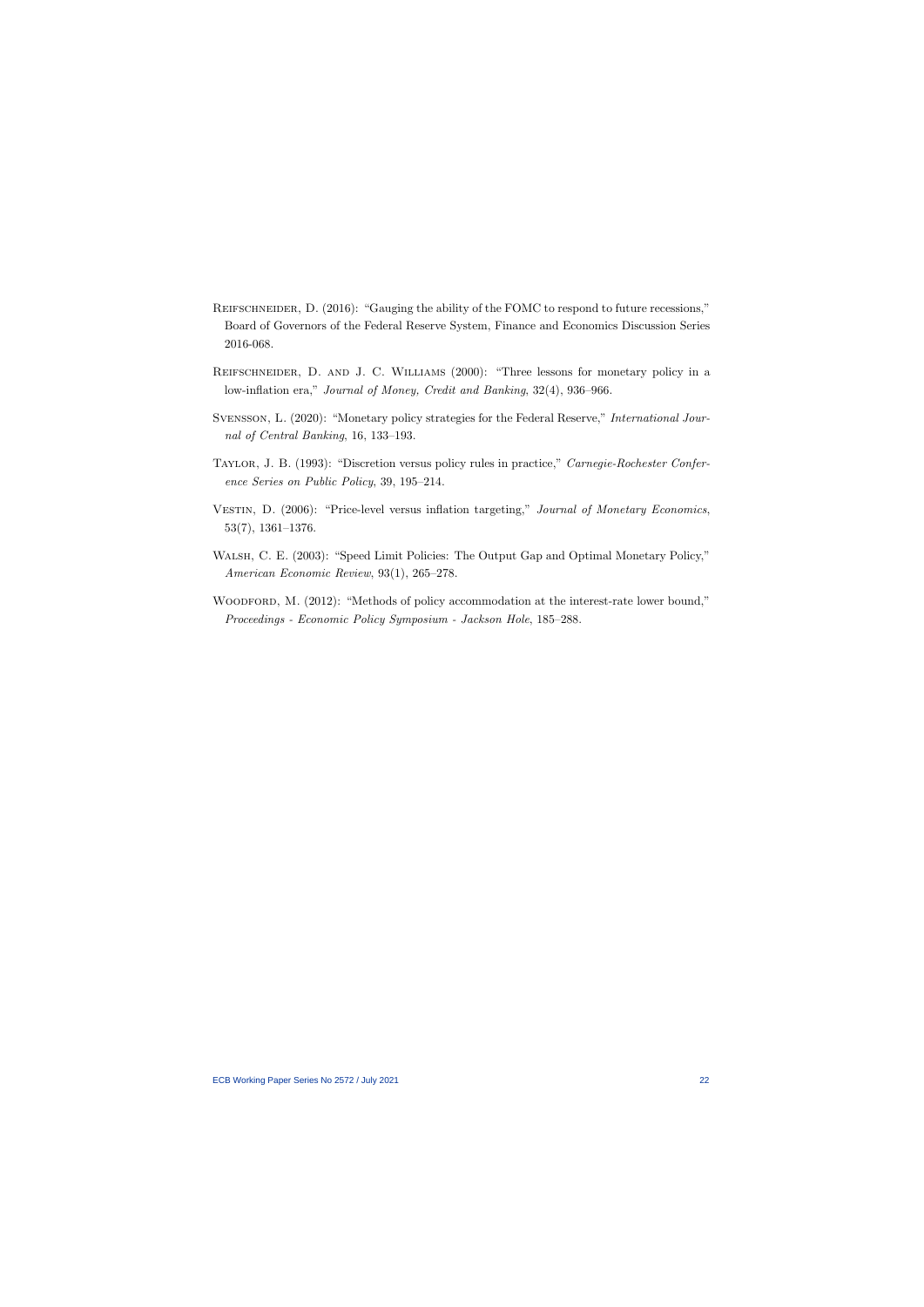- REIFSCHNEIDER, D. (2016): "Gauging the ability of the FOMC to respond to future recessions," Board of Governors of the Federal Reserve System, Finance and Economics Discussion Series 2016-068.
- REIFSCHNEIDER, D. AND J. C. WILLIAMS (2000): "Three lessons for monetary policy in a low-inflation era," Journal of Money, Credit and Banking, 32(4), 936–966.
- SVENSSON, L. (2020): "Monetary policy strategies for the Federal Reserve," *International Jour*nal of Central Banking, 16, 133–193.
- Taylor, J. B. (1993): "Discretion versus policy rules in practice," Carnegie-Rochester Conference Series on Public Policy, 39, 195–214.
- VESTIN, D. (2006): "Price-level versus inflation targeting," Journal of Monetary Economics, 53(7), 1361–1376.
- Walsh, C. E. (2003): "Speed Limit Policies: The Output Gap and Optimal Monetary Policy," American Economic Review, 93(1), 265–278.
- WOODFORD, M. (2012): "Methods of policy accommodation at the interest-rate lower bound," Proceedings - Economic Policy Symposium - Jackson Hole, 185–288.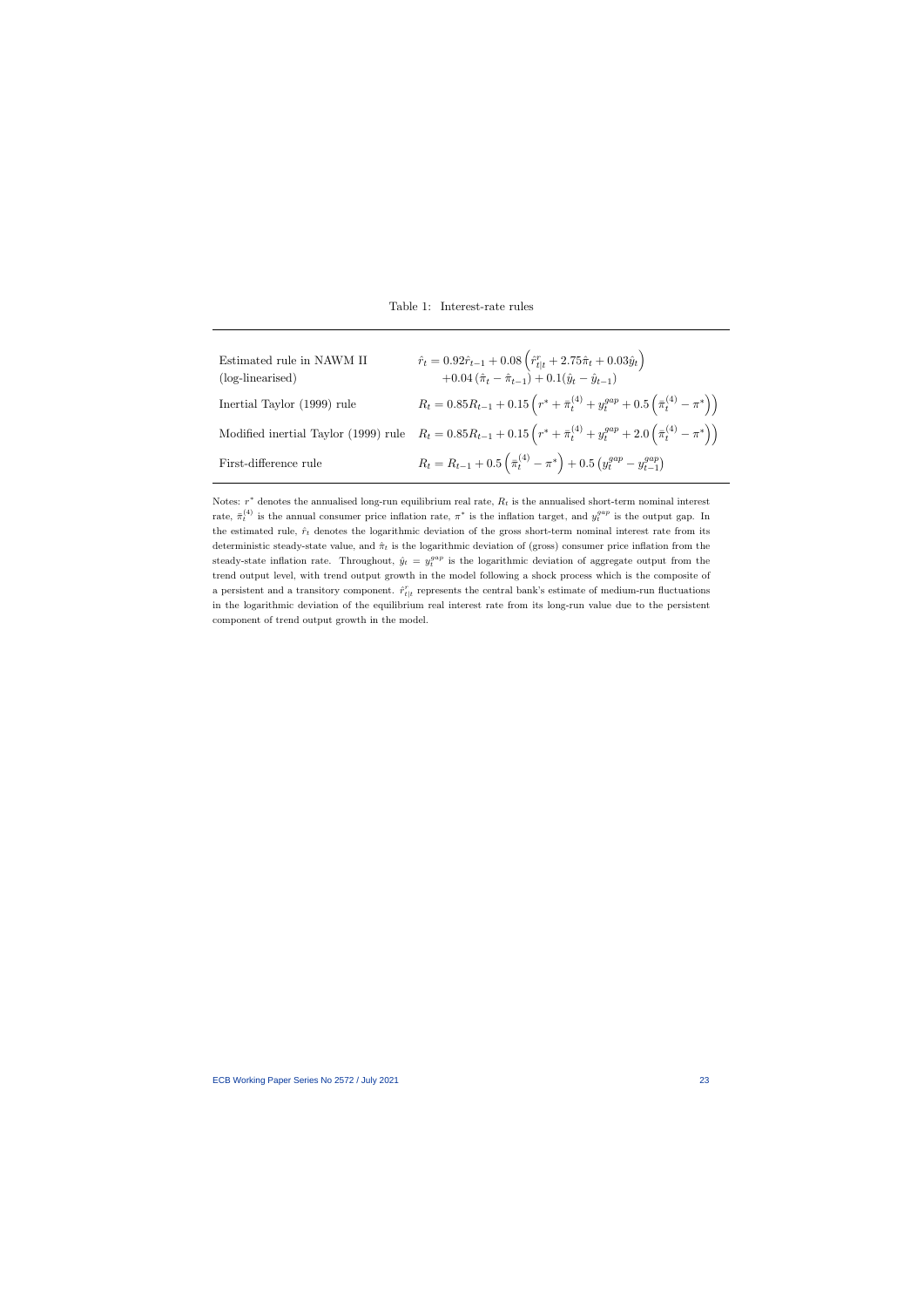| Estimated rule in NAWM II<br>(log-linearised) | $\hat{r}_t = 0.92\hat{r}_{t-1} + 0.08 \left( \hat{r}_{t t}^r + 2.75\hat{\pi}_t + 0.03\hat{y}_t \right)$<br>$+0.04(\hat{\pi}_t-\hat{\pi}_{t-1})+0.1(\hat{y}_t-\hat{y}_{t-1})$ |
|-----------------------------------------------|------------------------------------------------------------------------------------------------------------------------------------------------------------------------------|
| Inertial Taylor (1999) rule                   | $R_t = 0.85R_{t-1} + 0.15\left(r^* + \bar{\pi}_t^{(4)} + y_t^{gap} + 0.5\left(\bar{\pi}_t^{(4)} - \pi^*\right)\right).$                                                      |
|                                               | Modified inertial Taylor (1999) rule $R_t = 0.85R_{t-1} + 0.15\left(r^* + \bar{\pi}_t^{(4)} + y_t^{gap} + 2.0\left(\bar{\pi}_t^{(4)} - \pi^*\right)\right)$                  |
| First-difference rule                         | $R_t = R_{t-1} + 0.5 \left( \bar{\pi}_t^{(4)} - \pi^* \right) + 0.5 \left( y_t^{gap} - y_{t-1}^{gap} \right)$                                                                |

Notes:  $r^*$  denotes the annualised long-run equilibrium real rate,  $R_t$  is the annualised short-term nominal interest rate,  $\bar{\pi}^{(4)}_t$  is the annual consumer price inflation rate,  $\pi^*$  is the inflation target, and  $y_t^{gap}$  is the output gap. In the estimated rule,  $\hat{r}_t$  denotes the logarithmic deviation of the gross short-term nominal interest rate from its deterministic steady-state value, and  $\hat{\pi}_t$  is the logarithmic deviation of (gross) consumer price inflation from the steady-state inflation rate. Throughout,  $\hat{y}_t = y_t^{gap}$  is the logarithmic deviation of aggregate output from the trend output level, with trend output growth in the model following a shock process which is the composite of a persistent and a transitory component.  $\hat{r}_{t|t}^r$  represents the central bank's estimate of medium-run fluctuations in the logarithmic deviation of the equilibrium real interest rate from its long-run value due to the persistent component of trend output growth in the model.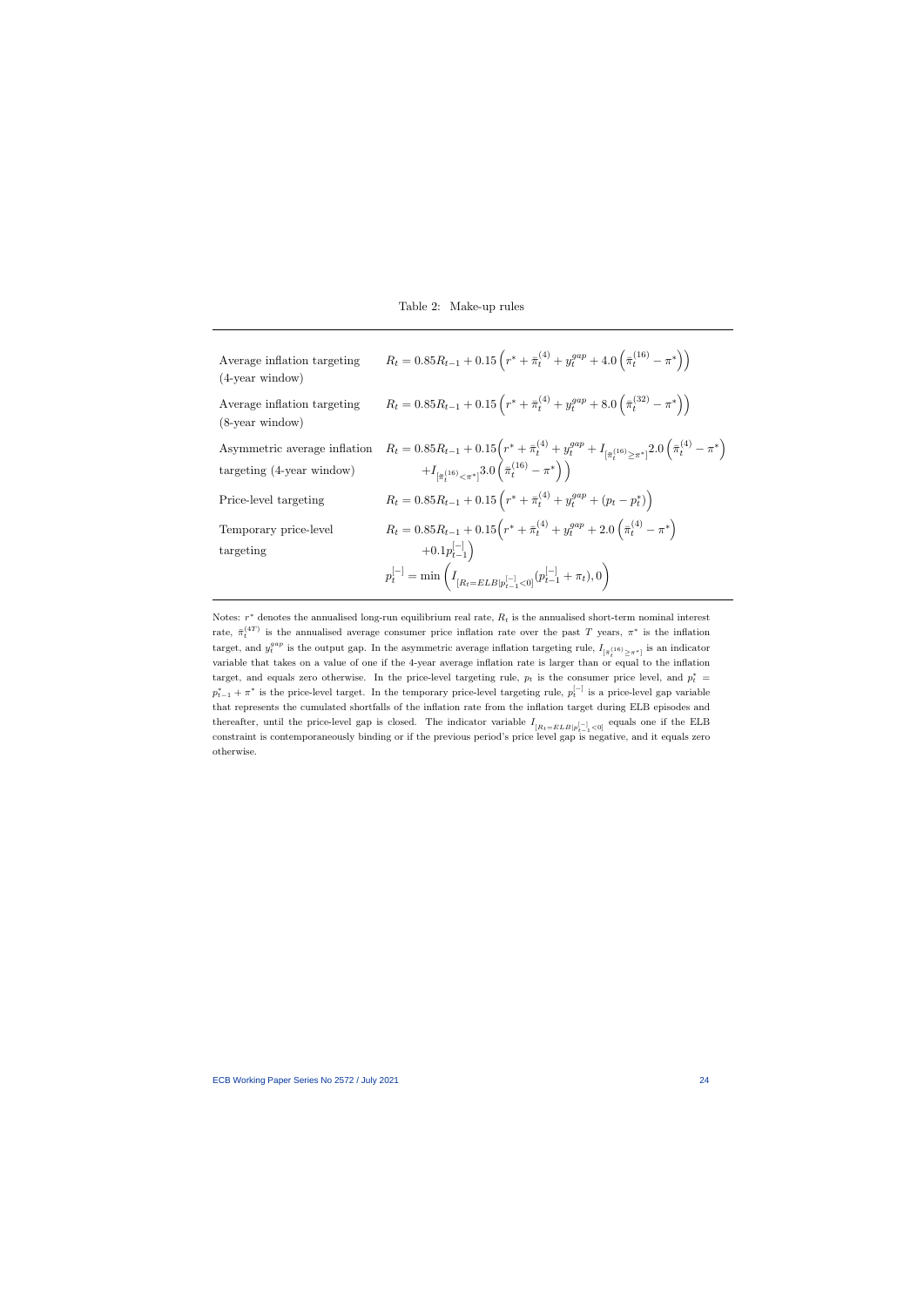| Average inflation targeting<br>$(4$ -year window)            | $R_t = 0.85R_{t-1} + 0.15\left(r^* + \bar{\pi}_t^{(4)} + y_t^{gap} + 4.0\left(\bar{\pi}_t^{(16)} - \pi^*\right)\right)$                                                                                                                                           |
|--------------------------------------------------------------|-------------------------------------------------------------------------------------------------------------------------------------------------------------------------------------------------------------------------------------------------------------------|
| Average inflation targeting<br>$(8$ -year window)            | $R_t = 0.85R_{t-1} + 0.15\left(r^* + \bar{\pi}_t^{(4)} + y_t^{gap} + 8.0\left(\bar{\pi}_t^{(32)} - \pi^*\right)\right)$                                                                                                                                           |
| Asymmetric average inflation<br>targeting $(4$ -year window) | $R_t = 0.85R_{t-1} + 0.15\left(r^* + \bar{\pi}_t^{(4)} + y_t^{gap} + I_{\left[\bar{\pi}_t^{(16)} \geq \pi^*\right]} 2.0\left(\bar{\pi}_t^{(4)} - \pi^*\right) + I_{\left[\bar{\pi}_t^{(16)} \leq \pi^*\right]} 3.0\left(\bar{\pi}_t^{(16)} - \pi^*\right)\right)$ |
| Price-level targeting                                        | $R_t = 0.85R_{t-1} + 0.15\left(r^* + \bar{\pi}_t^{(4)} + y_t^{gap} + (p_t - p_t^*)\right)$                                                                                                                                                                        |
| Temporary price-level<br>targeting                           | $R_t = 0.85R_{t-1} + 0.15(r^* + \bar{\pi}_t^{(4)} + y_t^{gap} + 2.0(\bar{\pi}_t^{(4)} - \pi^*)$<br>$+0.1p_{t-1}^{[-]}$ )<br>$p_t^{[-]} = \min \left( I_{[R_t=ELB p_{t-1}^{[-]}<0]}(p_{t-1}^{[-]}+\pi_t), 0 \right)$                                               |

Notes:  $r^*$  denotes the annualised long-run equilibrium real rate,  $R_t$  is the annualised short-term nominal interest rate,  $\bar{\pi}^{(4T)}_t$  is the annualised average consumer price inflation rate over the past T years,  $\pi^*$  is the inflation target, and  $y_t^{gap}$  is the output gap. In the asymmetric average inflation targeting rule,  $I_{\lbrack \bar{\pi}_t^{(16)} \geq \pi^* \rbrack}$  is an indicator variable that takes on a value of one if the 4-year average inflation rate is larger than or equal to the inflation target, and equals zero otherwise. In the price-level targeting rule,  $p_t$  is the consumer price level, and  $p_t^* =$  $p_{t-1}^* + \pi^*$  is the price-level target. In the temporary price-level targeting rule,  $p_t^{[-]}$  is a price-level gap variable that represents the cumulated shortfalls of the inflation rate from the inflation target during ELB episodes and thereafter, until the price-level gap is closed. The indicator variable  $I_{[R_t=ELB|p_{t-1}^{[-]}<0]}$  equals one if the ELB constraint is contemporaneously binding or if the previous period's price level gap is negative, and it equals zero otherwise.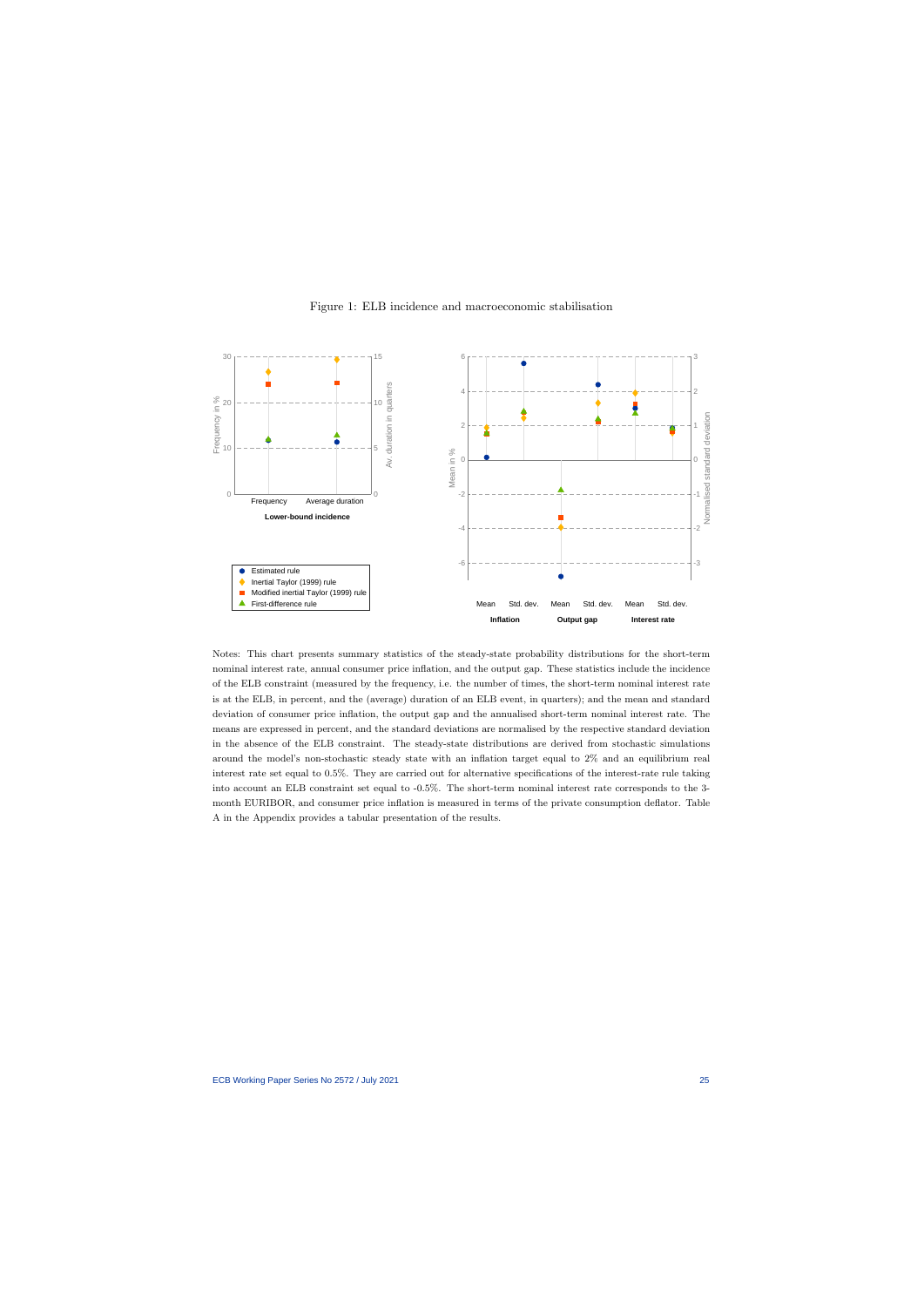

#### Figure 1: ELB incidence and macroeconomic stabilisation

Notes: This chart presents summary statistics of the steady-state probability distributions for the short-term nominal interest rate, annual consumer price inflation, and the output gap. These statistics include the incidence of the ELB constraint (measured by the frequency, i.e. the number of times, the short-term nominal interest rate is at the ELB, in percent, and the (average) duration of an ELB event, in quarters); and the mean and standard deviation of consumer price inflation, the output gap and the annualised short-term nominal interest rate. The means are expressed in percent, and the standard deviations are normalised by the respective standard deviation in the absence of the ELB constraint. The steady-state distributions are derived from stochastic simulations around the model's non-stochastic steady state with an inflation target equal to 2% and an equilibrium real interest rate set equal to 0.5%. They are carried out for alternative specifications of the interest-rate rule taking into account an ELB constraint set equal to -0.5%. The short-term nominal interest rate corresponds to the 3 month EURIBOR, and consumer price inflation is measured in terms of the private consumption deflator. Table A in the Appendix provides a tabular presentation of the results.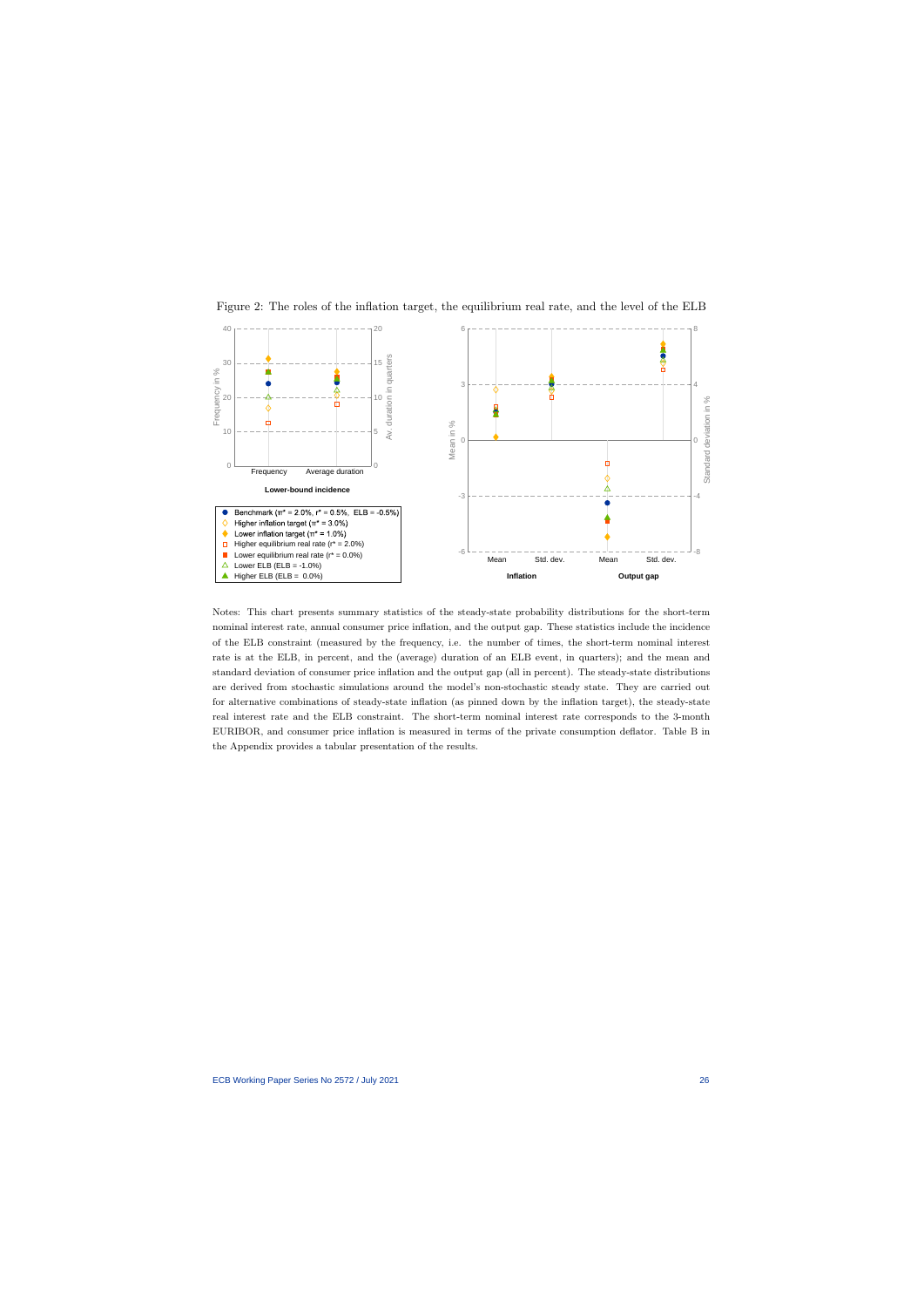

Figure 2: The roles of the inflation target, the equilibrium real rate, and the level of the ELB

Notes: This chart presents summary statistics of the steady-state probability distributions for the short-term nominal interest rate, annual consumer price inflation, and the output gap. These statistics include the incidence of the ELB constraint (measured by the frequency, i.e. the number of times, the short-term nominal interest rate is at the ELB, in percent, and the (average) duration of an ELB event, in quarters); and the mean and standard deviation of consumer price inflation and the output gap (all in percent). The steady-state distributions are derived from stochastic simulations around the model's non-stochastic steady state. They are carried out for alternative combinations of steady-state inflation (as pinned down by the inflation target), the steady-state real interest rate and the ELB constraint. The short-term nominal interest rate corresponds to the 3-month EURIBOR, and consumer price inflation is measured in terms of the private consumption deflator. Table B in the Appendix provides a tabular presentation of the results.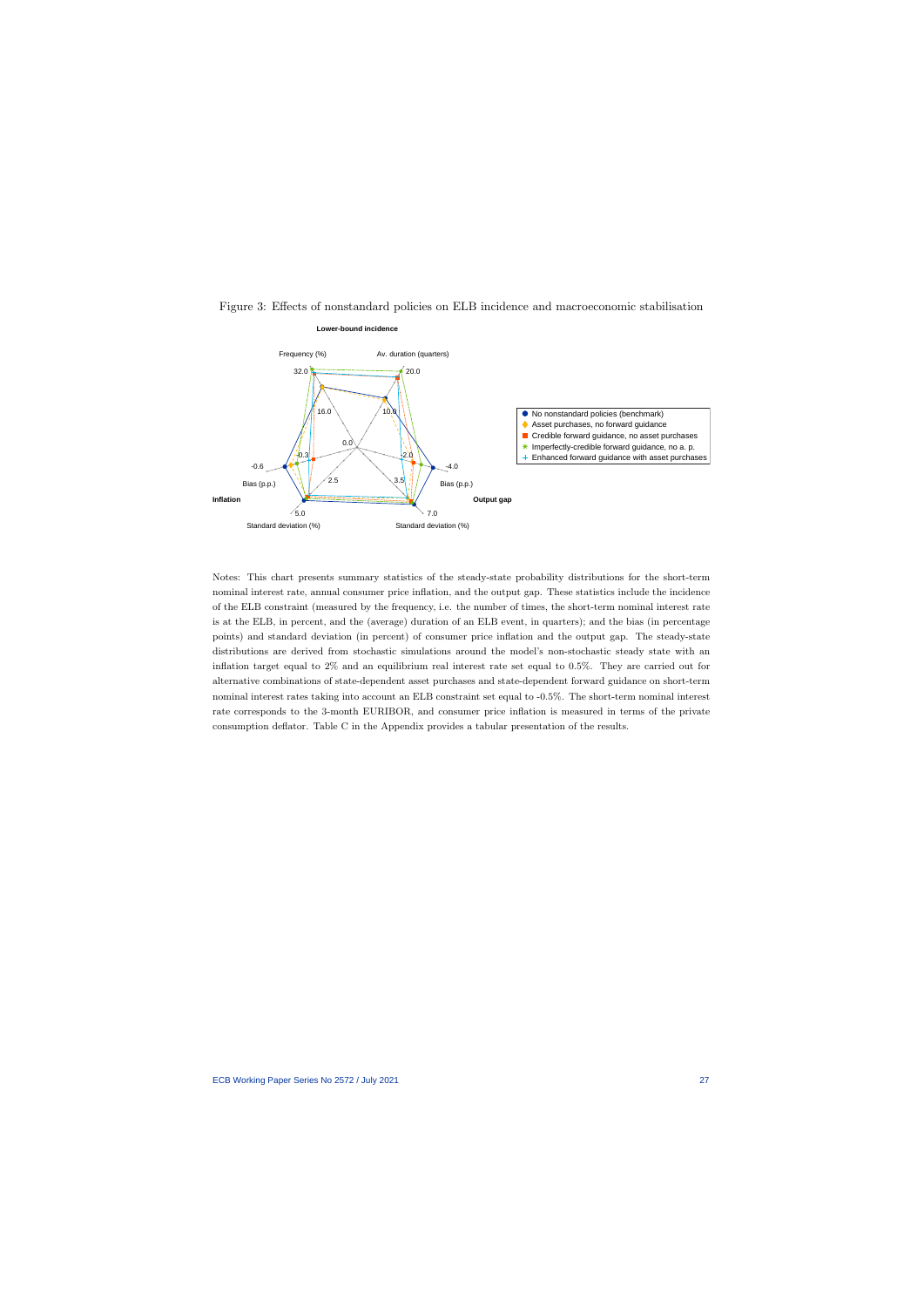

#### Figure 3: Effects of nonstandard policies on ELB incidence and macroeconomic stabilisation

Notes: This chart presents summary statistics of the steady-state probability distributions for the short-term nominal interest rate, annual consumer price inflation, and the output gap. These statistics include the incidence of the ELB constraint (measured by the frequency, i.e. the number of times, the short-term nominal interest rate is at the ELB, in percent, and the (average) duration of an ELB event, in quarters); and the bias (in percentage points) and standard deviation (in percent) of consumer price inflation and the output gap. The steady-state distributions are derived from stochastic simulations around the model's non-stochastic steady state with an inflation target equal to 2% and an equilibrium real interest rate set equal to 0.5%. They are carried out for alternative combinations of state-dependent asset purchases and state-dependent forward guidance on short-term nominal interest rates taking into account an ELB constraint set equal to -0.5%. The short-term nominal interest rate corresponds to the 3-month EURIBOR, and consumer price inflation is measured in terms of the private consumption deflator. Table C in the Appendix provides a tabular presentation of the results.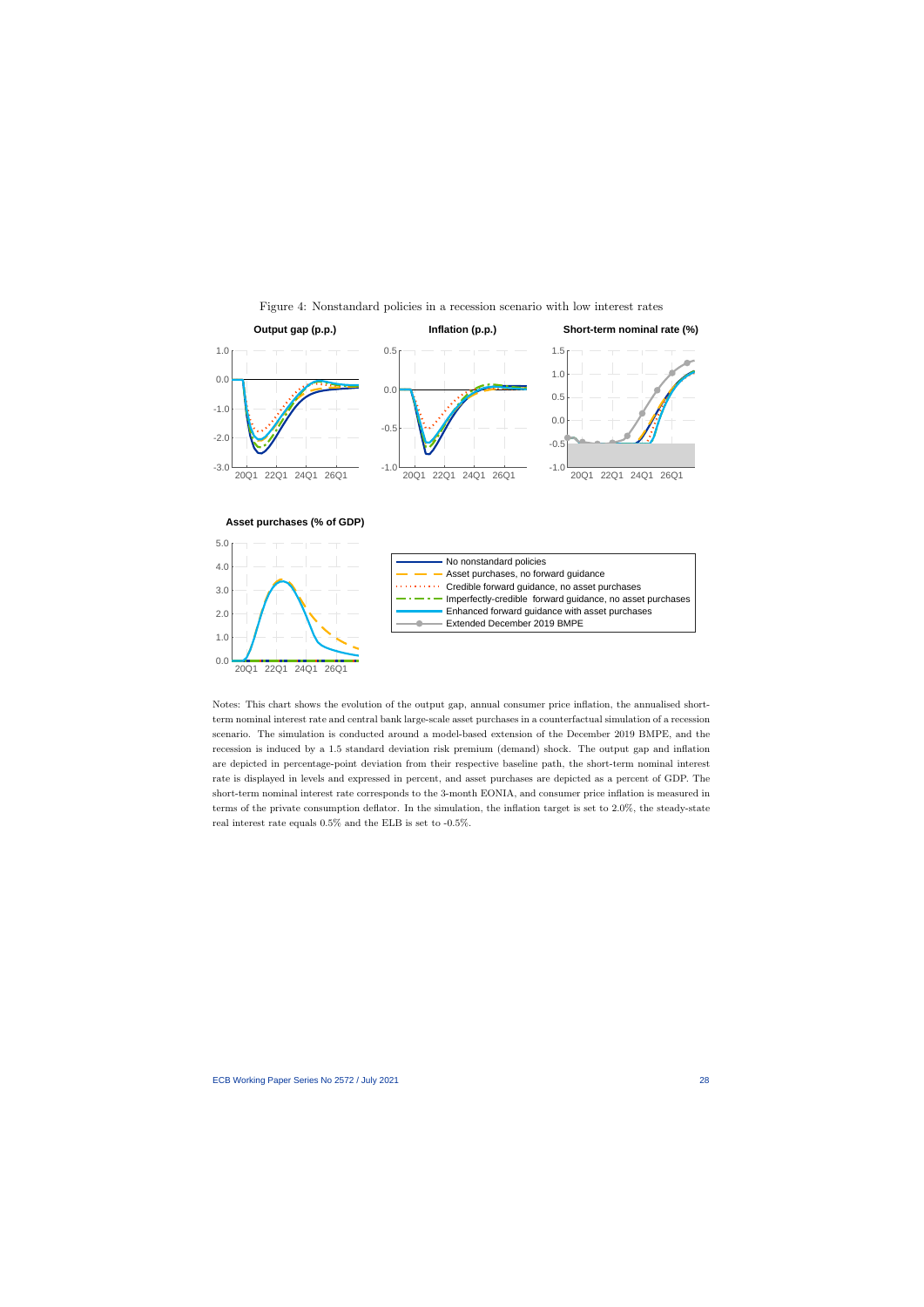

Figure 4: Nonstandard policies in a recession scenario with low interest rates

Notes: This chart shows the evolution of the output gap, annual consumer price inflation, the annualised shortterm nominal interest rate and central bank large-scale asset purchases in a counterfactual simulation of a recession scenario. The simulation is conducted around a model-based extension of the December 2019 BMPE, and the recession is induced by a 1.5 standard deviation risk premium (demand) shock. The output gap and inflation are depicted in percentage-point deviation from their respective baseline path, the short-term nominal interest rate is displayed in levels and expressed in percent, and asset purchases are depicted as a percent of GDP. The short-term nominal interest rate corresponds to the 3-month EONIA, and consumer price inflation is measured in terms of the private consumption deflator. In the simulation, the inflation target is set to 2.0%, the steady-state real interest rate equals 0.5% and the ELB is set to -0.5%.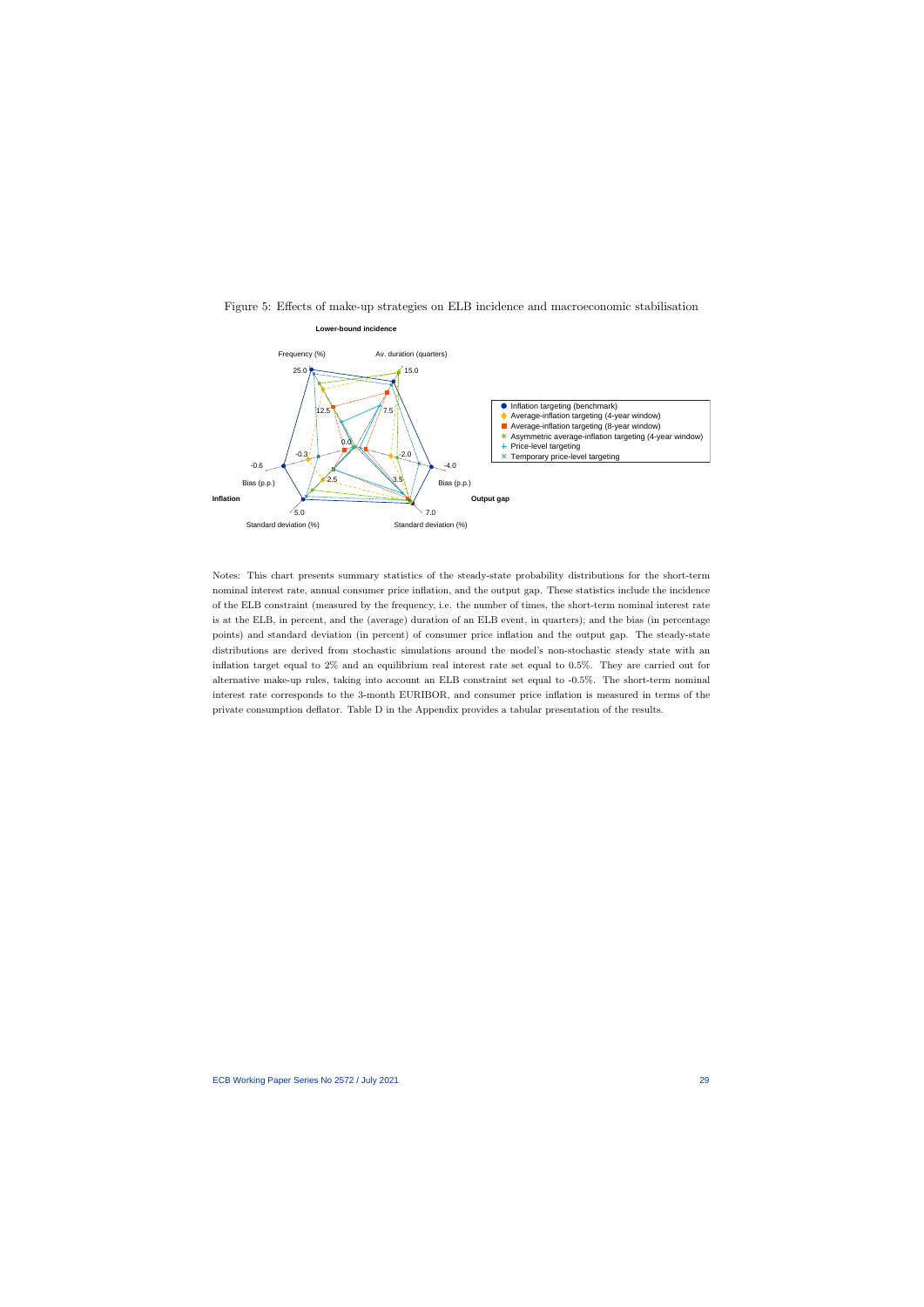

Figure 5: Effects of make-up strategies on ELB incidence and macroeconomic stabilisation

Notes: This chart presents summary statistics of the steady-state probability distributions for the short-term nominal interest rate, annual consumer price inflation, and the output gap. These statistics include the incidence of the ELB constraint (measured by the frequency, i.e. the number of times, the short-term nominal interest rate is at the ELB, in percent, and the (average) duration of an ELB event, in quarters); and the bias (in percentage points) and standard deviation (in percent) of consumer price inflation and the output gap. The steady-state distributions are derived from stochastic simulations around the model's non-stochastic steady state with an inflation target equal to 2% and an equilibrium real interest rate set equal to 0.5%. They are carried out for alternative make-up rules, taking into account an ELB constraint set equal to -0.5%. The short-term nominal interest rate corresponds to the 3-month EURIBOR, and consumer price inflation is measured in terms of the private consumption deflator. Table D in the Appendix provides a tabular presentation of the results.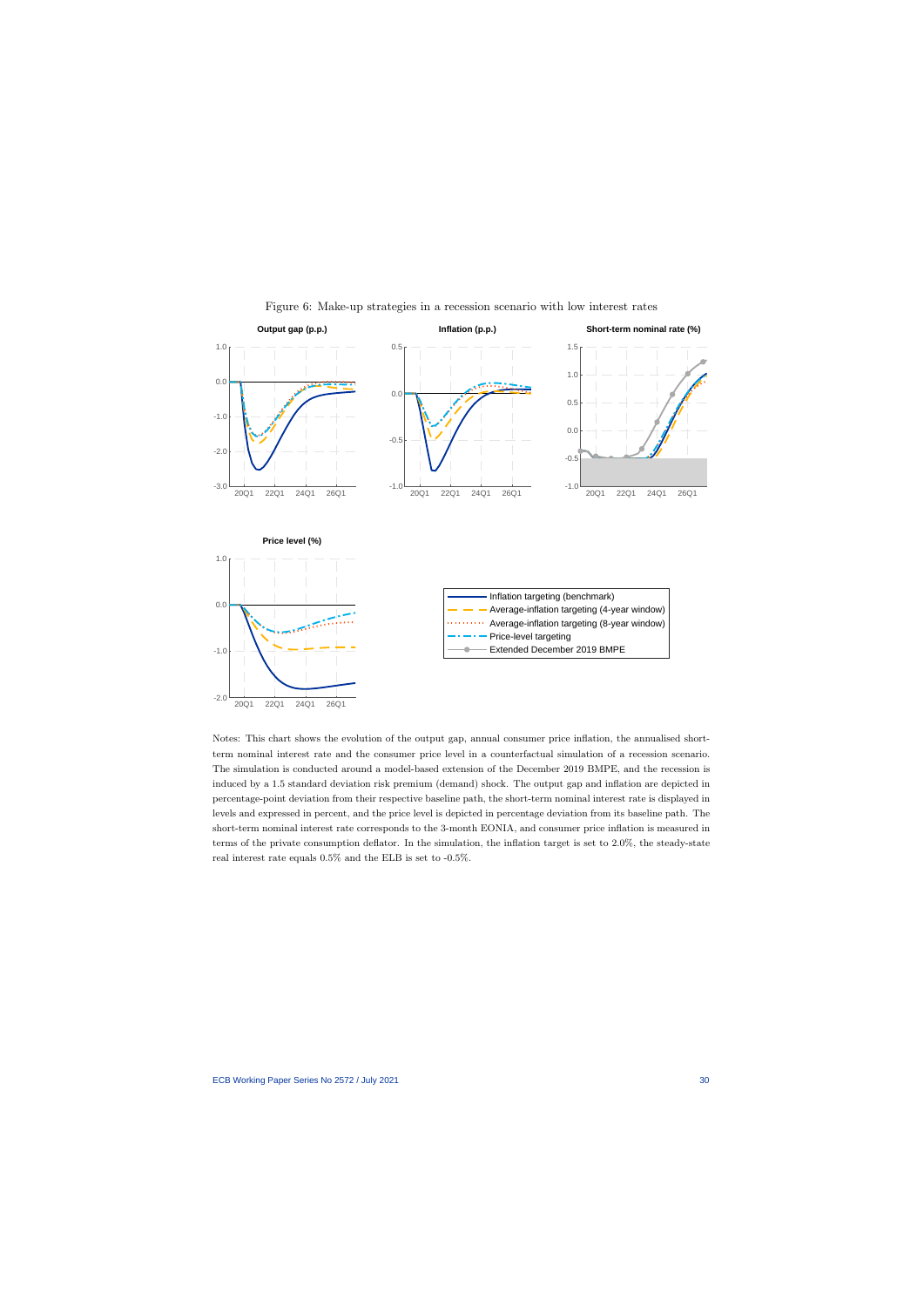

Figure 6: Make-up strategies in a recession scenario with low interest rates

Notes: This chart shows the evolution of the output gap, annual consumer price inflation, the annualised shortterm nominal interest rate and the consumer price level in a counterfactual simulation of a recession scenario. The simulation is conducted around a model-based extension of the December 2019 BMPE, and the recession is induced by a 1.5 standard deviation risk premium (demand) shock. The output gap and inflation are depicted in percentage-point deviation from their respective baseline path, the short-term nominal interest rate is displayed in levels and expressed in percent, and the price level is depicted in percentage deviation from its baseline path. The short-term nominal interest rate corresponds to the 3-month EONIA, and consumer price inflation is measured in terms of the private consumption deflator. In the simulation, the inflation target is set to 2.0%, the steady-state real interest rate equals 0.5% and the ELB is set to -0.5%.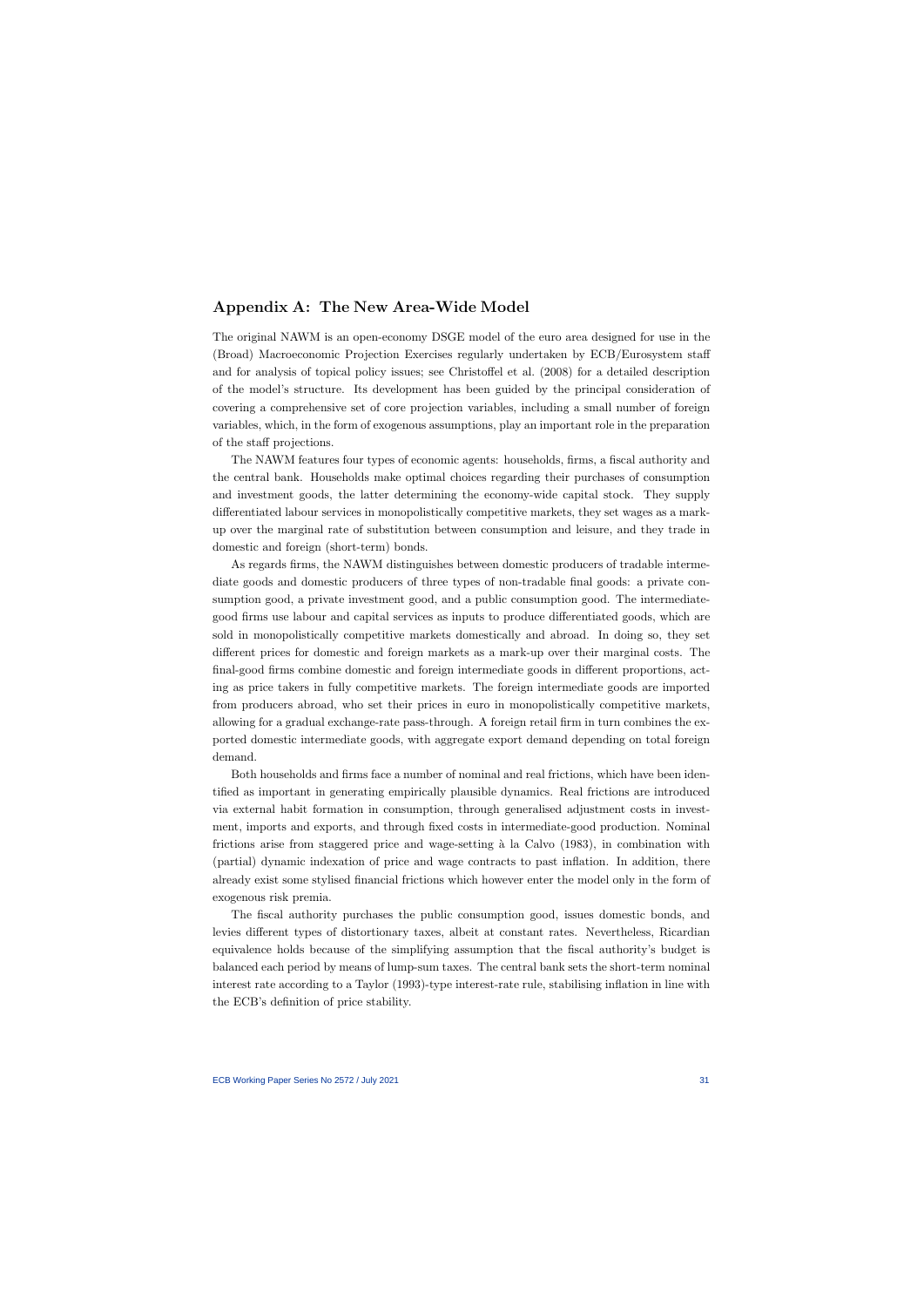## Appendix A: The New Area-Wide Model

The original NAWM is an open-economy DSGE model of the euro area designed for use in the (Broad) Macroeconomic Projection Exercises regularly undertaken by ECB/Eurosystem staff and for analysis of topical policy issues; see Christoffel et al. (2008) for a detailed description of the model's structure. Its development has been guided by the principal consideration of covering a comprehensive set of core projection variables, including a small number of foreign variables, which, in the form of exogenous assumptions, play an important role in the preparation of the staff projections.

The NAWM features four types of economic agents: households, firms, a fiscal authority and the central bank. Households make optimal choices regarding their purchases of consumption and investment goods, the latter determining the economy-wide capital stock. They supply differentiated labour services in monopolistically competitive markets, they set wages as a markup over the marginal rate of substitution between consumption and leisure, and they trade in domestic and foreign (short-term) bonds.

As regards firms, the NAWM distinguishes between domestic producers of tradable intermediate goods and domestic producers of three types of non-tradable final goods: a private consumption good, a private investment good, and a public consumption good. The intermediategood firms use labour and capital services as inputs to produce differentiated goods, which are sold in monopolistically competitive markets domestically and abroad. In doing so, they set different prices for domestic and foreign markets as a mark-up over their marginal costs. The final-good firms combine domestic and foreign intermediate goods in different proportions, acting as price takers in fully competitive markets. The foreign intermediate goods are imported from producers abroad, who set their prices in euro in monopolistically competitive markets, allowing for a gradual exchange-rate pass-through. A foreign retail firm in turn combines the exported domestic intermediate goods, with aggregate export demand depending on total foreign demand.

Both households and firms face a number of nominal and real frictions, which have been identified as important in generating empirically plausible dynamics. Real frictions are introduced via external habit formation in consumption, through generalised adjustment costs in investment, imports and exports, and through fixed costs in intermediate-good production. Nominal frictions arise from staggered price and wage-setting  $\alpha$  la Calvo (1983), in combination with (partial) dynamic indexation of price and wage contracts to past inflation. In addition, there already exist some stylised financial frictions which however enter the model only in the form of exogenous risk premia.

The fiscal authority purchases the public consumption good, issues domestic bonds, and levies different types of distortionary taxes, albeit at constant rates. Nevertheless, Ricardian equivalence holds because of the simplifying assumption that the fiscal authority's budget is balanced each period by means of lump-sum taxes. The central bank sets the short-term nominal interest rate according to a Taylor (1993)-type interest-rate rule, stabilising inflation in line with the ECB's definition of price stability.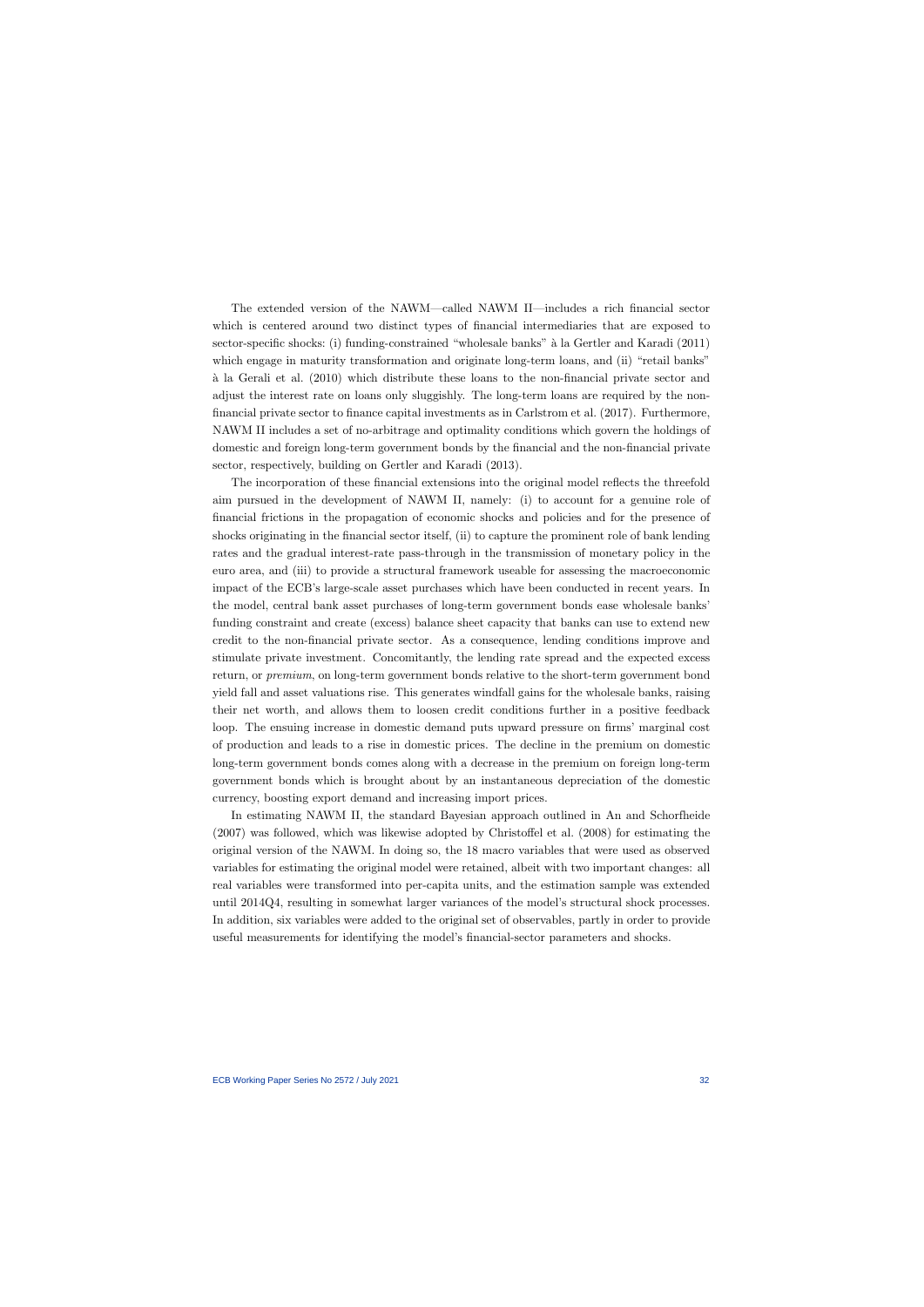The extended version of the NAWM—called NAWM II—includes a rich financial sector which is centered around two distinct types of financial intermediaries that are exposed to sector-specific shocks: (i) funding-constrained "wholesale banks" `a la Gertler and Karadi (2011) which engage in maturity transformation and originate long-term loans, and (ii) "retail banks" `a la Gerali et al. (2010) which distribute these loans to the non-financial private sector and adjust the interest rate on loans only sluggishly. The long-term loans are required by the nonfinancial private sector to finance capital investments as in Carlstrom et al. (2017). Furthermore, NAWM II includes a set of no-arbitrage and optimality conditions which govern the holdings of domestic and foreign long-term government bonds by the financial and the non-financial private sector, respectively, building on Gertler and Karadi (2013).

The incorporation of these financial extensions into the original model reflects the threefold aim pursued in the development of NAWM II, namely: (i) to account for a genuine role of financial frictions in the propagation of economic shocks and policies and for the presence of shocks originating in the financial sector itself, (ii) to capture the prominent role of bank lending rates and the gradual interest-rate pass-through in the transmission of monetary policy in the euro area, and (iii) to provide a structural framework useable for assessing the macroeconomic impact of the ECB's large-scale asset purchases which have been conducted in recent years. In the model, central bank asset purchases of long-term government bonds ease wholesale banks' funding constraint and create (excess) balance sheet capacity that banks can use to extend new credit to the non-financial private sector. As a consequence, lending conditions improve and stimulate private investment. Concomitantly, the lending rate spread and the expected excess return, or premium, on long-term government bonds relative to the short-term government bond yield fall and asset valuations rise. This generates windfall gains for the wholesale banks, raising their net worth, and allows them to loosen credit conditions further in a positive feedback loop. The ensuing increase in domestic demand puts upward pressure on firms' marginal cost of production and leads to a rise in domestic prices. The decline in the premium on domestic long-term government bonds comes along with a decrease in the premium on foreign long-term government bonds which is brought about by an instantaneous depreciation of the domestic currency, boosting export demand and increasing import prices.

In estimating NAWM II, the standard Bayesian approach outlined in An and Schorfheide (2007) was followed, which was likewise adopted by Christoffel et al. (2008) for estimating the original version of the NAWM. In doing so, the 18 macro variables that were used as observed variables for estimating the original model were retained, albeit with two important changes: all real variables were transformed into per-capita units, and the estimation sample was extended until 2014Q4, resulting in somewhat larger variances of the model's structural shock processes. In addition, six variables were added to the original set of observables, partly in order to provide useful measurements for identifying the model's financial-sector parameters and shocks.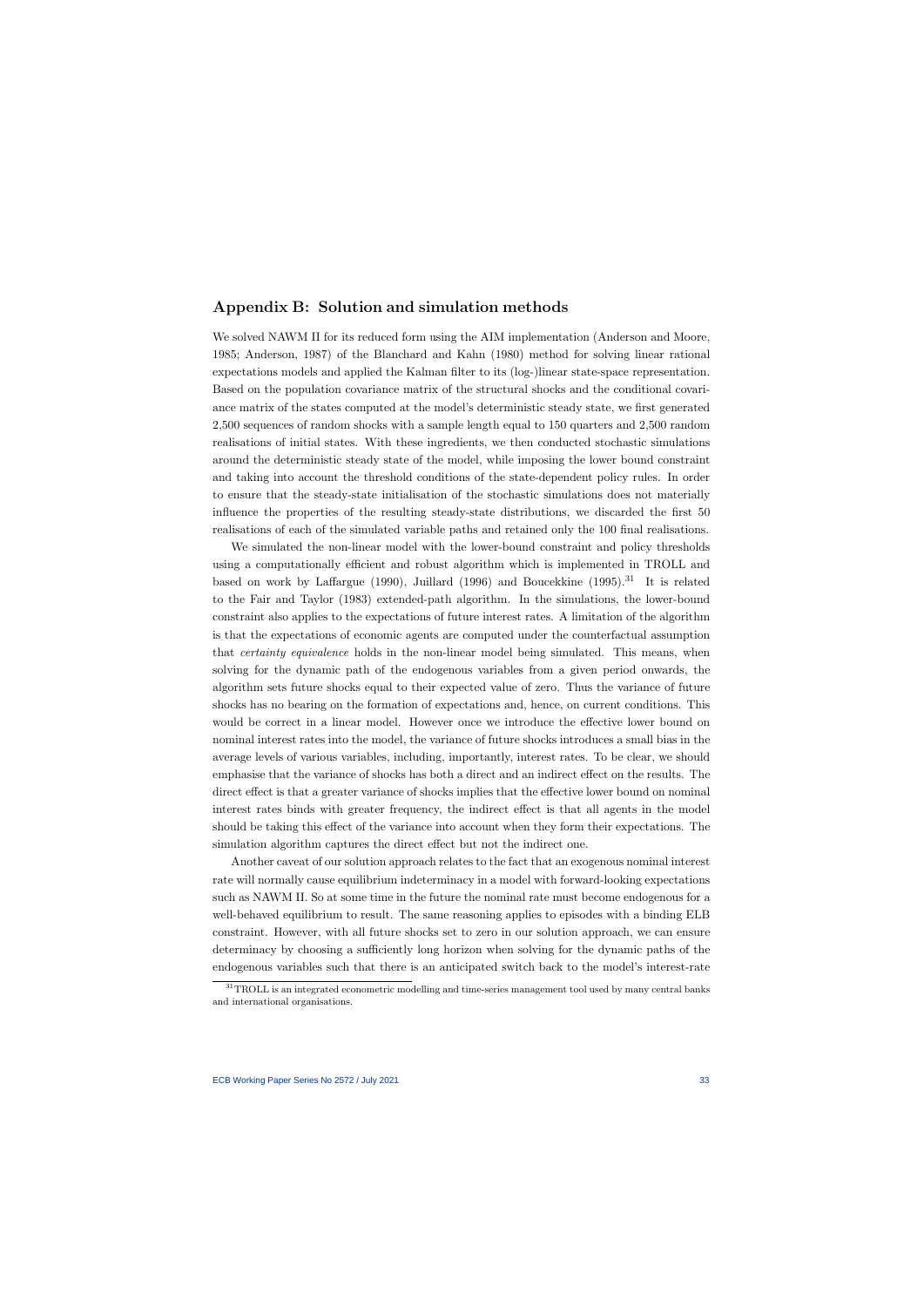## Appendix B: Solution and simulation methods

We solved NAWM II for its reduced form using the AIM implementation (Anderson and Moore, 1985; Anderson, 1987) of the Blanchard and Kahn (1980) method for solving linear rational expectations models and applied the Kalman filter to its (log-)linear state-space representation. Based on the population covariance matrix of the structural shocks and the conditional covariance matrix of the states computed at the model's deterministic steady state, we first generated 2,500 sequences of random shocks with a sample length equal to 150 quarters and 2,500 random realisations of initial states. With these ingredients, we then conducted stochastic simulations around the deterministic steady state of the model, while imposing the lower bound constraint and taking into account the threshold conditions of the state-dependent policy rules. In order to ensure that the steady-state initialisation of the stochastic simulations does not materially influence the properties of the resulting steady-state distributions, we discarded the first 50 realisations of each of the simulated variable paths and retained only the 100 final realisations.

We simulated the non-linear model with the lower-bound constraint and policy thresholds using a computationally efficient and robust algorithm which is implemented in TROLL and based on work by Laffargue (1990), Juillard (1996) and Boucekkine (1995).<sup>31</sup> It is related to the Fair and Taylor (1983) extended-path algorithm. In the simulations, the lower-bound constraint also applies to the expectations of future interest rates. A limitation of the algorithm is that the expectations of economic agents are computed under the counterfactual assumption that certainty equivalence holds in the non-linear model being simulated. This means, when solving for the dynamic path of the endogenous variables from a given period onwards, the algorithm sets future shocks equal to their expected value of zero. Thus the variance of future shocks has no bearing on the formation of expectations and, hence, on current conditions. This would be correct in a linear model. However once we introduce the effective lower bound on nominal interest rates into the model, the variance of future shocks introduces a small bias in the average levels of various variables, including, importantly, interest rates. To be clear, we should emphasise that the variance of shocks has both a direct and an indirect effect on the results. The direct effect is that a greater variance of shocks implies that the effective lower bound on nominal interest rates binds with greater frequency, the indirect effect is that all agents in the model should be taking this effect of the variance into account when they form their expectations. The simulation algorithm captures the direct effect but not the indirect one.

Another caveat of our solution approach relates to the fact that an exogenous nominal interest rate will normally cause equilibrium indeterminacy in a model with forward-looking expectations such as NAWM II. So at some time in the future the nominal rate must become endogenous for a well-behaved equilibrium to result. The same reasoning applies to episodes with a binding ELB constraint. However, with all future shocks set to zero in our solution approach, we can ensure determinacy by choosing a sufficiently long horizon when solving for the dynamic paths of the endogenous variables such that there is an anticipated switch back to the model's interest-rate

 $31$ TROLL is an integrated econometric modelling and time-series management tool used by many central banks and international organisations.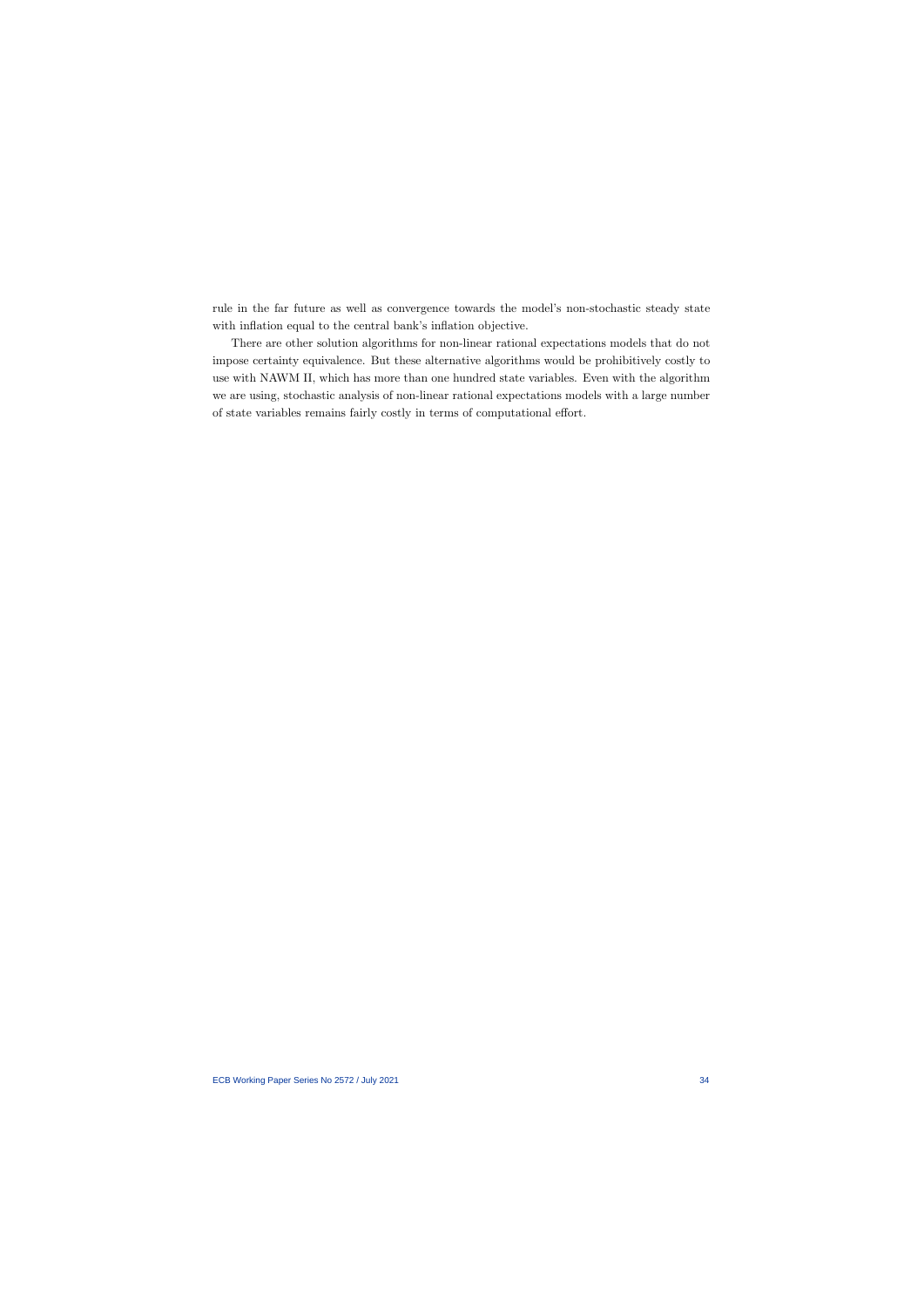rule in the far future as well as convergence towards the model's non-stochastic steady state with inflation equal to the central bank's inflation objective.

There are other solution algorithms for non-linear rational expectations models that do not impose certainty equivalence. But these alternative algorithms would be prohibitively costly to use with NAWM II, which has more than one hundred state variables. Even with the algorithm we are using, stochastic analysis of non-linear rational expectations models with a large number of state variables remains fairly costly in terms of computational effort.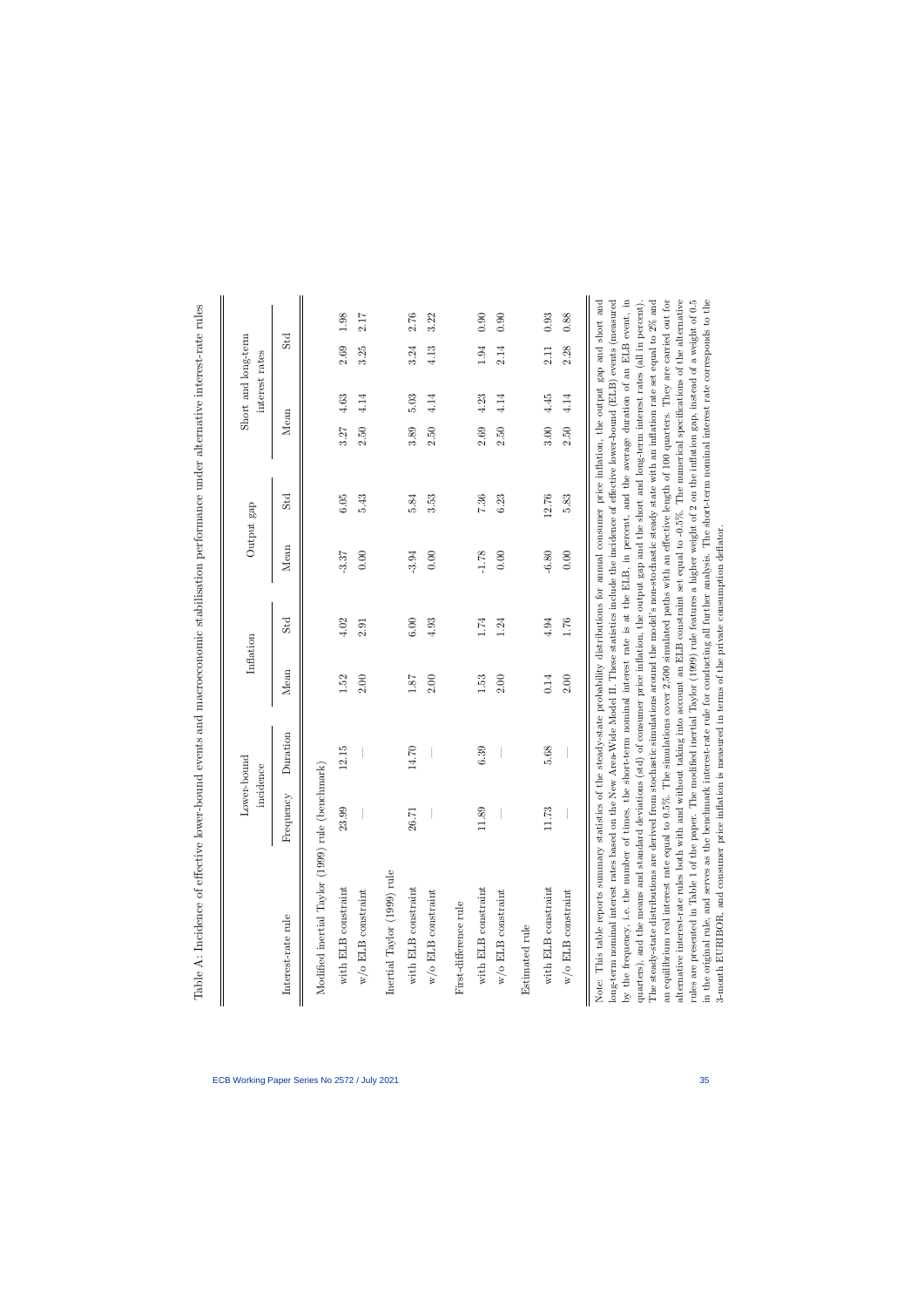|                                                                                                                                                                                                                                                                                                                                     |           | Lower-bound<br>incidence | Inflation                                                                                                               |          |         | Output gap |      | interest rates | Short and long-term |      |
|-------------------------------------------------------------------------------------------------------------------------------------------------------------------------------------------------------------------------------------------------------------------------------------------------------------------------------------|-----------|--------------------------|-------------------------------------------------------------------------------------------------------------------------|----------|---------|------------|------|----------------|---------------------|------|
| Interest-rate rule                                                                                                                                                                                                                                                                                                                  | Frequency | Duration                 | Mean                                                                                                                    | Std      | Mean    | Std        | Mean |                | Std                 |      |
| Modified inertial Taylor (1999) rule (benchmark)                                                                                                                                                                                                                                                                                    |           |                          |                                                                                                                         |          |         |            |      |                |                     |      |
| with ELB constraint                                                                                                                                                                                                                                                                                                                 | 23.99     | 12.15                    | 1.52                                                                                                                    | 4.02     | $-3.37$ | 6.05       | 3.27 | 4.63           | 2.69                | 1.98 |
| $\ensuremath{\text{w}}/\ensuremath{\text{o}}$ ELB constraint                                                                                                                                                                                                                                                                        |           |                          | 2.00                                                                                                                    | 2.91     | 0.00    | 5.43       | 2.50 | 4.14           | 3.25                | 2.17 |
| Inertial Taylor (1999) rule                                                                                                                                                                                                                                                                                                         |           |                          |                                                                                                                         |          |         |            |      |                |                     |      |
| with ELB constraint                                                                                                                                                                                                                                                                                                                 | 26.71     | 14.70                    | 1.87                                                                                                                    | 6.00     | 3.94    | 5.84       | 3.89 | 5.03           | 3.24                | 2.76 |
| $\rm w/o$ ELB constraint                                                                                                                                                                                                                                                                                                            |           |                          | 2.00                                                                                                                    | 4.93     | 0.00    | 3.53       | 2.50 | 4.14           | 4.13                | 3.22 |
| First-difference rule                                                                                                                                                                                                                                                                                                               |           |                          |                                                                                                                         |          |         |            |      |                |                     |      |
| with ELB constraint                                                                                                                                                                                                                                                                                                                 | 11.89     | 6.39                     | 1.53                                                                                                                    | $1.74\,$ | $-1.78$ | 7.36       | 2.69 | 4.23           | $1.94\,$            | 0.90 |
| $\ensuremath{\text{w}}/\ensuremath{\text{o}}$ ELB constraint                                                                                                                                                                                                                                                                        |           |                          | 2.00                                                                                                                    | 1.24     | 0.00    | 6.23       | 2.50 | 4.14           | 2.14                | 0.90 |
| Estimated rule                                                                                                                                                                                                                                                                                                                      |           |                          |                                                                                                                         |          |         |            |      |                |                     |      |
| with ELB constraint                                                                                                                                                                                                                                                                                                                 | 11.73     | 5.68                     | 0.14                                                                                                                    | 4.94     | $-6.80$ | 12.76      | 3.00 | 4.45           | 2.11                | 0.93 |
| $\ensuremath{ \mathbf{w} }/\ensuremath{ \mathbf{o} }$ ELB constraint                                                                                                                                                                                                                                                                |           |                          | 2.00                                                                                                                    | 1.76     | 0.00    | 5.83       | 2.50 | 4.14           | 2.28                | 0.88 |
|                                                                                                                                                                                                                                                                                                                                     |           |                          |                                                                                                                         |          |         |            |      |                |                     |      |
| long-term nominal interest rates based on the New Area-Wide Model II. These statistics include the incidence of effective lower-bound (ELB) events (measured<br>Note: This table reports summary statistics of the                                                                                                                  |           |                          | e steady-state probability distributions for annual consumer price inflation, the output gap and short and              |          |         |            |      |                |                     |      |
| by the frequency, i.e. the number of times, the short-term nominal interest rate is at the ELB, in percent, and the average duration of an ELB event, in<br>quarters), and the means and standard deviations                                                                                                                        |           |                          | $(\text{std})$ of consumer price inflation, the output gap and the short and long-term interest rates (all in percent). |          |         |            |      |                |                     |      |
| The steady-state distributions are derived from stochastic simulations around the model's non-stochastic steady state with an inflation rate set equal to 2% and<br>an equilibrium real interest rate equal to 0.5%. The simulations cover 2,500 simulated paths with an effective length of 100 quarters. They are carried out for |           |                          |                                                                                                                         |          |         |            |      |                |                     |      |
| alternative interest-rate rules both with and without taking into account an ELB constraint set equal to -0.5%. The numerical specifications of the alternative                                                                                                                                                                     |           |                          |                                                                                                                         |          |         |            |      |                |                     |      |
| rules are presented in Table 1 of the paper. The modified inertial Taylor (1999) rule features a higher weight of 2 on the inflation gap, instead of a weight of 0.5                                                                                                                                                                |           |                          |                                                                                                                         |          |         |            |      |                |                     |      |
| in the original rule, and serves as the benchmark interest-rate rule for conducting all further analysis. The short-term nominal interest rate corresponds to the<br>3-month EURIBOR, and consumer price inflation is measured in terms of the private consumption deflator.                                                        |           |                          |                                                                                                                         |          |         |            |      |                |                     |      |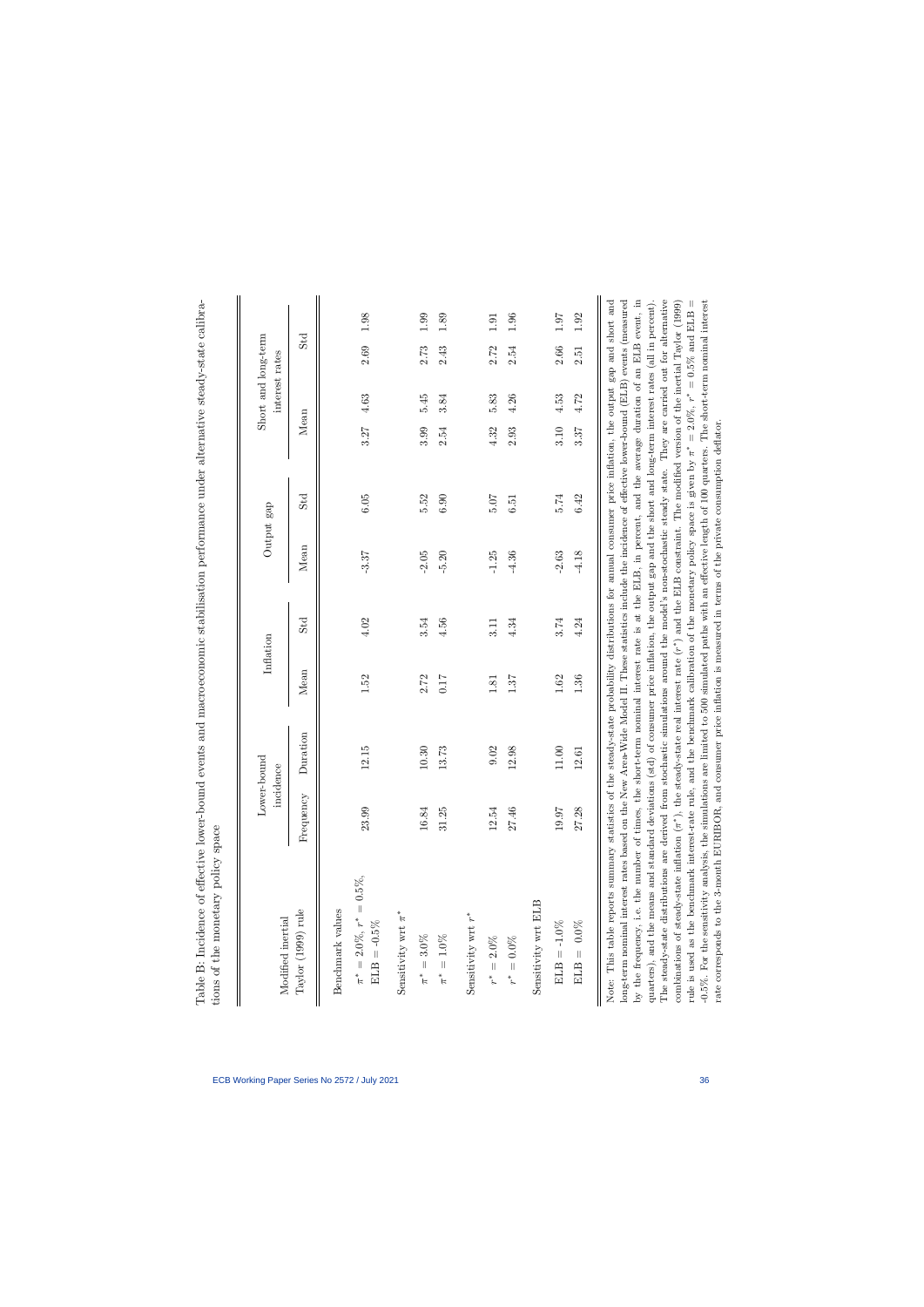| Modified inertial                                                                   | Lower-bound<br>incidence | Inflation |                 |         | Output gap |      | interest rates | Short and long-term |      |
|-------------------------------------------------------------------------------------|--------------------------|-----------|-----------------|---------|------------|------|----------------|---------------------|------|
| Frequency<br>Taylor (1999) rule                                                     | Duration                 | Mean      | St <sub>d</sub> | Mean    | Std        | Mean |                | Std                 |      |
| 23.99<br>$\pi^* = 2.0\%, r^* = 0.5\%,$<br>Benchmark values<br>$\mathrm{ELB}=-0.5\%$ | 12.15                    | 1.52      | 4.02            | $-3.37$ | 6.05       | 3.27 | 4.63           | 2.69                | 1.98 |
| Sensitivity wrt $\pi^*$                                                             |                          |           |                 |         |            |      |                |                     |      |
| 16.84<br>$\pi^*=3.0\%$                                                              | 10.30                    | 2.72      | 3.54            | 2.05    | 5.52       | 3.99 | 5.45           | 2.73                | 1.99 |
| 31.25<br>$\pi^* = 1.0\%$                                                            | 13.73                    | 71.0      | 4.56            | $-5.20$ | 6.90       | 2.54 | 3.84           | 2.43                | 1.89 |
| Sensitivity wrt $r^\ast$                                                            |                          |           |                 |         |            |      |                |                     |      |
| 12.54<br>$r^*=2.0\%$                                                                | 9.02                     | 1.81      | 3.11            | $-1.25$ | 50.7       | 4.32 | 5.83           | $2.72$              | 1.91 |
| 27.46<br>$r^*=0.0\%$                                                                | 12.98                    | 1.87      | 4.34            | $-4.36$ | 6.51       | 2.93 | 4.26           | 2.54                | 1.96 |
| Sensitivity wrt ELB                                                                 |                          |           |                 |         |            |      |                |                     |      |
| 19.97<br>$\mathrm{ELB} = -1.0\%$                                                    | $11.00$                  | $1.62\,$  | 3.74            | $-2.63$ | 5.74       | 3.10 | 4.53           | 2.66                | 1.07 |
| 27.28<br>$ELB = 0.0\%$                                                              | 12.61                    | 1.36      | 4.24            | $-4.18$ | 6.42       | 3.37 | 4.72           | 2.51                | 1.92 |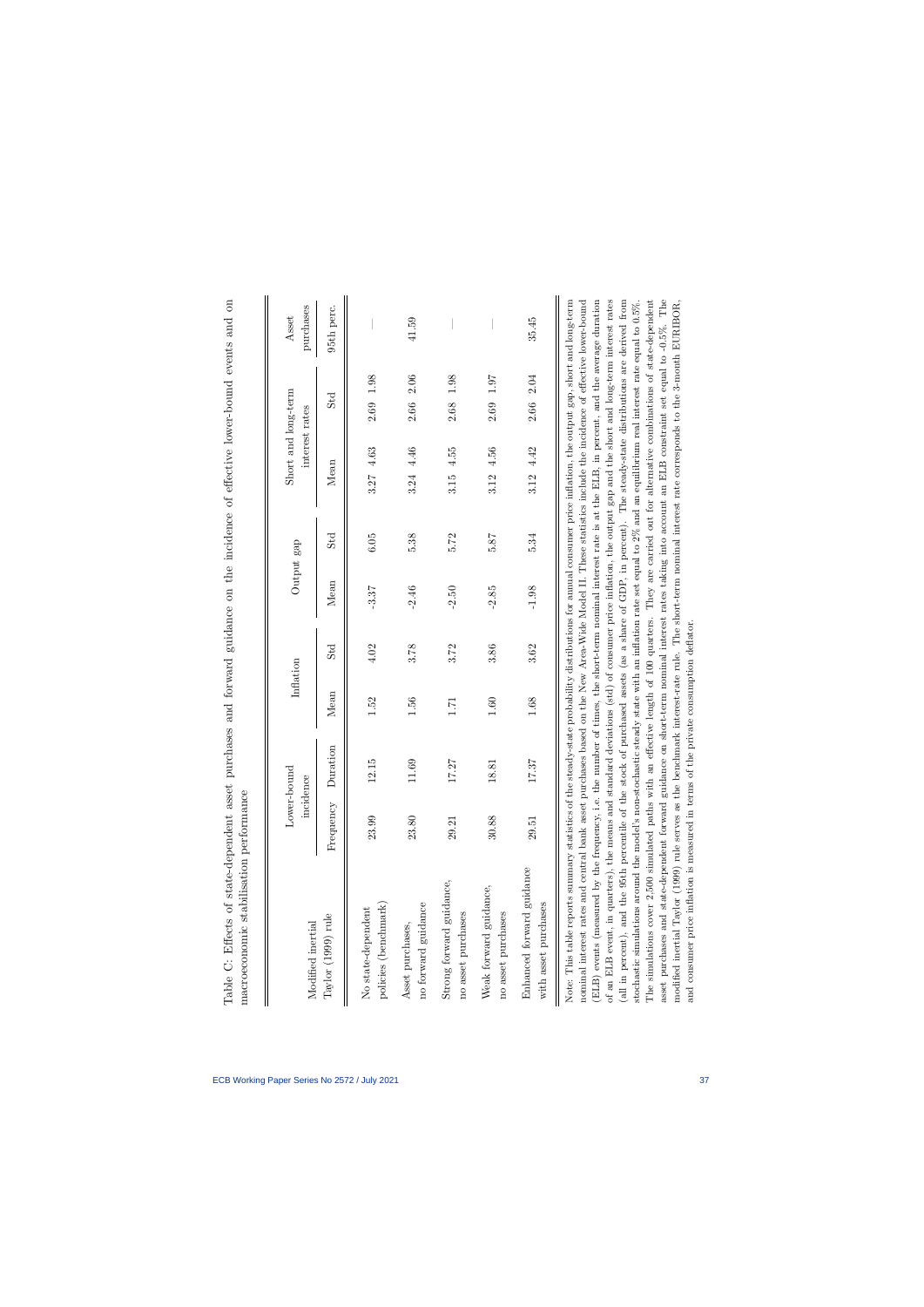| Duration<br>Frequency<br>No state-dependent<br>Taylor (1999) rule<br>Modified inertial | Mean |      | Output gap |                 | Short and long-term<br>interest rates |                  | purchases<br>Asset |
|----------------------------------------------------------------------------------------|------|------|------------|-----------------|---------------------------------------|------------------|--------------------|
|                                                                                        |      | Std  | Mean       | St <sub>d</sub> | Mean                                  | Std              | 95th perc.         |
| 12.15<br>23.99<br>policies (benchmark)                                                 | 1.52 | 4.02 | $-3.37$    | 6.05            | 4.63<br>3.27                          | 1.98<br>2.69     |                    |
| 11.69<br>23.80<br>no forward guidance<br>Asset purchases,                              | 1.56 | 3.78 | $-2.46$    | 5.38            | 3.24 4.46                             | 2.06<br>2.66     | 41.59              |
| 17.27<br>29.21<br>Strong forward guidance,<br>no asset purchases                       | 1.71 | 3.72 | $-2.50$    | 5.72            | 4.55<br>3.15                          | 1.98<br>2.68     |                    |
| 18.81<br>30.88<br>Weak forward guidance,<br>no asset purchases                         | 1.60 | 3.86 | $-2.85$    | 5.87            | 4.56<br>3.12                          | $1.97\,$<br>2.69 |                    |
| 17.37<br>29.51<br>Enhanced forward guidance<br>with asset purchases                    | 1.68 | 3.62 | $-1.98$    | 5.34            | 4.42<br>3.12                          | 2.04<br>2.66     | 35.45              |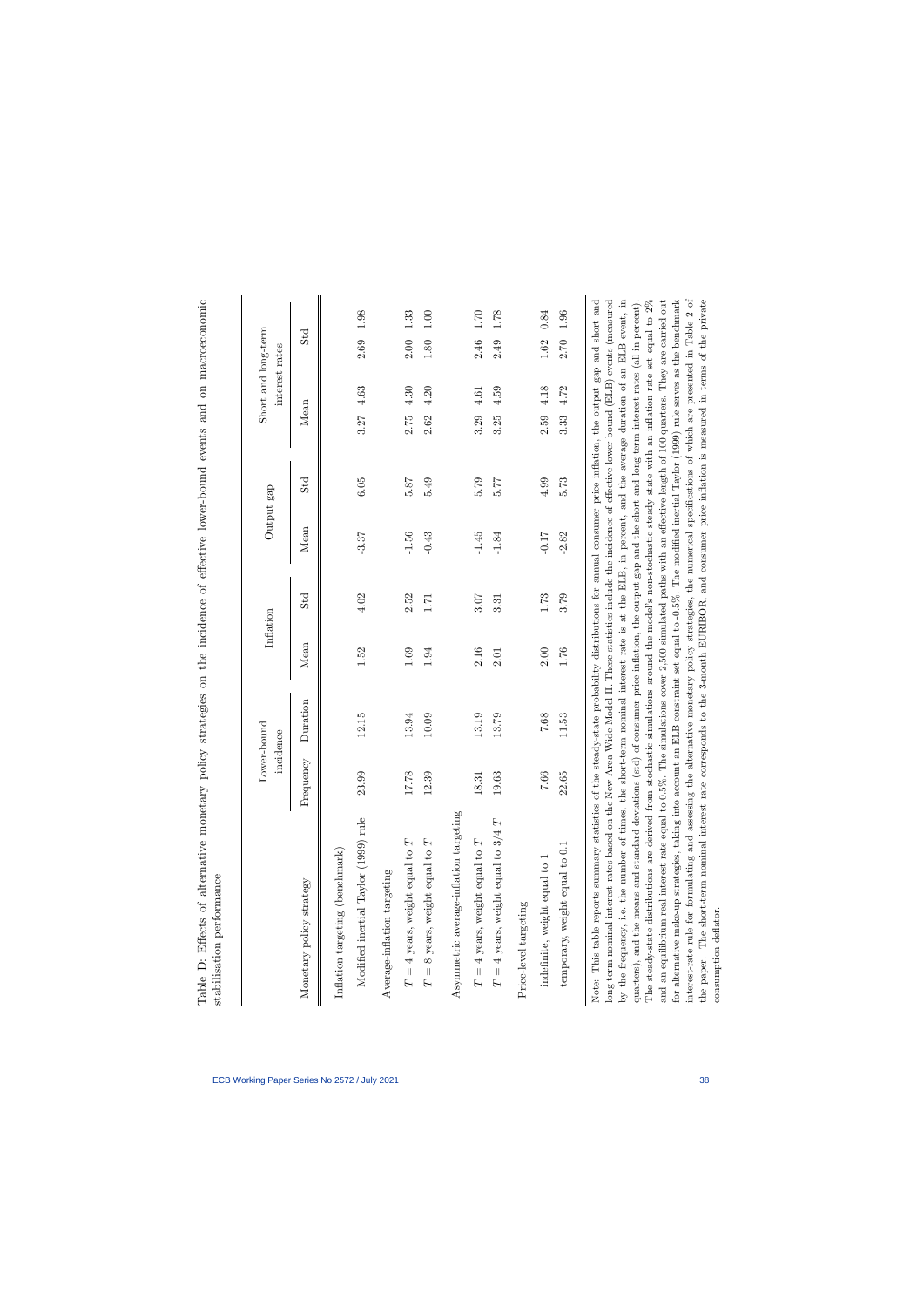|                                                              | Lower-bound<br>incidence | Inflation |          |         | Output gap      |        | Short and long-term<br>interest rates |                  |      |
|--------------------------------------------------------------|--------------------------|-----------|----------|---------|-----------------|--------|---------------------------------------|------------------|------|
| rency<br>Frequ<br>Monetary policy strategy                   | Duration                 | Mean      | Std      | Mean    | St <sub>d</sub> | Mean   |                                       | S <sub>t</sub> d |      |
| Inflation targeting (benchmark)                              |                          |           |          |         |                 |        |                                       |                  |      |
| 23.99<br>Modified inertial Taylor (1999) rule                | 12.15                    | 1.52      | 4.02     | $-3.37$ | 6.05            | 3.27   | 4.63                                  | 2.69             | 1.98 |
| Average-inflation targeting                                  |                          |           |          |         |                 |        |                                       |                  |      |
| 17.78<br>$T = 4$ years, weight equal to $T$                  | 13.94                    | 1.69      | 2.52     | $-1.56$ | 5.87            | $2.75$ | 4.30                                  | 2.00             | 1.33 |
| 39<br>$\overline{2}$ .<br>$T = 8$ years, weight equal to $T$ | 10.09                    | 1.94      | 1.71     | $-0.43$ | 5.49            | 2.62   | 4.20                                  | 1.80             | 1.00 |
| Asymmetric average-inflation targeting                       |                          |           |          |         |                 |        |                                       |                  |      |
| 18.31<br>$T = 4$ years, weight equal to $T$                  | 13.19                    | 2.16      | 3.07     | $-1.45$ | 5.79            | 3.29   | $4.61\,$                              | 2.46             | 1.70 |
| 19.63<br>$T$ = 4 years, weight equal to $3/4 \ T$            | 13.79                    | 2.01      | 3.31     | $-1.84$ | 5.77            | 3.25   | 4.59                                  | 2.49             | 1.78 |
| Price-level targeting                                        |                          |           |          |         |                 |        |                                       |                  |      |
| 7.66<br>indefinite, weight equal to 1                        | 7.68                     | 2.00      | $1.73\,$ | $-0.17$ | 4.99            | 2.59   | 4.18                                  | $1.62\,$         | 0.84 |
| 22.65<br>temporary, weight equal to 0.1                      | 11.53                    | 1.76      | 3.79     | $-2.82$ | 5.73            | 3.33   | 4.72                                  | 2.70             | 1.96 |